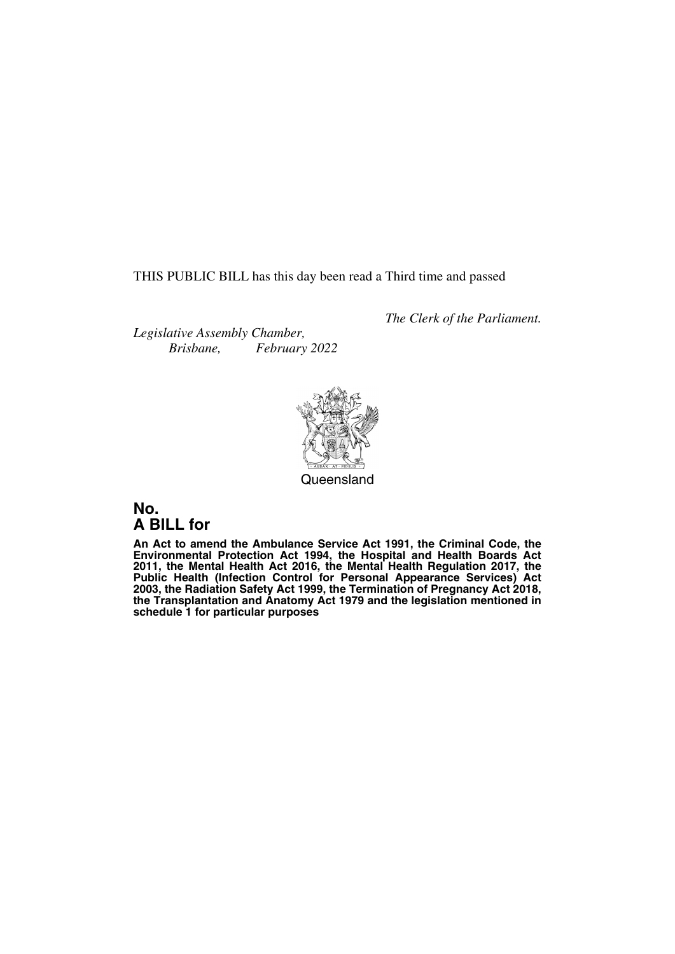THIS PUBLIC BILL has this day been read a Third time and passed

*The Clerk of the Parliament.*

*Legislative Assembly Chamber, Brisbane, February 2022*



Queensland

# **No. A BILL for**

**An Act to amend the Ambulance Service Act 1991, the Criminal Code, the Environmental Protection Act 1994, the Hospital and Health Boards Act 2011, the Mental Health Act 2016, the Mental Health Regulation 2017, the Public Health (Infection Control for Personal Appearance Services) Act 2003, the Radiation Safety Act 1999, the Termination of Pregnancy Act 2018, the Transplantation and Anatomy Act 1979 and the legislation mentioned in schedule 1 for particular purposes**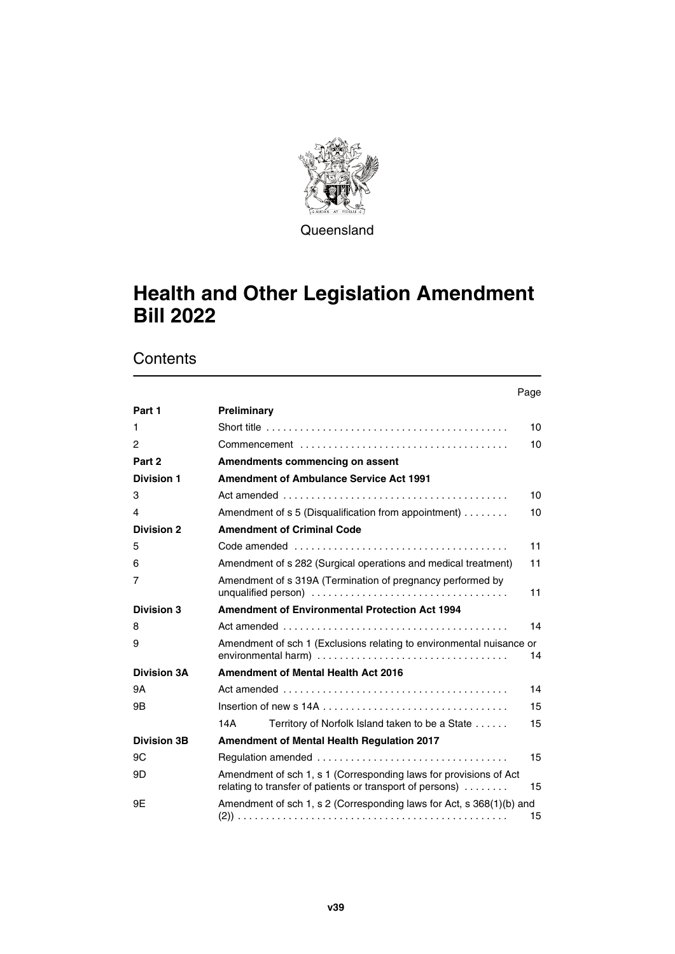

**Queensland** 

# **Health and Other Legislation Amendment Bill 2022**

|                    | Page                                                                                                                                 |
|--------------------|--------------------------------------------------------------------------------------------------------------------------------------|
| Part 1             | Preliminary                                                                                                                          |
| 1                  | Short title $\ldots \ldots \ldots \ldots \ldots \ldots \ldots \ldots \ldots \ldots \ldots \ldots \ldots$<br>10                       |
| 2                  | 10                                                                                                                                   |
| Part 2             | Amendments commencing on assent                                                                                                      |
| <b>Division 1</b>  | <b>Amendment of Ambulance Service Act 1991</b>                                                                                       |
| 3                  | 10                                                                                                                                   |
| 4                  | Amendment of s 5 (Disqualification from appointment)<br>10                                                                           |
| <b>Division 2</b>  | <b>Amendment of Criminal Code</b>                                                                                                    |
| 5                  | 11                                                                                                                                   |
| 6                  | Amendment of s 282 (Surgical operations and medical treatment)<br>11                                                                 |
| 7                  | Amendment of s 319A (Termination of pregnancy performed by<br>11                                                                     |
| <b>Division 3</b>  | <b>Amendment of Environmental Protection Act 1994</b>                                                                                |
| 8                  | 14                                                                                                                                   |
| 9                  | Amendment of sch 1 (Exclusions relating to environmental nuisance or<br>14                                                           |
| <b>Division 3A</b> | Amendment of Mental Health Act 2016                                                                                                  |
| 9A                 | 14                                                                                                                                   |
| 9B                 | 15                                                                                                                                   |
|                    | 14A<br>Territory of Norfolk Island taken to be a State<br>15                                                                         |
| <b>Division 3B</b> | Amendment of Mental Health Regulation 2017                                                                                           |
| 9C                 | 15                                                                                                                                   |
| 9D                 | Amendment of sch 1, s 1 (Corresponding laws for provisions of Act<br>relating to transfer of patients or transport of persons)<br>15 |
| 9Ε                 | Amendment of sch 1, s 2 (Corresponding laws for Act, s 368(1)(b) and<br>15                                                           |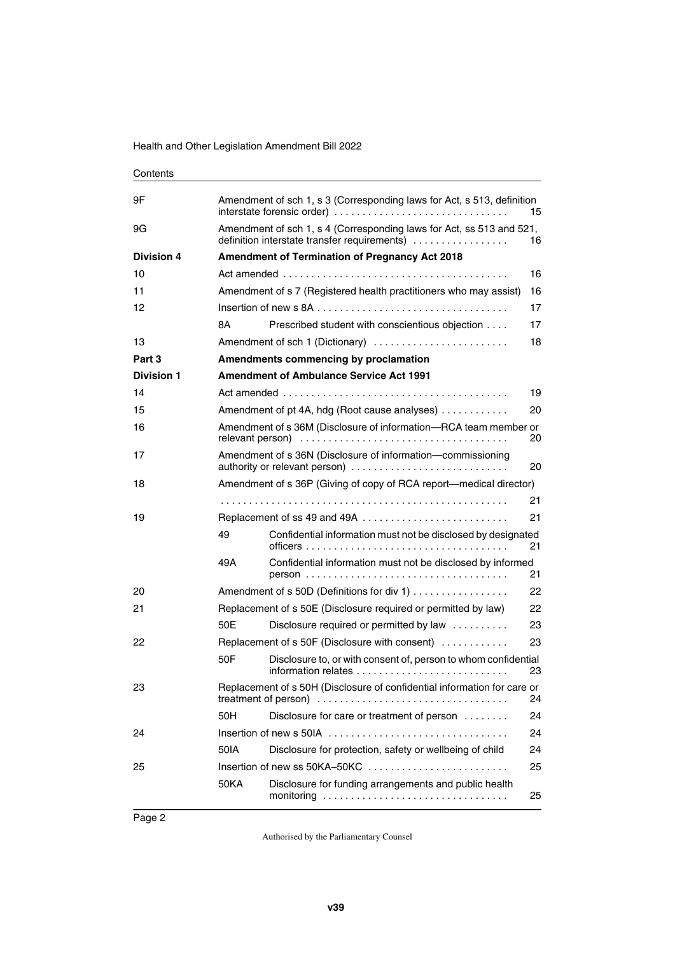| Contents          |                                                                                                                            |                                                                                                    |    |  |  |
|-------------------|----------------------------------------------------------------------------------------------------------------------------|----------------------------------------------------------------------------------------------------|----|--|--|
| 9Ε                | Amendment of sch 1, s 3 (Corresponding laws for Act, s 513, definition<br>interstate forensic order)<br>15                 |                                                                                                    |    |  |  |
| 9G                | Amendment of sch 1, s 4 (Corresponding laws for Act, ss 513 and 521,<br>definition interstate transfer requirements)<br>16 |                                                                                                    |    |  |  |
| <b>Division 4</b> |                                                                                                                            | <b>Amendment of Termination of Pregnancy Act 2018</b>                                              |    |  |  |
| 10                |                                                                                                                            |                                                                                                    | 16 |  |  |
| 11                |                                                                                                                            | Amendment of s 7 (Registered health practitioners who may assist)                                  | 16 |  |  |
| 12                |                                                                                                                            |                                                                                                    | 17 |  |  |
|                   | 8Α                                                                                                                         | Prescribed student with conscientious objection                                                    | 17 |  |  |
| 13                |                                                                                                                            | Amendment of sch 1 (Dictionary)                                                                    | 18 |  |  |
| Part 3            |                                                                                                                            | Amendments commencing by proclamation                                                              |    |  |  |
| <b>Division 1</b> |                                                                                                                            | <b>Amendment of Ambulance Service Act 1991</b>                                                     |    |  |  |
| 14                |                                                                                                                            | Act amended $\ldots \ldots \ldots \ldots \ldots \ldots \ldots \ldots \ldots \ldots \ldots \ldots$  | 19 |  |  |
| 15                |                                                                                                                            | Amendment of pt 4A, hdg (Root cause analyses)                                                      | 20 |  |  |
| 16                |                                                                                                                            | Amendment of s 36M (Disclosure of information-RCA team member or<br>20                             |    |  |  |
| 17                |                                                                                                                            | Amendment of s 36N (Disclosure of information-commissioning<br>authority or relevant person)<br>20 |    |  |  |
| 18                |                                                                                                                            | Amendment of s 36P (Giving of copy of RCA report—medical director)                                 |    |  |  |
|                   |                                                                                                                            |                                                                                                    | 21 |  |  |
| 19                |                                                                                                                            | Replacement of ss 49 and 49A                                                                       | 21 |  |  |
|                   | 49                                                                                                                         | Confidential information must not be disclosed by designated                                       | 21 |  |  |
|                   | 49A                                                                                                                        | Confidential information must not be disclosed by informed                                         | 21 |  |  |
| 20                |                                                                                                                            | Amendment of s 50D (Definitions for div 1)                                                         | 22 |  |  |
| 21                |                                                                                                                            | Replacement of s 50E (Disclosure required or permitted by law)                                     | 22 |  |  |
|                   | 50E                                                                                                                        | Disclosure required or permitted by law                                                            | 23 |  |  |
| 22                |                                                                                                                            | Replacement of s 50F (Disclosure with consent)                                                     | 23 |  |  |
|                   | 50F                                                                                                                        | Disclosure to, or with consent of, person to whom confidential                                     | 23 |  |  |
| 23                |                                                                                                                            | Replacement of s 50H (Disclosure of confidential information for care or<br>24                     |    |  |  |
|                   | 50H                                                                                                                        | Disclosure for care or treatment of person                                                         | 24 |  |  |
| 24                |                                                                                                                            | Insertion of new s 50IA                                                                            | 24 |  |  |
|                   | 50IA                                                                                                                       | Disclosure for protection, safety or wellbeing of child                                            | 24 |  |  |
| 25                |                                                                                                                            | Insertion of new ss 50KA-50KC                                                                      | 25 |  |  |
|                   | <b>50KA</b>                                                                                                                | Disclosure for funding arrangements and public health                                              | 25 |  |  |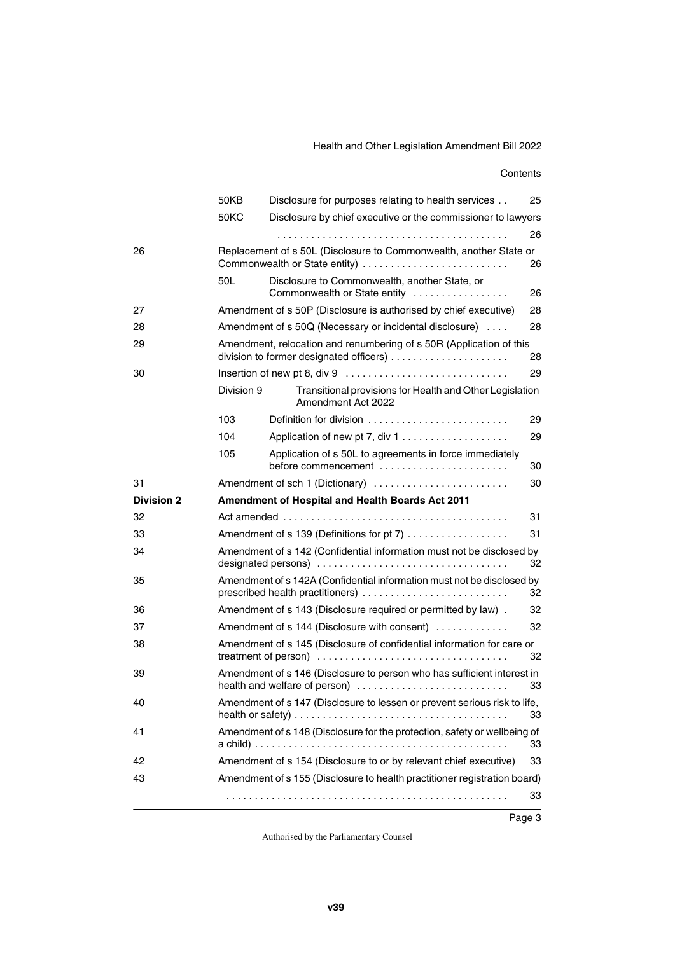#### Health and Other Legislation Amendment Bill 2022

|                   | 50KB       | Disclosure for purposes relating to health services                                                        | 25 |
|-------------------|------------|------------------------------------------------------------------------------------------------------------|----|
|                   | 50KC       | Disclosure by chief executive or the commissioner to lawyers                                               |    |
|                   |            |                                                                                                            | 26 |
| 26                |            | Replacement of s 50L (Disclosure to Commonwealth, another State or                                         | 26 |
|                   | 50L        | Disclosure to Commonwealth, another State, or<br>Commonwealth or State entity                              | 26 |
| 27                |            | Amendment of s 50P (Disclosure is authorised by chief executive)                                           | 28 |
| 28                |            | Amendment of s 50Q (Necessary or incidental disclosure)                                                    | 28 |
| 29                |            | Amendment, relocation and renumbering of s 50R (Application of this                                        | 28 |
| 30                |            |                                                                                                            | 29 |
|                   | Division 9 | Transitional provisions for Health and Other Legislation<br>Amendment Act 2022                             |    |
|                   | 103        | Definition for division                                                                                    | 29 |
|                   | 104        |                                                                                                            | 29 |
|                   | 105        | Application of s 50L to agreements in force immediately<br>before commencement                             | 30 |
| 31                |            | Amendment of sch 1 (Dictionary)                                                                            | 30 |
|                   |            |                                                                                                            |    |
| <b>Division 2</b> |            | Amendment of Hospital and Health Boards Act 2011                                                           |    |
| 32                |            |                                                                                                            | 31 |
| 33                |            | Amendment of s 139 (Definitions for pt 7)                                                                  | 31 |
| 34                |            | Amendment of s 142 (Confidential information must not be disclosed by                                      | 32 |
| 35                |            | Amendment of s 142A (Confidential information must not be disclosed by<br>prescribed health practitioners) | 32 |
| 36                |            | Amendment of s 143 (Disclosure required or permitted by law).                                              | 32 |
| 37                |            | Amendment of s 144 (Disclosure with consent)                                                               | 32 |
| 38                |            | Amendment of s 145 (Disclosure of confidential information for care or                                     | 32 |
| 39                |            | Amendment of s 146 (Disclosure to person who has sufficient interest in<br>health and welfare of person)   | 33 |
| 40                |            | Amendment of s 147 (Disclosure to lessen or prevent serious risk to life,                                  | 33 |
| 41                |            | Amendment of s 148 (Disclosure for the protection, safety or wellbeing of                                  | 33 |
| 42                |            | Amendment of s 154 (Disclosure to or by relevant chief executive)                                          | 33 |
| 43                |            | Amendment of s 155 (Disclosure to health practitioner registration board)                                  |    |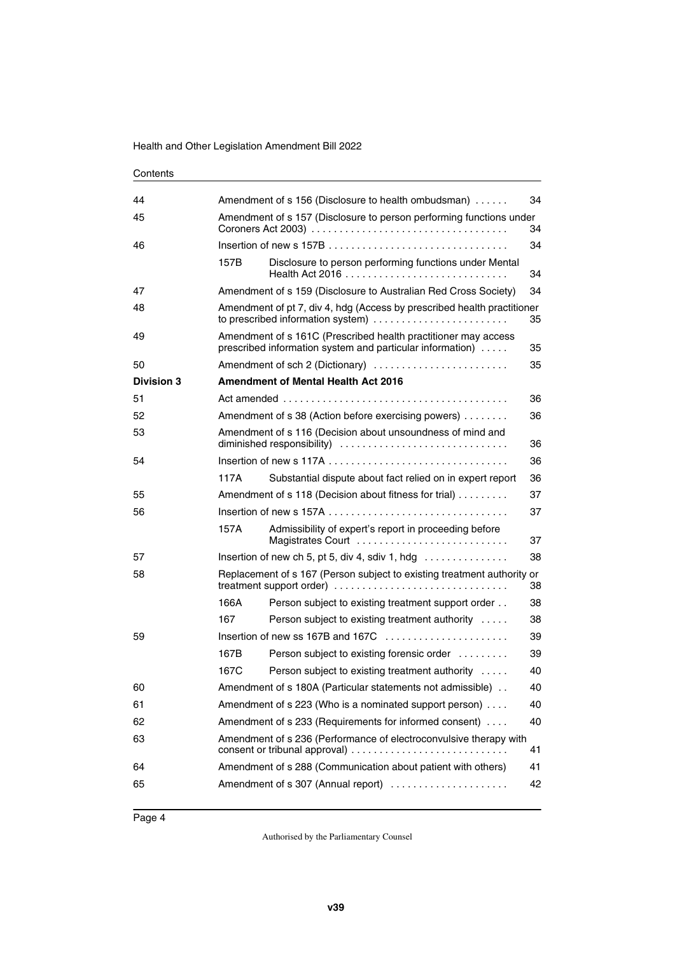| 44                |      | Amendment of s 156 (Disclosure to health ombudsman)<br>34                                                                         |    |  |
|-------------------|------|-----------------------------------------------------------------------------------------------------------------------------------|----|--|
| 45                |      | Amendment of s 157 (Disclosure to person performing functions under                                                               | 34 |  |
| 46                |      |                                                                                                                                   | 34 |  |
|                   | 157B | Disclosure to person performing functions under Mental                                                                            | 34 |  |
| 47                |      | Amendment of s 159 (Disclosure to Australian Red Cross Society)                                                                   | 34 |  |
| 48                |      | Amendment of pt 7, div 4, hdg (Access by prescribed health practitioner<br>to prescribed information system)                      | 35 |  |
| 49                |      | Amendment of s 161C (Prescribed health practitioner may access<br>prescribed information system and particular information)<br>35 |    |  |
| 50                |      | Amendment of sch 2 (Dictionary)                                                                                                   | 35 |  |
| <b>Division 3</b> |      | <b>Amendment of Mental Health Act 2016</b>                                                                                        |    |  |
| 51                |      |                                                                                                                                   | 36 |  |
| 52                |      | Amendment of s 38 (Action before exercising powers)                                                                               | 36 |  |
| 53                |      | Amendment of s 116 (Decision about unsoundness of mind and<br>diminished responsibility)<br>36                                    |    |  |
| 54                |      |                                                                                                                                   | 36 |  |
|                   | 117A | Substantial dispute about fact relied on in expert report                                                                         | 36 |  |
| 55                |      | Amendment of s 118 (Decision about fitness for trial)                                                                             | 37 |  |
| 56                |      |                                                                                                                                   | 37 |  |
|                   | 157A | Admissibility of expert's report in proceeding before<br>Magistrates Court                                                        | 37 |  |
| 57                |      | 38<br>Insertion of new ch 5, pt 5, div 4, sdiv 1, hdg $\ldots \ldots \ldots \ldots$                                               |    |  |
| 58                |      | Replacement of s 167 (Person subject to existing treatment authority or<br>treatment support order)                               | 38 |  |
|                   | 166A | Person subject to existing treatment support order                                                                                | 38 |  |
|                   | 167  | Person subject to existing treatment authority                                                                                    | 38 |  |
| 59                |      | Insertion of new ss 167B and 167C $\ldots$ , $\ldots$ , $\ldots$                                                                  | 39 |  |
|                   | 167B | Person subject to existing forensic order                                                                                         | 39 |  |
|                   | 167C | Person subject to existing treatment authority                                                                                    | 40 |  |
| 60                |      | Amendment of s 180A (Particular statements not admissible)                                                                        | 40 |  |
| 61                |      | Amendment of s 223 (Who is a nominated support person)<br>40                                                                      |    |  |
| 62                |      | Amendment of s 233 (Requirements for informed consent)<br>40                                                                      |    |  |
| 63                |      | Amendment of s 236 (Performance of electroconvulsive therapy with<br>41                                                           |    |  |
| 64                |      | Amendment of s 288 (Communication about patient with others)                                                                      | 41 |  |
| 65                |      | Amendment of s 307 (Annual report)                                                                                                | 42 |  |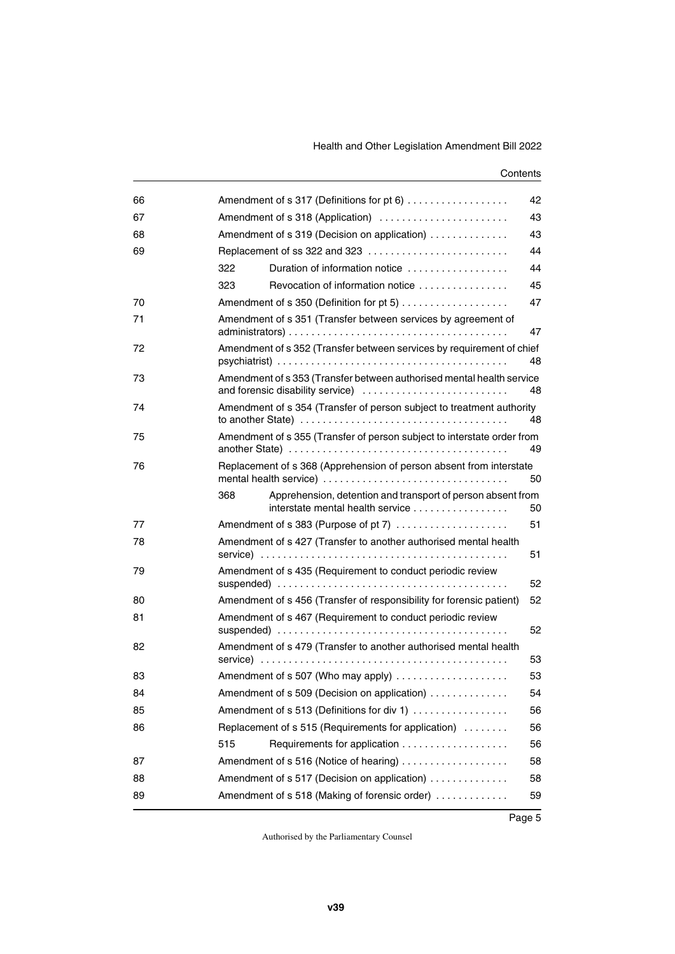| 66 | 42<br>Amendment of s 317 (Definitions for pt 6)    |                                                                                                                                                                                  |    |  |
|----|----------------------------------------------------|----------------------------------------------------------------------------------------------------------------------------------------------------------------------------------|----|--|
| 67 | Amendment of s 318 (Application)<br>43             |                                                                                                                                                                                  |    |  |
| 68 | Amendment of s 319 (Decision on application)<br>43 |                                                                                                                                                                                  |    |  |
| 69 |                                                    | Replacement of ss 322 and 323                                                                                                                                                    | 44 |  |
|    | 322                                                | Duration of information notice                                                                                                                                                   | 44 |  |
|    | 323                                                | Revocation of information notice                                                                                                                                                 | 45 |  |
| 70 |                                                    |                                                                                                                                                                                  | 47 |  |
| 71 |                                                    | Amendment of s 351 (Transfer between services by agreement of                                                                                                                    | 47 |  |
| 72 |                                                    | Amendment of s 352 (Transfer between services by requirement of chief                                                                                                            | 48 |  |
| 73 |                                                    | Amendment of s 353 (Transfer between authorised mental health service<br>and forensic disability service)                                                                        | 48 |  |
| 74 |                                                    | Amendment of s 354 (Transfer of person subject to treatment authority<br>to another State) $\ldots \ldots \ldots \ldots \ldots \ldots \ldots \ldots \ldots \ldots \ldots \ldots$ | 48 |  |
| 75 |                                                    | Amendment of s 355 (Transfer of person subject to interstate order from                                                                                                          | 49 |  |
| 76 |                                                    | Replacement of s 368 (Apprehension of person absent from interstate<br>mental health service)                                                                                    | 50 |  |
|    | 368                                                | Apprehension, detention and transport of person absent from<br>interstate mental health service                                                                                  | 50 |  |
| 77 |                                                    | Amendment of s 383 (Purpose of pt 7)                                                                                                                                             | 51 |  |
| 78 |                                                    | Amendment of s 427 (Transfer to another authorised mental health                                                                                                                 | 51 |  |
| 79 |                                                    | Amendment of s 435 (Requirement to conduct periodic review                                                                                                                       | 52 |  |
| 80 |                                                    | Amendment of s 456 (Transfer of responsibility for forensic patient)                                                                                                             | 52 |  |
| 81 |                                                    | Amendment of s 467 (Requirement to conduct periodic review                                                                                                                       | 52 |  |
| 82 |                                                    | Amendment of s 479 (Transfer to another authorised mental health                                                                                                                 | 53 |  |
| 83 |                                                    | Amendment of s 507 (Who may apply)                                                                                                                                               | 53 |  |
| 84 |                                                    | Amendment of s 509 (Decision on application)                                                                                                                                     | 54 |  |
| 85 |                                                    | Amendment of s 513 (Definitions for div 1)                                                                                                                                       | 56 |  |
| 86 |                                                    | Replacement of s 515 (Requirements for application)                                                                                                                              | 56 |  |
|    | 515                                                |                                                                                                                                                                                  | 56 |  |
| 87 |                                                    | Amendment of s 516 (Notice of hearing)                                                                                                                                           | 58 |  |
| 88 |                                                    | Amendment of s 517 (Decision on application)                                                                                                                                     | 58 |  |
| 89 |                                                    | Amendment of s 518 (Making of forensic order)                                                                                                                                    | 59 |  |
|    |                                                    |                                                                                                                                                                                  |    |  |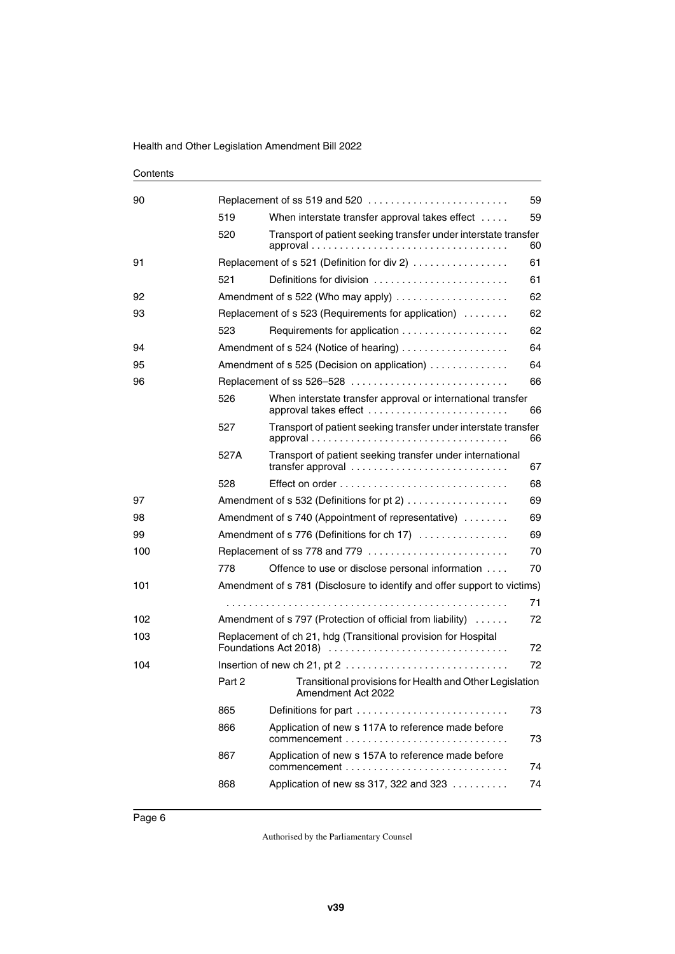| 90  |        | Replacement of ss 519 and 520                                                                 | 59 |
|-----|--------|-----------------------------------------------------------------------------------------------|----|
|     | 519    | When interstate transfer approval takes effect                                                | 59 |
|     | 520    | Transport of patient seeking transfer under interstate transfer                               | 60 |
| 91  |        | Replacement of s 521 (Definition for div 2)                                                   | 61 |
|     | 521    | Definitions for division                                                                      | 61 |
| 92  |        | Amendment of s 522 (Who may apply)                                                            | 62 |
| 93  |        | Replacement of s 523 (Requirements for application)                                           | 62 |
|     | 523    |                                                                                               | 62 |
| 94  |        | Amendment of s 524 (Notice of hearing)                                                        | 64 |
| 95  |        | Amendment of s 525 (Decision on application)                                                  | 64 |
| 96  |        |                                                                                               | 66 |
|     | 526    | When interstate transfer approval or international transfer                                   | 66 |
|     | 527    | Transport of patient seeking transfer under interstate transfer                               | 66 |
|     | 527A   | Transport of patient seeking transfer under international<br>transfer approval                | 67 |
|     | 528    |                                                                                               | 68 |
| 97  |        | Amendment of s 532 (Definitions for pt 2)                                                     | 69 |
| 98  |        | Amendment of s 740 (Appointment of representative)                                            | 69 |
| 99  |        | Amendment of s 776 (Definitions for ch 17)                                                    | 69 |
| 100 |        | Replacement of ss 778 and 779                                                                 | 70 |
|     | 778    | Offence to use or disclose personal information                                               | 70 |
| 101 |        | Amendment of s 781 (Disclosure to identify and offer support to victims)                      |    |
|     |        |                                                                                               | 71 |
| 102 |        | Amendment of s 797 (Protection of official from liability)<br>72                              |    |
| 103 |        | Replacement of ch 21, hdg (Transitional provision for Hospital<br>Foundations Act 2018)<br>72 |    |
| 104 |        |                                                                                               | 72 |
|     | Part 2 | Transitional provisions for Health and Other Legislation<br>Amendment Act 2022                |    |
|     | 865    | Definitions for part                                                                          | 73 |
|     | 866    | Application of new s 117A to reference made before<br>commencement                            | 73 |
|     | 867    | Application of new s 157A to reference made before                                            | 74 |
|     | 868    | Application of new ss 317, 322 and 323                                                        | 74 |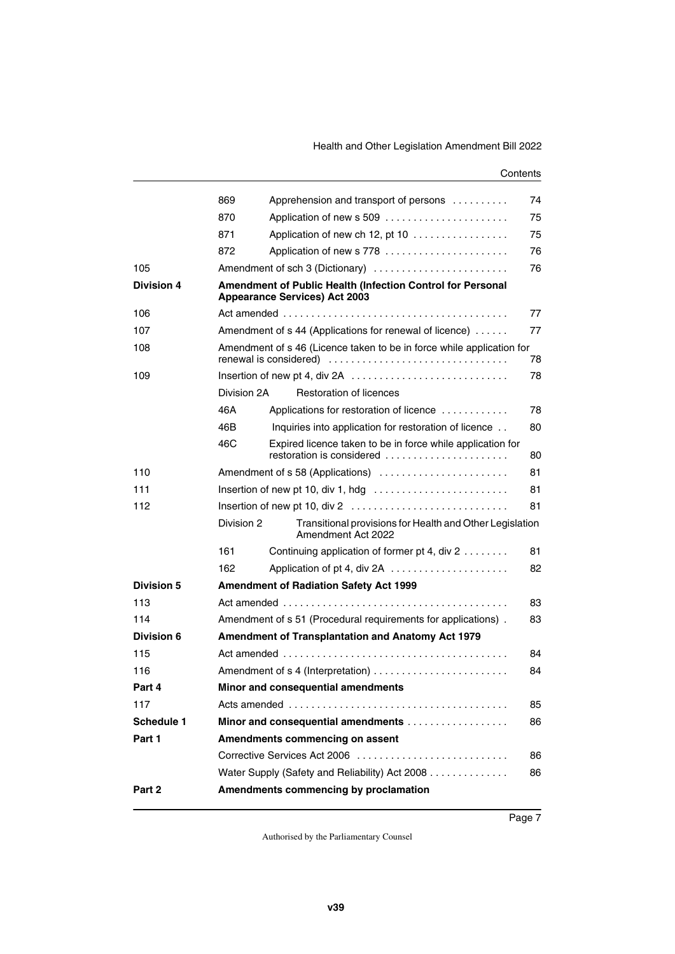|                   | 869                                                                                                | Apprehension and transport of persons                                                   | 74 |  |  |
|-------------------|----------------------------------------------------------------------------------------------------|-----------------------------------------------------------------------------------------|----|--|--|
|                   | 870                                                                                                | Application of new s 509                                                                | 75 |  |  |
|                   | 871                                                                                                | Application of new ch 12, pt 10                                                         | 75 |  |  |
|                   | 872                                                                                                | Application of new s 778                                                                | 76 |  |  |
| 105               |                                                                                                    | Amendment of sch 3 (Dictionary)                                                         | 76 |  |  |
| <b>Division 4</b> | Amendment of Public Health (Infection Control for Personal<br><b>Appearance Services) Act 2003</b> |                                                                                         |    |  |  |
| 106               |                                                                                                    |                                                                                         | 77 |  |  |
| 107               |                                                                                                    | Amendment of s 44 (Applications for renewal of licence)<br>77                           |    |  |  |
| 108               | Amendment of s 46 (Licence taken to be in force while application for<br>78                        |                                                                                         |    |  |  |
| 109               |                                                                                                    | Insertion of new pt 4, div 2A                                                           | 78 |  |  |
|                   | Division 2A                                                                                        | Restoration of licences                                                                 |    |  |  |
|                   | 46A                                                                                                | Applications for restoration of licence                                                 | 78 |  |  |
|                   | 46B                                                                                                | Inquiries into application for restoration of licence                                   | 80 |  |  |
|                   | 46C                                                                                                | Expired licence taken to be in force while application for<br>restoration is considered | 80 |  |  |
| 110               |                                                                                                    | Amendment of s 58 (Applications)                                                        | 81 |  |  |
| 111               |                                                                                                    | Insertion of new pt 10, div 1, hdg $\dots \dots \dots \dots \dots \dots \dots \dots$    | 81 |  |  |
| 112               |                                                                                                    |                                                                                         | 81 |  |  |
|                   | Division 2                                                                                         | Transitional provisions for Health and Other Legislation<br>Amendment Act 2022          |    |  |  |
|                   | 161                                                                                                | Continuing application of former pt 4, div 2                                            | 81 |  |  |
|                   | 162                                                                                                |                                                                                         | 82 |  |  |
| <b>Division 5</b> |                                                                                                    | <b>Amendment of Radiation Safety Act 1999</b>                                           |    |  |  |
| 113               |                                                                                                    |                                                                                         | 83 |  |  |
| 114               | Amendment of s 51 (Procedural requirements for applications).<br>83                                |                                                                                         |    |  |  |
| Division 6        | <b>Amendment of Transplantation and Anatomy Act 1979</b>                                           |                                                                                         |    |  |  |
| 115               | 84                                                                                                 |                                                                                         |    |  |  |
| 116               | 84                                                                                                 |                                                                                         |    |  |  |
| Part 4            | Minor and consequential amendments                                                                 |                                                                                         |    |  |  |
| 117               | 85                                                                                                 |                                                                                         |    |  |  |
| <b>Schedule 1</b> |                                                                                                    | Minor and consequential amendments                                                      | 86 |  |  |
| Part 1            |                                                                                                    | Amendments commencing on assent                                                         |    |  |  |
|                   |                                                                                                    | Corrective Services Act 2006                                                            | 86 |  |  |
|                   |                                                                                                    | Water Supply (Safety and Reliability) Act 2008                                          | 86 |  |  |
| Part 2            |                                                                                                    | Amendments commencing by proclamation                                                   |    |  |  |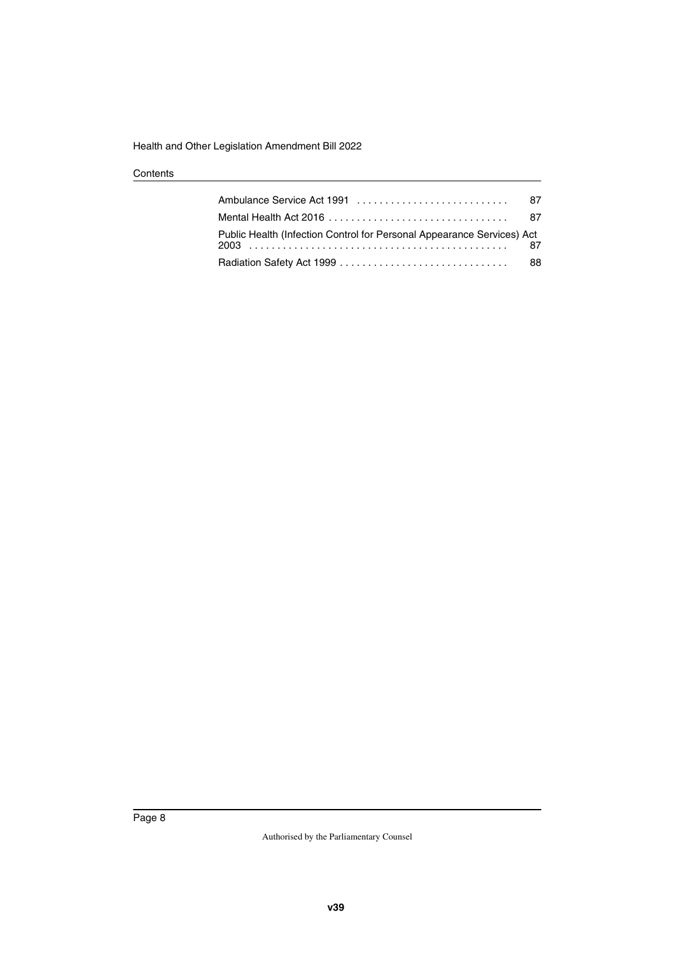|                                                                                                        | 87 |
|--------------------------------------------------------------------------------------------------------|----|
| Mental Health Act 2016 $\ldots$ , $\ldots$ , $\ldots$ , $\ldots$ , $\ldots$ , $\ldots$ , $\ldots$ , 87 |    |
| Public Health (Infection Control for Personal Appearance Services) Act                                 |    |
|                                                                                                        | 88 |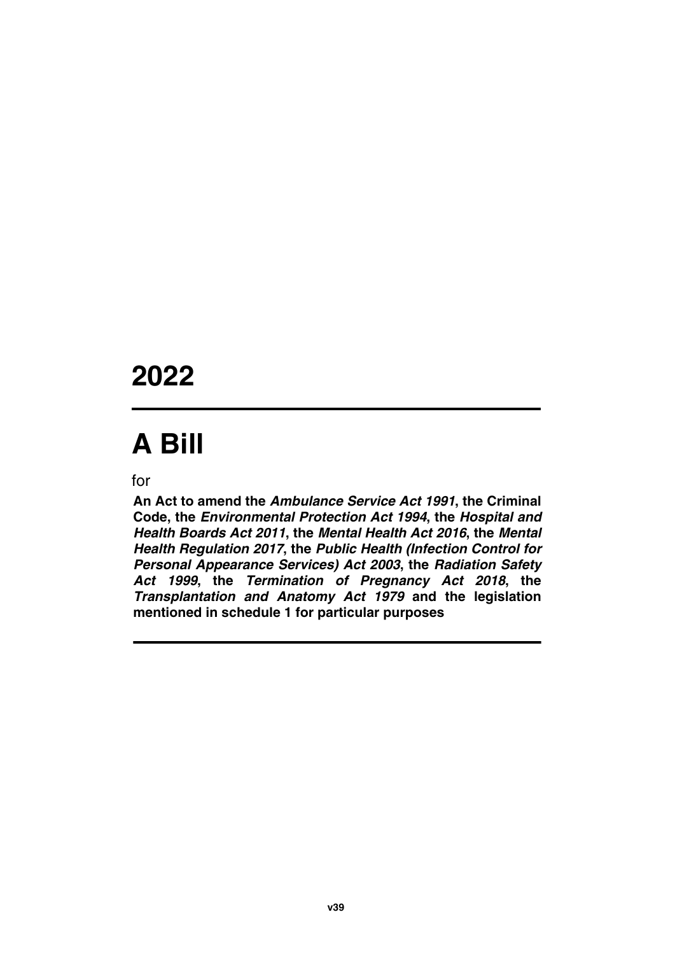# **2022**

# **A Bill**

for

**An Act to amend the** *Ambulance Service Act 1991***, the Criminal Code, the** *Environmental Protection Act 1994***, the** *Hospital and Health Boards Act 2011***, the** *Mental Health Act 2016***, the** *Mental Health Regulation 2017***, the** *Public Health (Infection Control for Personal Appearance Services) Act 2003***, the** *Radiation Safety Act 1999***, the** *Termination of Pregnancy Act 2018***, the** *Transplantation and Anatomy Act 1979* **and the legislation mentioned in schedule 1 for particular purposes**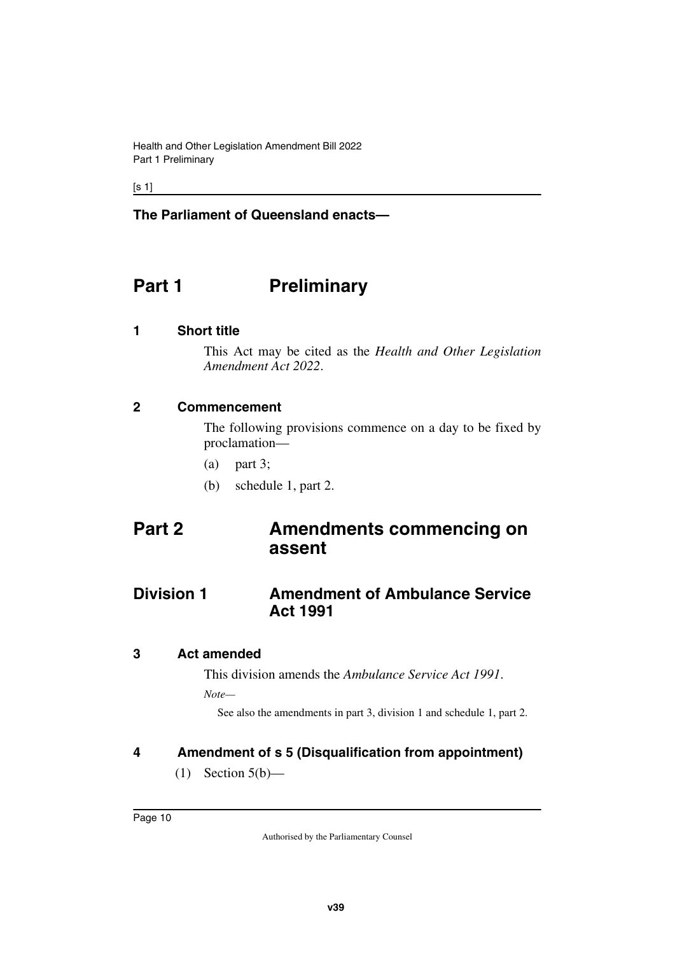$[s 1]$ 

#### **The Parliament of Queensland enacts—**

# <span id="page-11-0"></span>**Part 1** Preliminary

#### <span id="page-11-2"></span>**1 Short title**

<span id="page-11-3"></span><span id="page-11-1"></span>This Act may be cited as the *Health and Other Legislation Amendment Act 2022*.

#### <span id="page-11-4"></span>**2 Commencement**

<span id="page-11-5"></span>The following provisions commence on a day to be fixed by proclamation—

- (a) part 3;
- <span id="page-11-9"></span><span id="page-11-7"></span>(b) schedule 1, part 2.

# <span id="page-11-6"></span>**Part 2 Amendments commencing on assent**

# <span id="page-11-8"></span>**Division 1** Amendment of Ambulance Service **Act 1991**

#### <span id="page-11-10"></span>**3 Act amended**

<span id="page-11-11"></span>This division amends the *Ambulance Service Act 1991*.

*Note—*

See also the amendments in part 3, division 1 and schedule 1, part 2.

#### <span id="page-11-12"></span>**4 Amendment of s 5 (Disqualification from appointment)**

<span id="page-11-13"></span> $(1)$  Section  $5(b)$ —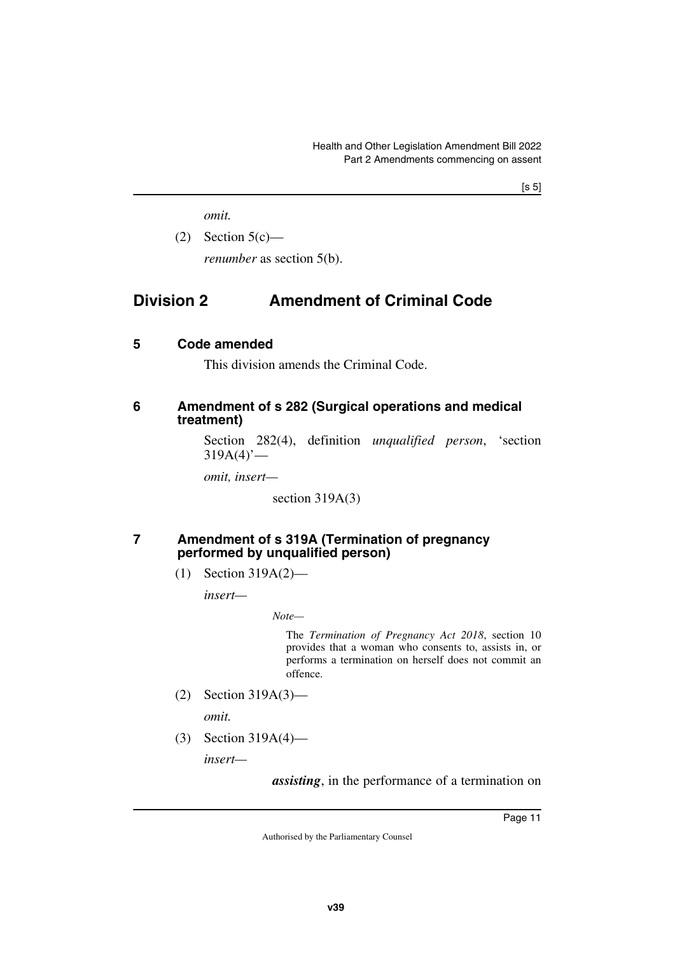<span id="page-12-1"></span>*omit.*

 $(2)$  Section  $5(c)$  *renumber* as section 5(b).

# <span id="page-12-0"></span>**Division 2 Amendment of Criminal Code**

#### <span id="page-12-2"></span>**5 Code amended**

<span id="page-12-5"></span><span id="page-12-3"></span>This division amends the Criminal Code.

#### <span id="page-12-4"></span>**6 Amendment of s 282 (Surgical operations and medical treatment)**

Section 282(4), definition *unqualified person*, 'section  $319A(4)$ <sup>'</sup>—

*omit, insert—*

section 319A(3)

#### <span id="page-12-6"></span>**7 Amendment of s 319A (Termination of pregnancy performed by unqualified person)**

<span id="page-12-7"></span>(1) Section 319A(2)—

*insert—*

*Note—*

The *Termination of Pregnancy Act 2018*, section 10 provides that a woman who consents to, assists in, or performs a termination on herself does not commit an offence.

(2) Section 319A(3)—

*omit.*

(3) Section 319A(4)—

*insert—*

*assisting*, in the performance of a termination on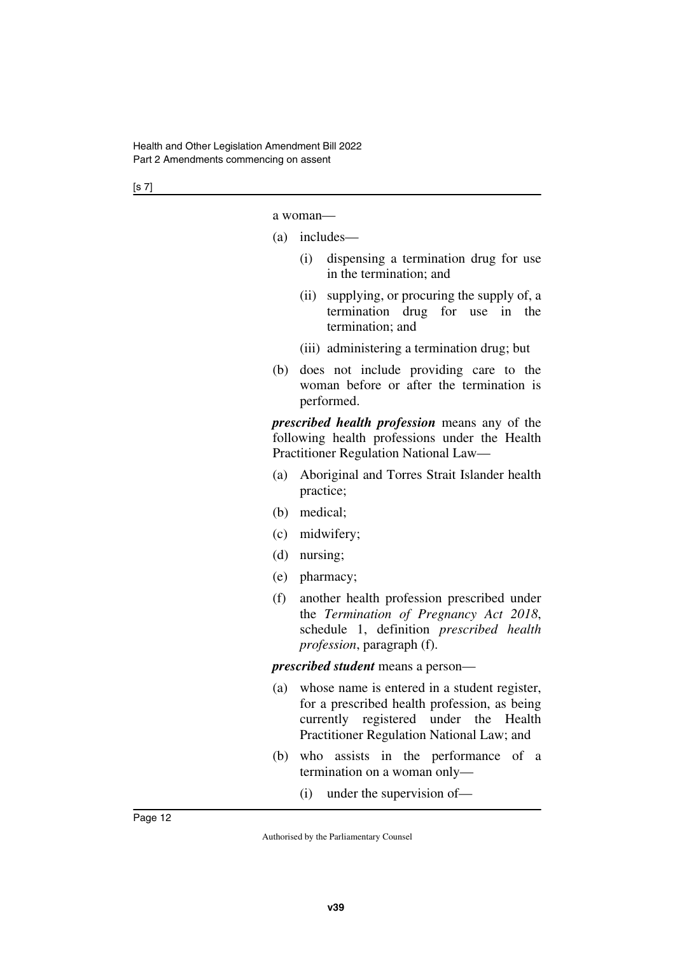[s 7]

a woman—

- (a) includes—
	- (i) dispensing a termination drug for use in the termination; and
	- (ii) supplying, or procuring the supply of, a termination drug for use in the termination; and
	- (iii) administering a termination drug; but
- (b) does not include providing care to the woman before or after the termination is performed.

*prescribed health profession* means any of the following health professions under the Health Practitioner Regulation National Law—

- (a) Aboriginal and Torres Strait Islander health practice;
- (b) medical;
- (c) midwifery;
- (d) nursing;
- (e) pharmacy;
- (f) another health profession prescribed under the *Termination of Pregnancy Act 2018*, schedule 1, definition *prescribed health profession*, paragraph (f).

*prescribed student* means a person—

- (a) whose name is entered in a student register, for a prescribed health profession, as being currently registered under the Health Practitioner Regulation National Law; and
- (b) who assists in the performance of a termination on a woman only—
	- (i) under the supervision of—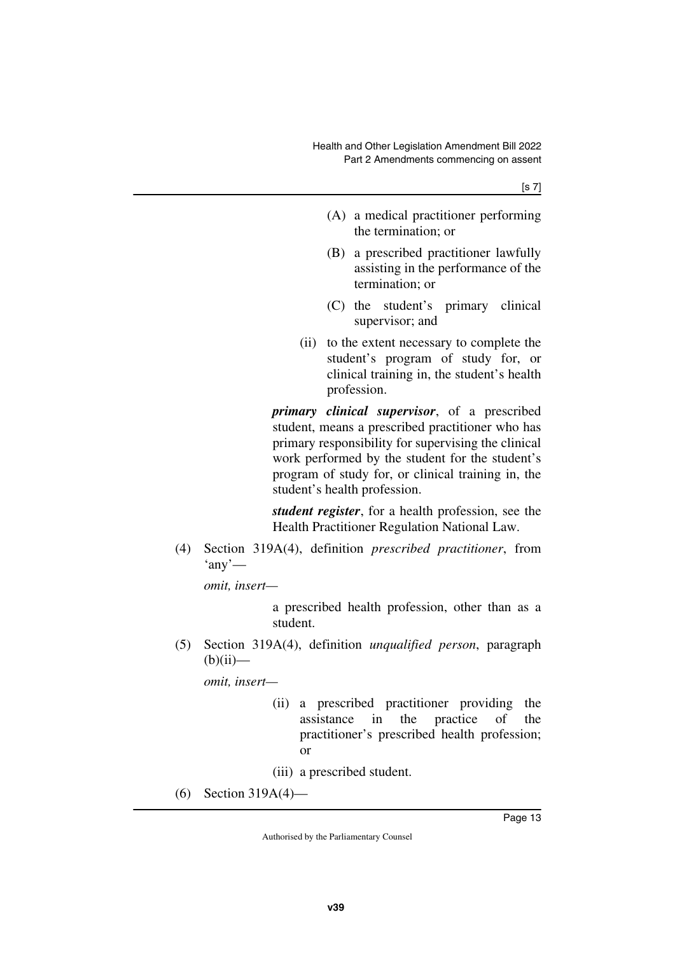- (A) a medical practitioner performing the termination; or
- (B) a prescribed practitioner lawfully assisting in the performance of the termination; or
- (C) the student's primary clinical supervisor; and
- (ii) to the extent necessary to complete the student's program of study for, or clinical training in, the student's health profession.

*primary clinical supervisor*, of a prescribed student, means a prescribed practitioner who has primary responsibility for supervising the clinical work performed by the student for the student's program of study for, or clinical training in, the student's health profession.

*student register*, for a health profession, see the Health Practitioner Regulation National Law.

(4) Section 319A(4), definition *prescribed practitioner*, from  $'$ any'—

*omit, insert—*

a prescribed health profession, other than as a student.

(5) Section 319A(4), definition *unqualified person*, paragraph  $(b)(ii)$ —

*omit, insert—*

(ii) a prescribed practitioner providing the assistance in the practice of the practitioner's prescribed health profession; or

(iii) a prescribed student.

(6) Section 319A(4)—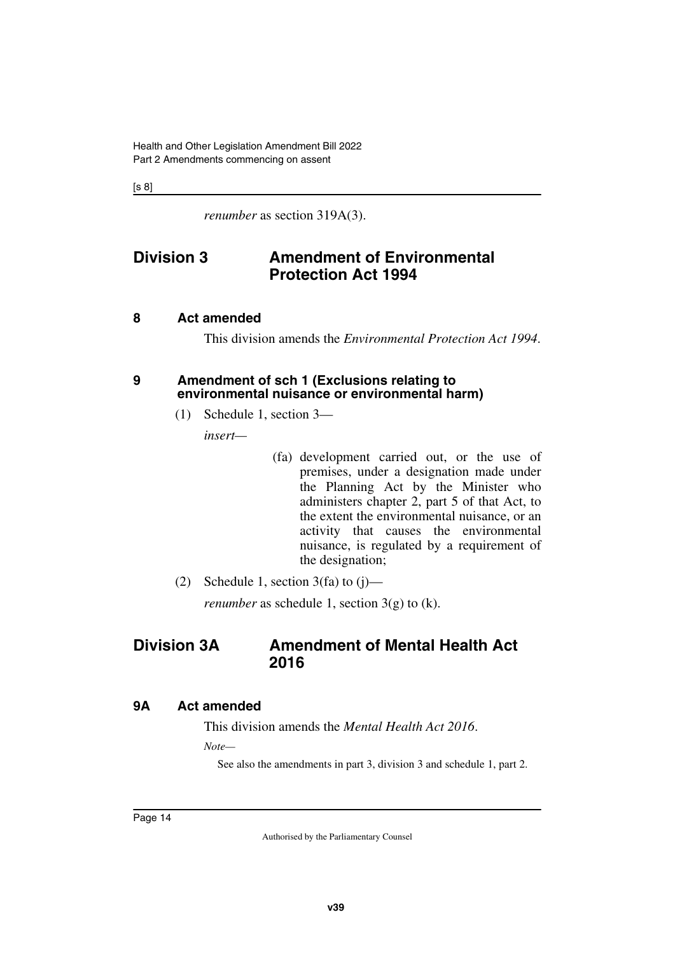[s 8]

<span id="page-15-1"></span>*renumber* as section 319A(3).

# <span id="page-15-0"></span>**Division 3 Amendment of Environmental Protection Act 1994**

#### <span id="page-15-2"></span>**8 Act amended**

<span id="page-15-5"></span><span id="page-15-3"></span>This division amends the *Environmental Protection Act 1994*.

#### <span id="page-15-4"></span>**9 Amendment of sch 1 (Exclusions relating to environmental nuisance or environmental harm)**

(1) Schedule 1, section 3—

*insert—*

- (fa) development carried out, or the use of premises, under a designation made under the Planning Act by the Minister who administers chapter 2, part 5 of that Act, to the extent the environmental nuisance, or an activity that causes the environmental nuisance, is regulated by a requirement of the designation;
- (2) Schedule 1, section  $3(fa)$  to  $(i)$ —

<span id="page-15-7"></span>*renumber* as schedule 1, section  $3(g)$  to (k).

# <span id="page-15-6"></span>**Division 3A Amendment of Mental Health Act 2016**

#### <span id="page-15-8"></span>**9A Act amended**

<span id="page-15-9"></span>This division amends the *Mental Health Act 2016*.

*Note—*

See also the amendments in part 3, division 3 and schedule 1, part 2.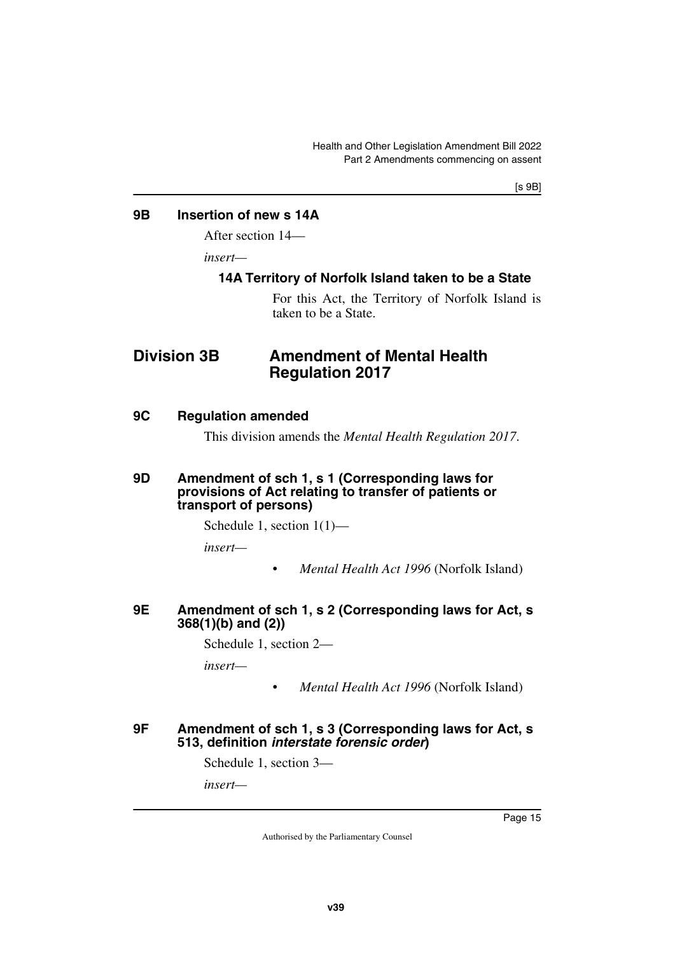[s 9B]

#### <span id="page-16-0"></span>**9B Insertion of new s 14A**

<span id="page-16-1"></span>After section 14—

*insert—*

#### <span id="page-16-3"></span><span id="page-16-2"></span>**14A Territory of Norfolk Island taken to be a State**

<span id="page-16-5"></span>For this Act, the Territory of Norfolk Island is taken to be a State.

# <span id="page-16-4"></span>**Division 3B Amendment of Mental Health Regulation 2017**

#### <span id="page-16-6"></span>**9C Regulation amended**

<span id="page-16-9"></span><span id="page-16-7"></span>This division amends the *Mental Health Regulation 2017*.

#### <span id="page-16-8"></span>**9D Amendment of sch 1, s 1 (Corresponding laws for provisions of Act relating to transfer of patients or transport of persons)**

Schedule 1, section 1(1)—

*insert—*

• *Mental Health Act 1996* (Norfolk Island)

#### <span id="page-16-11"></span><span id="page-16-10"></span>**9E Amendment of sch 1, s 2 (Corresponding laws for Act, s 368(1)(b) and (2))**

Schedule 1, section 2—

*insert—*

• *Mental Health Act 1996* (Norfolk Island)

#### <span id="page-16-13"></span><span id="page-16-12"></span>**9F Amendment of sch 1, s 3 (Corresponding laws for Act, s 513, definition** *interstate forensic order***)**

Schedule 1, section 3—

*insert—*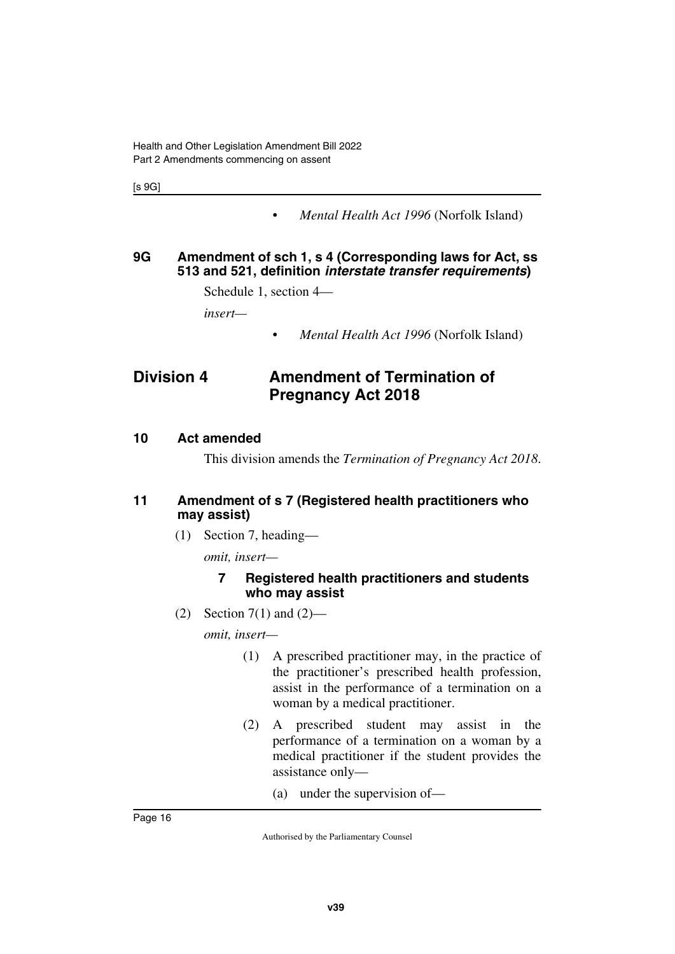[s 9G]

• *Mental Health Act 1996* (Norfolk Island)

#### <span id="page-17-1"></span><span id="page-17-0"></span>**9G Amendment of sch 1, s 4 (Corresponding laws for Act, ss 513 and 521, definition** *interstate transfer requirements***)**

Schedule 1, section 4—

*insert—*

<span id="page-17-3"></span>• *Mental Health Act 1996* (Norfolk Island)

# <span id="page-17-2"></span>**Division 4 Amendment of Termination of Pregnancy Act 2018**

#### <span id="page-17-4"></span>**10 Act amended**

<span id="page-17-7"></span><span id="page-17-5"></span>This division amends the *Termination of Pregnancy Act 2018*.

#### <span id="page-17-6"></span>**11 Amendment of s 7 (Registered health practitioners who may assist)**

(1) Section 7, heading—

*omit, insert—*

#### **7 Registered health practitioners and students who may assist**

(2) Section 7(1) and  $(2)$ —

*omit, insert—*

- (1) A prescribed practitioner may, in the practice of the practitioner's prescribed health profession, assist in the performance of a termination on a woman by a medical practitioner.
- (2) A prescribed student may assist in the performance of a termination on a woman by a medical practitioner if the student provides the assistance only—
	- (a) under the supervision of—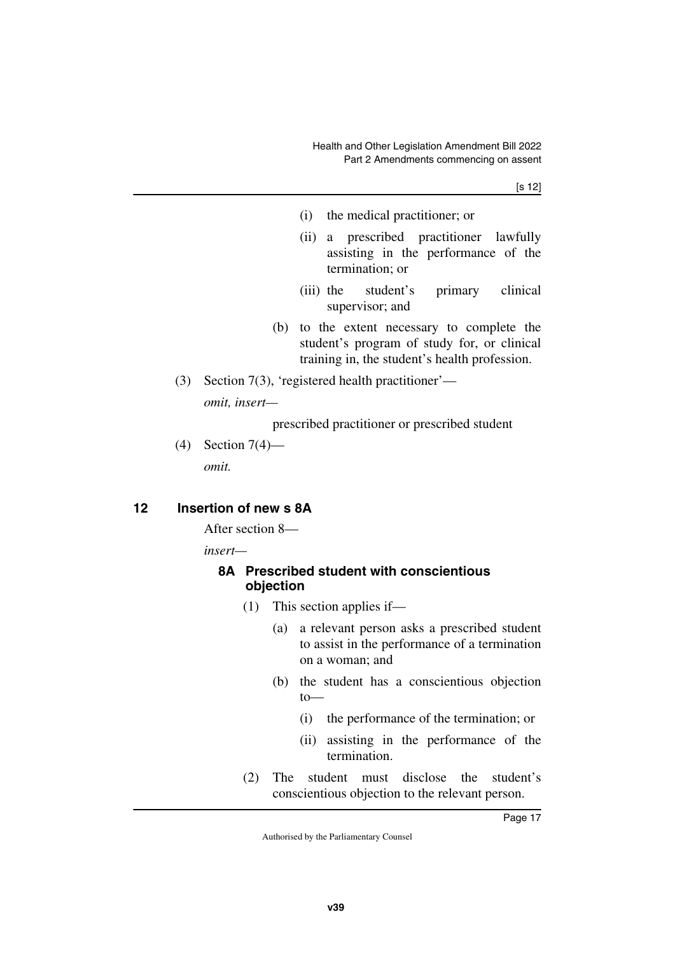[s 12]

- (i) the medical practitioner; or
- (ii) a prescribed practitioner lawfully assisting in the performance of the termination; or
- (iii) the student's primary clinical supervisor; and
- (b) to the extent necessary to complete the student's program of study for, or clinical training in, the student's health profession.
- (3) Section 7(3), 'registered health practitioner' *omit, insert—*

prescribed practitioner or prescribed student

(4) Section 7(4) *omit.*

#### <span id="page-18-0"></span>**12 Insertion of new s 8A**

<span id="page-18-1"></span>After section 8—

*insert—*

#### <span id="page-18-3"></span><span id="page-18-2"></span>**8A Prescribed student with conscientious objection**

- (1) This section applies if—
	- (a) a relevant person asks a prescribed student to assist in the performance of a termination on a woman; and
	- (b) the student has a conscientious objection to—
		- (i) the performance of the termination; or
		- (ii) assisting in the performance of the termination.
- (2) The student must disclose the student's conscientious objection to the relevant person.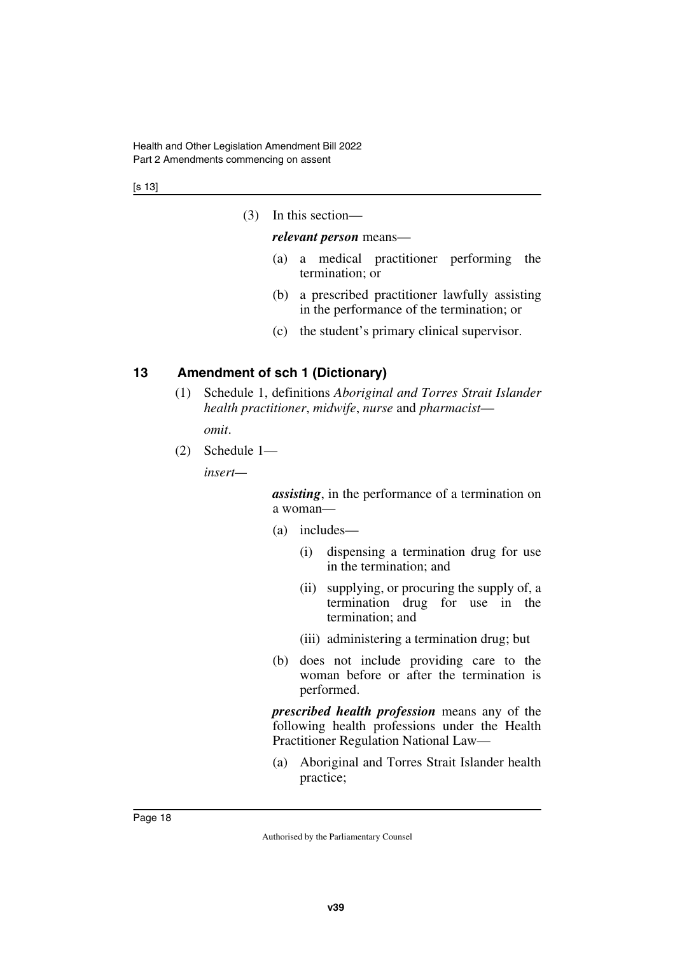[s 13]

(3) In this section—

#### *relevant person* means—

- (a) a medical practitioner performing the termination; or
- (b) a prescribed practitioner lawfully assisting in the performance of the termination; or
- (c) the student's primary clinical supervisor.

#### <span id="page-19-0"></span>**13 Amendment of sch 1 (Dictionary)**

<span id="page-19-1"></span>(1) Schedule 1, definitions *Aboriginal and Torres Strait Islander health practitioner*, *midwife*, *nurse* and *pharmacist*—

*omit*.

(2) Schedule 1—

*insert—*

*assisting*, in the performance of a termination on a woman—

- (a) includes—
	- (i) dispensing a termination drug for use in the termination; and
	- (ii) supplying, or procuring the supply of, a termination drug for use in the termination; and
	- (iii) administering a termination drug; but
- (b) does not include providing care to the woman before or after the termination is performed.

*prescribed health profession* means any of the following health professions under the Health Practitioner Regulation National Law—

(a) Aboriginal and Torres Strait Islander health practice;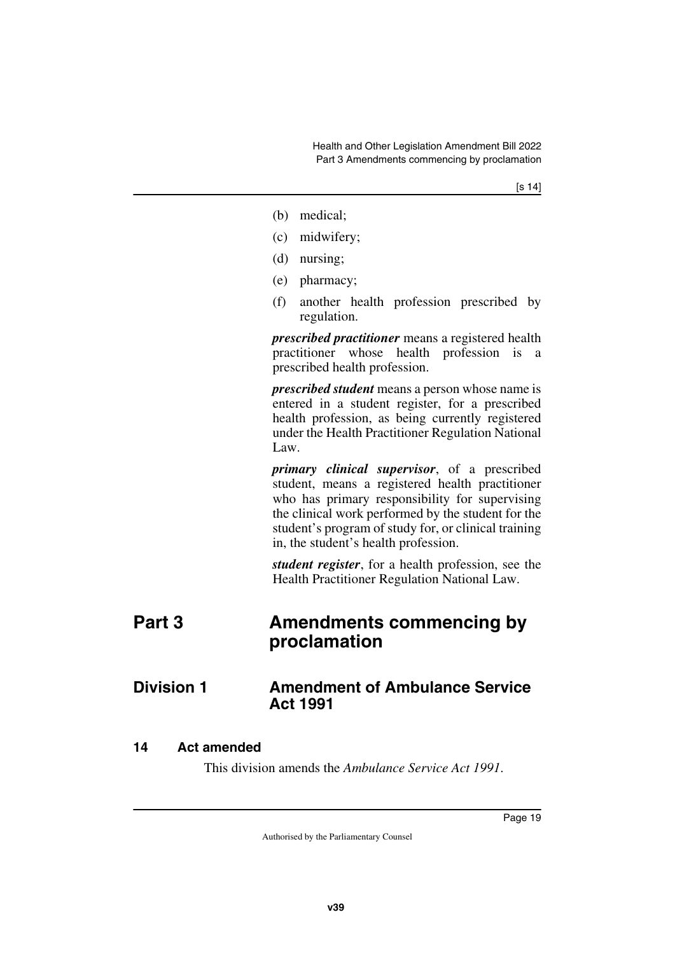- (b) medical;
- (c) midwifery;
- (d) nursing;
- (e) pharmacy;
- (f) another health profession prescribed by regulation.

*prescribed practitioner* means a registered health practitioner whose health profession is a prescribed health profession.

*prescribed student* means a person whose name is entered in a student register, for a prescribed health profession, as being currently registered under the Health Practitioner Regulation National Law.

*primary clinical supervisor*, of a prescribed student, means a registered health practitioner who has primary responsibility for supervising the clinical work performed by the student for the student's program of study for, or clinical training in, the student's health profession.

<span id="page-20-3"></span><span id="page-20-1"></span>*student register*, for a health profession, see the Health Practitioner Regulation National Law.

# <span id="page-20-0"></span>**Part 3 Amendments commencing by proclamation**

# <span id="page-20-2"></span>**Division 1** Amendment of Ambulance Service **Act 1991**

#### <span id="page-20-4"></span>**14 Act amended**

<span id="page-20-5"></span>This division amends the *Ambulance Service Act 1991*.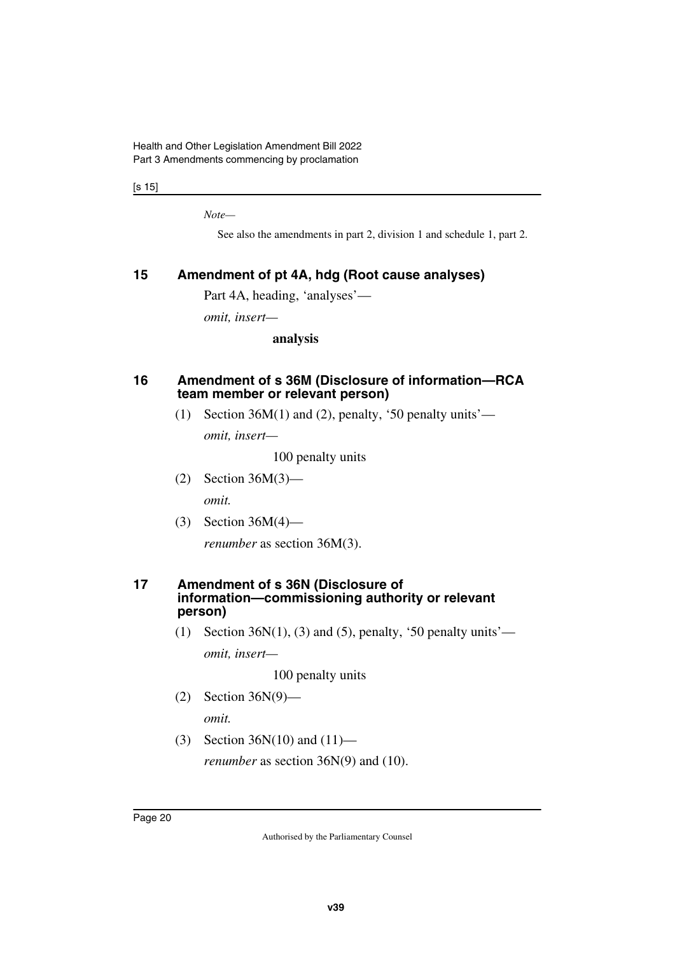[s 15]

*Note—*

See also the amendments in part 2, division 1 and schedule 1, part 2.

#### <span id="page-21-0"></span>**15 Amendment of pt 4A, hdg (Root cause analyses)**

<span id="page-21-1"></span>Part 4A, heading, 'analyses'—

*omit, insert—*

**analysis**

#### <span id="page-21-3"></span><span id="page-21-2"></span>**16 Amendment of s 36M (Disclosure of information—RCA team member or relevant person)**

(1) Section 36M(1) and (2), penalty, '50 penalty units'—

*omit, insert—*

100 penalty units

- (2) Section 36M(3) *omit.*
- (3) Section 36M(4)—

<span id="page-21-5"></span>*renumber* as section 36M(3).

#### <span id="page-21-4"></span>**17 Amendment of s 36N (Disclosure of information—commissioning authority or relevant person)**

(1) Section  $36N(1)$ , (3) and (5), penalty, '50 penalty units' *omit, insert—*

100 penalty units

(2) Section 36N(9)—

*omit.*

(3) Section 36N(10) and (11) *renumber* as section 36N(9) and (10).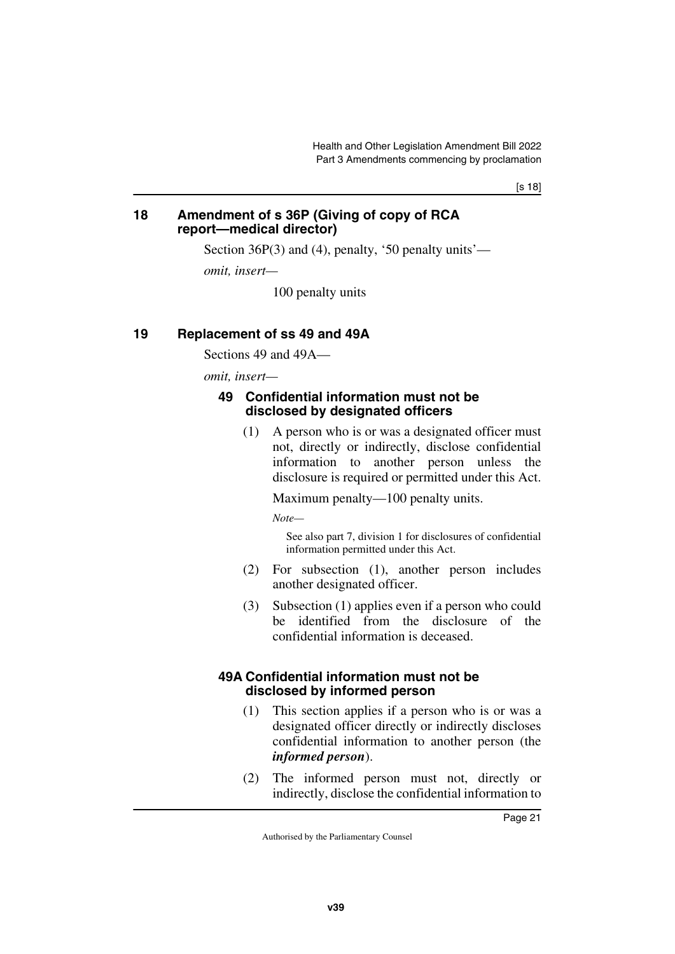[s 18]

#### <span id="page-22-1"></span><span id="page-22-0"></span>**18 Amendment of s 36P (Giving of copy of RCA report—medical director)**

Section 36P(3) and (4), penalty, '50 penalty units'—

*omit, insert—*

100 penalty units

#### <span id="page-22-2"></span>**19 Replacement of ss 49 and 49A**

<span id="page-22-3"></span>Sections 49 and 49A—

*omit, insert—*

#### <span id="page-22-5"></span><span id="page-22-4"></span>**49 Confidential information must not be disclosed by designated officers**

(1) A person who is or was a designated officer must not, directly or indirectly, disclose confidential information to another person unless the disclosure is required or permitted under this Act.

Maximum penalty—100 penalty units.

*Note—*

See also part 7, division 1 for disclosures of confidential information permitted under this Act.

- (2) For subsection (1), another person includes another designated officer.
- (3) Subsection (1) applies even if a person who could be identified from the disclosure of the confidential information is deceased.

#### <span id="page-22-7"></span><span id="page-22-6"></span>**49A Confidential information must not be disclosed by informed person**

- (1) This section applies if a person who is or was a designated officer directly or indirectly discloses confidential information to another person (the *informed person*).
- (2) The informed person must not, directly or indirectly, disclose the confidential information to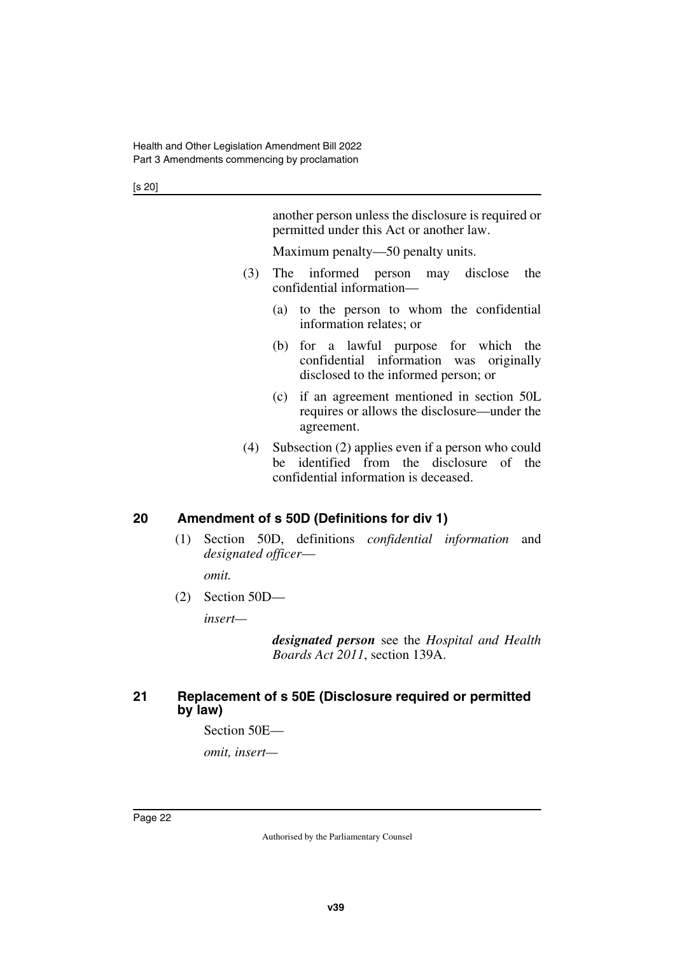another person unless the disclosure is required or permitted under this Act or another law.

Maximum penalty—50 penalty units.

- (3) The informed person may disclose the confidential information—
	- (a) to the person to whom the confidential information relates; or
	- (b) for a lawful purpose for which the confidential information was originally disclosed to the informed person; or
	- (c) if an agreement mentioned in section 50L requires or allows the disclosure—under the agreement.
- (4) Subsection (2) applies even if a person who could be identified from the disclosure of the confidential information is deceased.

#### <span id="page-23-0"></span>**20 Amendment of s 50D (Definitions for div 1)**

<span id="page-23-1"></span>(1) Section 50D, definitions *confidential information* and *designated officer*—

*omit.*

(2) Section 50D—

*insert—*

*designated person* see the *Hospital and Health Boards Act 2011*, section 139A.

#### <span id="page-23-3"></span><span id="page-23-2"></span>**21 Replacement of s 50E (Disclosure required or permitted by law)**

Section 50E—

*omit, insert—*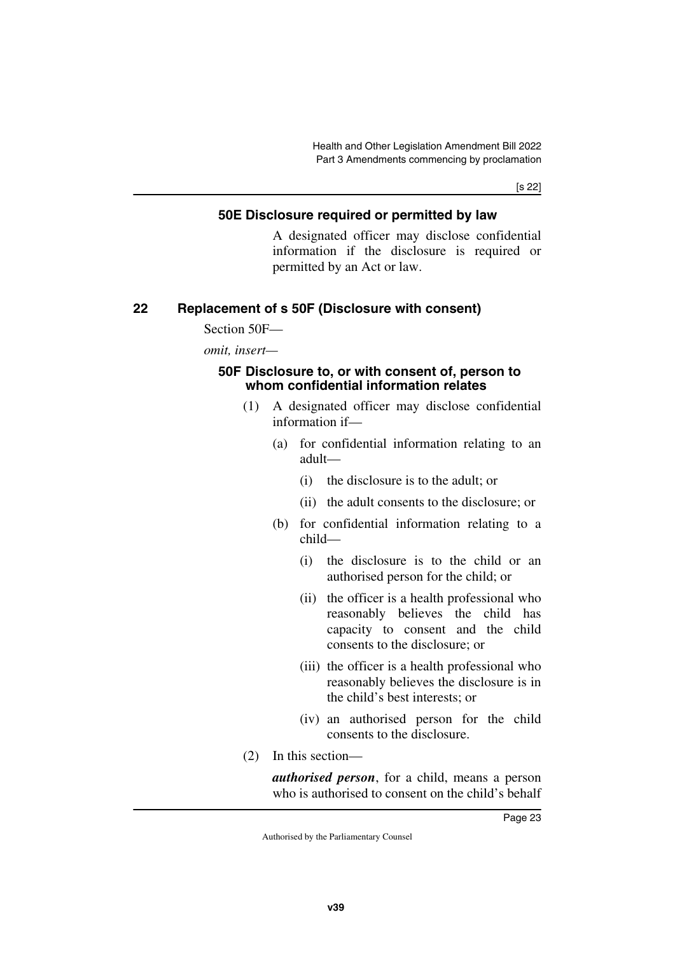[s 22]

#### <span id="page-24-1"></span><span id="page-24-0"></span>**50E Disclosure required or permitted by law**

A designated officer may disclose confidential information if the disclosure is required or permitted by an Act or law.

#### <span id="page-24-2"></span>**22 Replacement of s 50F (Disclosure with consent)**

<span id="page-24-3"></span>Section 50F—

*omit, insert—*

#### <span id="page-24-5"></span><span id="page-24-4"></span>**50F Disclosure to, or with consent of, person to whom confidential information relates**

- (1) A designated officer may disclose confidential information if—
	- (a) for confidential information relating to an adult—
		- (i) the disclosure is to the adult; or
		- (ii) the adult consents to the disclosure; or
	- (b) for confidential information relating to a child—
		- (i) the disclosure is to the child or an authorised person for the child; or
		- (ii) the officer is a health professional who reasonably believes the child has capacity to consent and the child consents to the disclosure; or
		- (iii) the officer is a health professional who reasonably believes the disclosure is in the child's best interests; or
		- (iv) an authorised person for the child consents to the disclosure.
- (2) In this section—

*authorised person*, for a child, means a person who is authorised to consent on the child's behalf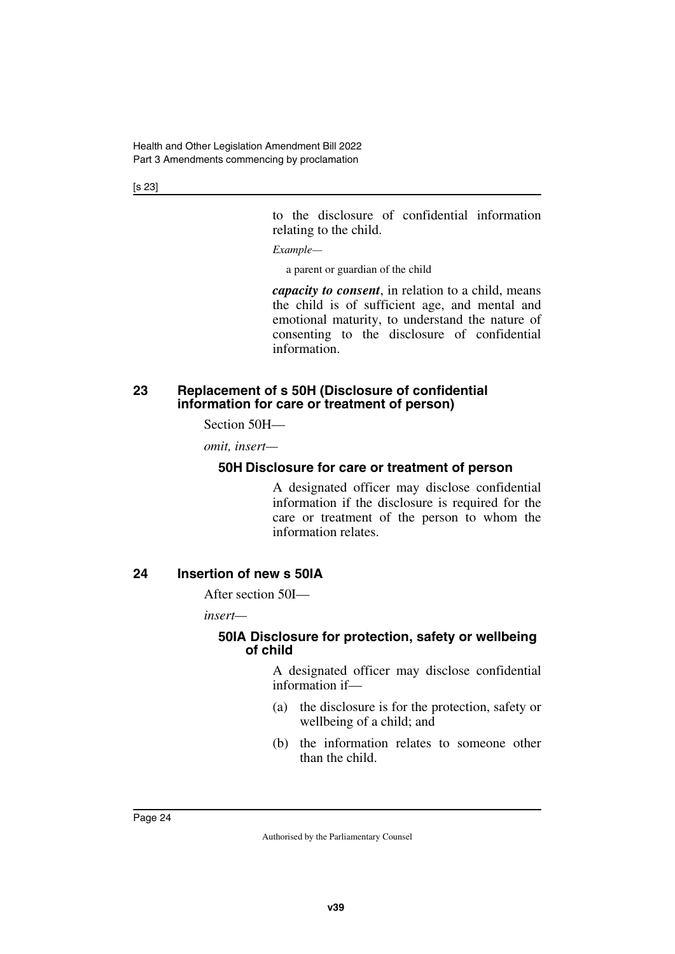[s 23]

to the disclosure of confidential information relating to the child.

*Example—*

a parent or guardian of the child

*capacity to consent*, in relation to a child, means the child is of sufficient age, and mental and emotional maturity, to understand the nature of consenting to the disclosure of confidential information.

#### <span id="page-25-1"></span><span id="page-25-0"></span>**23 Replacement of s 50H (Disclosure of confidential information for care or treatment of person)**

Section 50H—

*omit, insert—*

#### <span id="page-25-3"></span><span id="page-25-2"></span>**50H Disclosure for care or treatment of person**

A designated officer may disclose confidential information if the disclosure is required for the care or treatment of the person to whom the information relates.

#### <span id="page-25-4"></span>**24 Insertion of new s 50IA**

<span id="page-25-5"></span>After section 50I—

*insert—*

#### <span id="page-25-7"></span><span id="page-25-6"></span>**50IA Disclosure for protection, safety or wellbeing of child**

A designated officer may disclose confidential information if—

- (a) the disclosure is for the protection, safety or wellbeing of a child; and
- (b) the information relates to someone other than the child.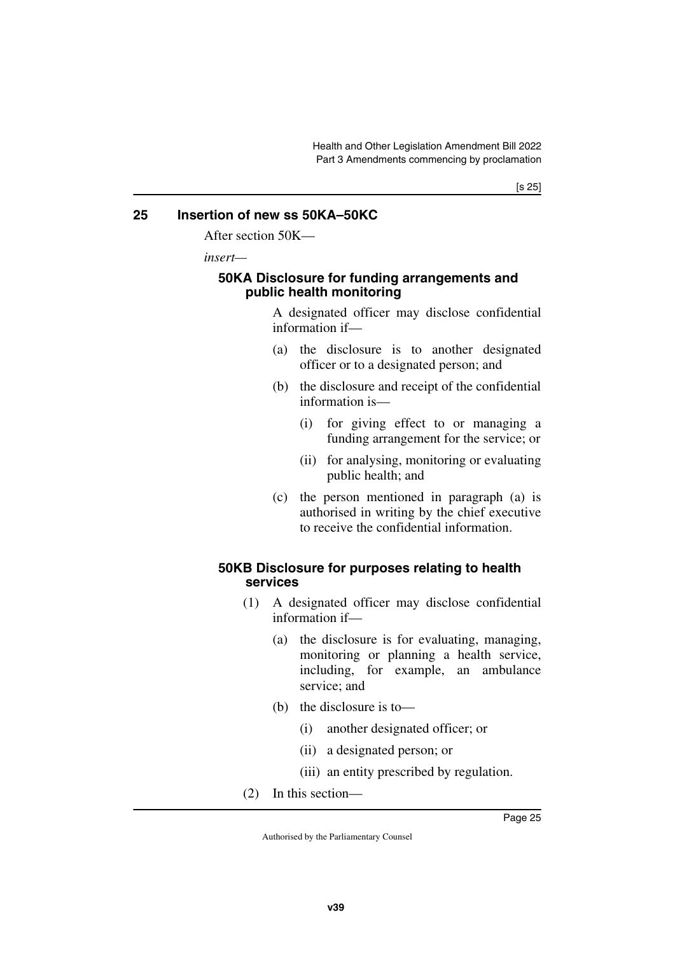#### <span id="page-26-0"></span>**25 Insertion of new ss 50KA–50KC**

<span id="page-26-1"></span>After section 50K—

*insert—*

#### <span id="page-26-3"></span><span id="page-26-2"></span>**50KA Disclosure for funding arrangements and public health monitoring**

A designated officer may disclose confidential information if—

- (a) the disclosure is to another designated officer or to a designated person; and
- (b) the disclosure and receipt of the confidential information is—
	- (i) for giving effect to or managing a funding arrangement for the service; or
	- (ii) for analysing, monitoring or evaluating public health; and
- (c) the person mentioned in paragraph (a) is authorised in writing by the chief executive to receive the confidential information.

#### <span id="page-26-5"></span><span id="page-26-4"></span>**50KB Disclosure for purposes relating to health services**

- (1) A designated officer may disclose confidential information if—
	- (a) the disclosure is for evaluating, managing, monitoring or planning a health service, including, for example, an ambulance service; and
	- (b) the disclosure is to—
		- (i) another designated officer; or
		- (ii) a designated person; or
		- (iii) an entity prescribed by regulation.
- (2) In this section—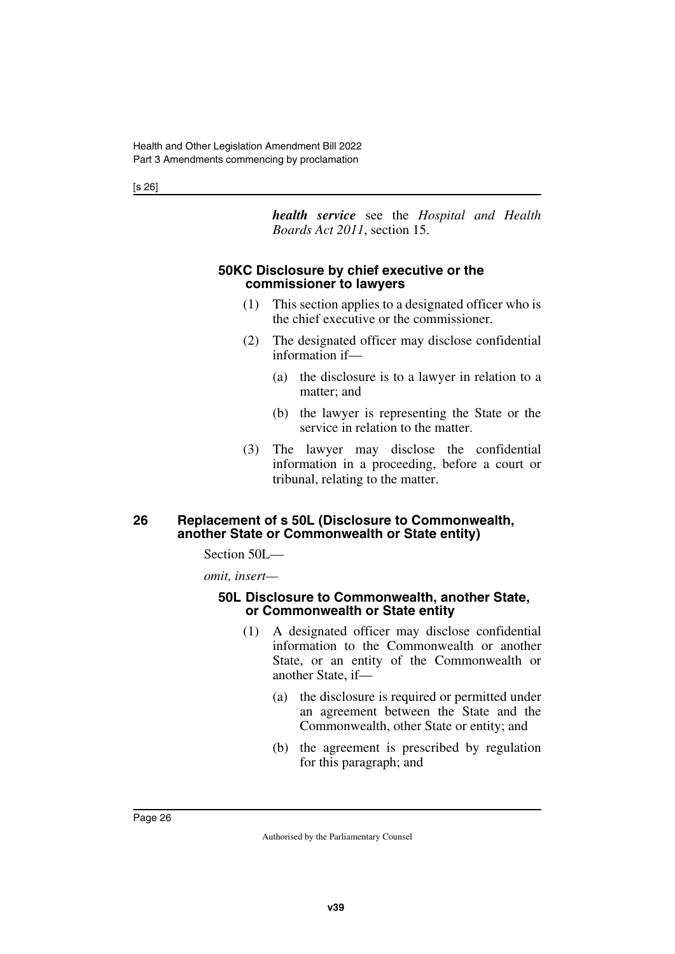[s 26]

*health service* see the *Hospital and Health Boards Act 2011*, section 15.

#### <span id="page-27-1"></span><span id="page-27-0"></span>**50KC Disclosure by chief executive or the commissioner to lawyers**

- (1) This section applies to a designated officer who is the chief executive or the commissioner.
- (2) The designated officer may disclose confidential information if—
	- (a) the disclosure is to a lawyer in relation to a matter; and
	- (b) the lawyer is representing the State or the service in relation to the matter.
- (3) The lawyer may disclose the confidential information in a proceeding, before a court or tribunal, relating to the matter.

#### <span id="page-27-3"></span><span id="page-27-2"></span>**26 Replacement of s 50L (Disclosure to Commonwealth, another State or Commonwealth or State entity)**

Section 50L—

*omit, insert—*

#### <span id="page-27-5"></span><span id="page-27-4"></span>**50L Disclosure to Commonwealth, another State, or Commonwealth or State entity**

- (1) A designated officer may disclose confidential information to the Commonwealth or another State, or an entity of the Commonwealth or another State, if—
	- (a) the disclosure is required or permitted under an agreement between the State and the Commonwealth, other State or entity; and
	- (b) the agreement is prescribed by regulation for this paragraph; and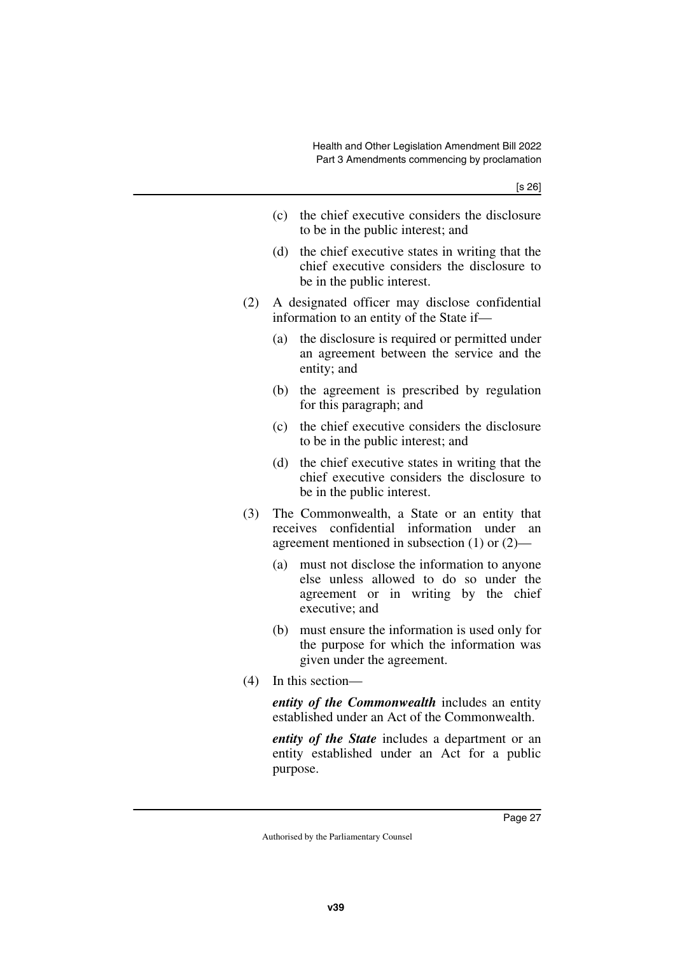- (c) the chief executive considers the disclosure to be in the public interest; and
- (d) the chief executive states in writing that the chief executive considers the disclosure to be in the public interest.
- (2) A designated officer may disclose confidential information to an entity of the State if—
	- (a) the disclosure is required or permitted under an agreement between the service and the entity; and
	- (b) the agreement is prescribed by regulation for this paragraph; and
	- (c) the chief executive considers the disclosure to be in the public interest; and
	- (d) the chief executive states in writing that the chief executive considers the disclosure to be in the public interest.
- (3) The Commonwealth, a State or an entity that receives confidential information under an agreement mentioned in subsection (1) or (2)—
	- (a) must not disclose the information to anyone else unless allowed to do so under the agreement or in writing by the chief executive; and
	- (b) must ensure the information is used only for the purpose for which the information was given under the agreement.
- (4) In this section—

*entity of the Commonwealth* includes an entity established under an Act of the Commonwealth.

*entity of the State* includes a department or an entity established under an Act for a public purpose.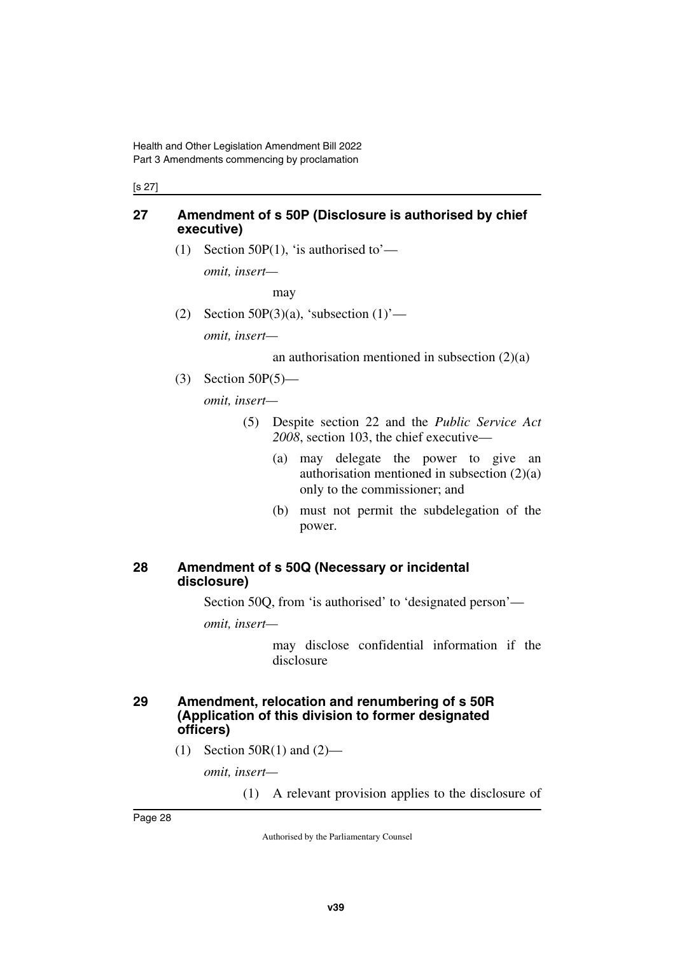#### [s 27]

#### <span id="page-29-0"></span>**27 Amendment of s 50P (Disclosure is authorised by chief executive)**

<span id="page-29-1"></span>(1) Section 50P(1), 'is authorised to'—

*omit, insert—*

may

(2) Section 50P(3)(a), 'subsection  $(1)$ ' *omit, insert—*

an authorisation mentioned in subsection  $(2)(a)$ 

(3) Section 50P(5)—

*omit, insert—*

- (5) Despite section 22 and the *Public Service Act 2008*, section 103, the chief executive—
	- (a) may delegate the power to give an authorisation mentioned in subsection (2)(a) only to the commissioner; and
	- (b) must not permit the subdelegation of the power.

#### <span id="page-29-3"></span><span id="page-29-2"></span>**28 Amendment of s 50Q (Necessary or incidental disclosure)**

Section 50Q, from 'is authorised' to 'designated person'—

*omit, insert—*

may disclose confidential information if the disclosure

#### <span id="page-29-5"></span><span id="page-29-4"></span>**29 Amendment, relocation and renumbering of s 50R (Application of this division to former designated officers)**

 $(1)$  Section 50R(1) and (2)—

*omit, insert—*

(1) A relevant provision applies to the disclosure of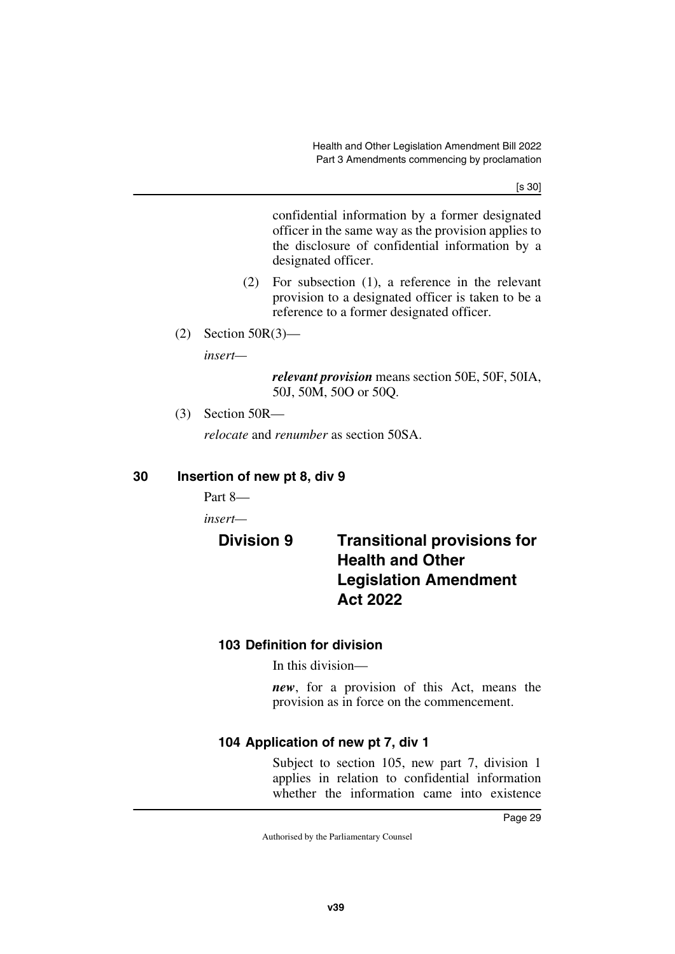[s 30]

confidential information by a former designated officer in the same way as the provision applies to the disclosure of confidential information by a designated officer.

- (2) For subsection (1), a reference in the relevant provision to a designated officer is taken to be a reference to a former designated officer.
- (2) Section 50R(3)—

*insert—*

*relevant provision* means section 50E, 50F, 50IA, 50J, 50M, 50O or 50Q.

(3) Section 50R—

<span id="page-30-1"></span>*relocate* and *renumber* as section 50SA.

#### <span id="page-30-0"></span>**30 Insertion of new pt 8, div 9**

Part 8—

*insert—*

# <span id="page-30-3"></span><span id="page-30-2"></span>**Division 9 Transitional provisions for Health and Other Legislation Amendment Act 2022**

### <span id="page-30-5"></span><span id="page-30-4"></span>**103 Definition for division**

In this division—

*new*, for a provision of this Act, means the provision as in force on the commencement.

### <span id="page-30-7"></span><span id="page-30-6"></span>**104 Application of new pt 7, div 1**

Subject to section 105, new part 7, division 1 applies in relation to confidential information whether the information came into existence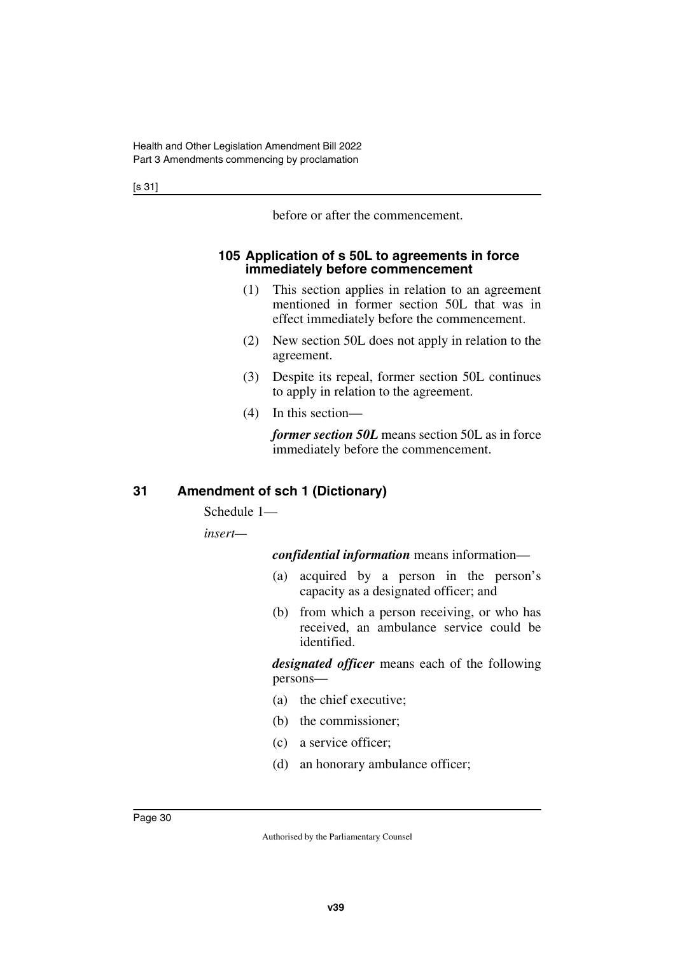before or after the commencement.

#### <span id="page-31-1"></span><span id="page-31-0"></span>**105 Application of s 50L to agreements in force immediately before commencement**

- (1) This section applies in relation to an agreement mentioned in former section 50L that was in effect immediately before the commencement.
- (2) New section 50L does not apply in relation to the agreement.
- (3) Despite its repeal, former section 50L continues to apply in relation to the agreement.
- (4) In this section—

*former section 50L* means section 50L as in force immediately before the commencement.

### <span id="page-31-2"></span>**31 Amendment of sch 1 (Dictionary)**

<span id="page-31-3"></span>Schedule 1—

*insert—*

*confidential information* means information—

- (a) acquired by a person in the person's capacity as a designated officer; and
- (b) from which a person receiving, or who has received, an ambulance service could be identified.

*designated officer* means each of the following persons—

- (a) the chief executive;
- (b) the commissioner;
- (c) a service officer;
- (d) an honorary ambulance officer;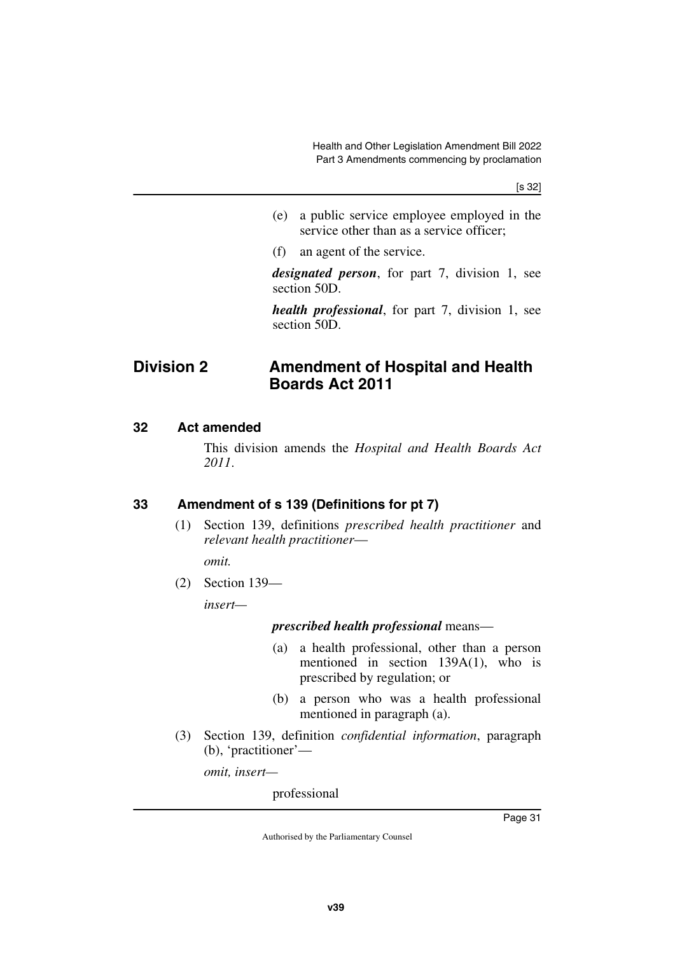- (e) a public service employee employed in the service other than as a service officer;
- (f) an agent of the service.

*designated person*, for part 7, division 1, see section 50D.

<span id="page-32-1"></span>*health professional*, for part 7, division 1, see section 50D.

# <span id="page-32-0"></span>**Division 2 Amendment of Hospital and Health Boards Act 2011**

#### <span id="page-32-2"></span>**32 Act amended**

<span id="page-32-3"></span>This division amends the *Hospital and Health Boards Act 2011*.

### <span id="page-32-4"></span>**33 Amendment of s 139 (Definitions for pt 7)**

<span id="page-32-5"></span>(1) Section 139, definitions *prescribed health practitioner* and *relevant health practitioner*—

*omit.*

(2) Section 139—

*insert—*

#### *prescribed health professional* means—

- (a) a health professional, other than a person mentioned in section 139A(1), who is prescribed by regulation; or
- (b) a person who was a health professional mentioned in paragraph (a).
- (3) Section 139, definition *confidential information*, paragraph (b), 'practitioner'—

*omit, insert—*

professional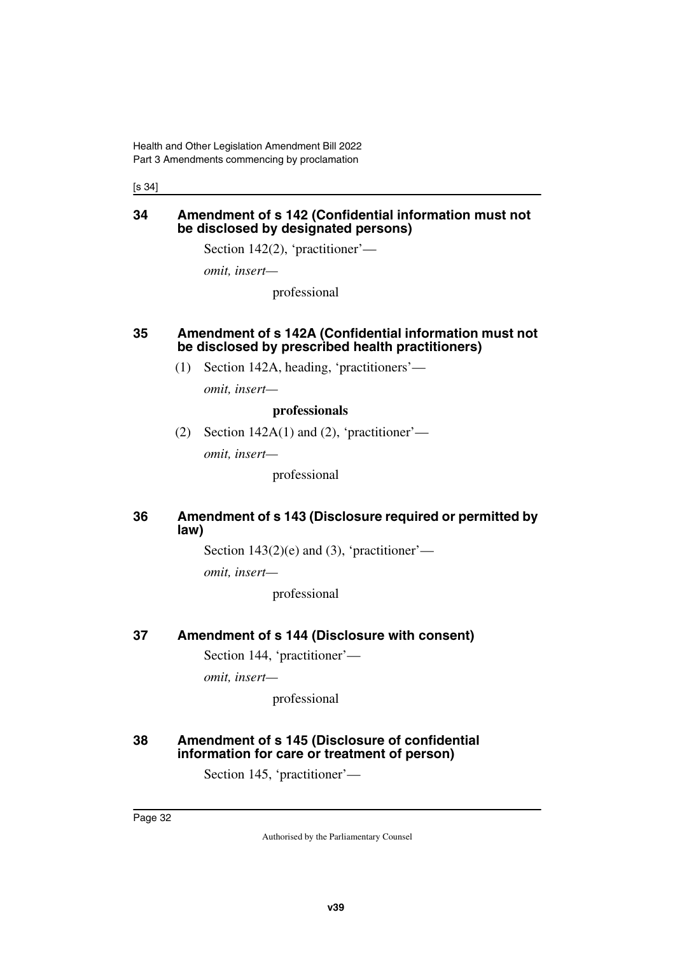[s 34]

#### <span id="page-33-1"></span><span id="page-33-0"></span>**34 Amendment of s 142 (Confidential information must not be disclosed by designated persons)**

Section 142(2), 'practitioner'—

*omit, insert—*

professional

#### <span id="page-33-3"></span><span id="page-33-2"></span>**35 Amendment of s 142A (Confidential information must not be disclosed by prescribed health practitioners)**

(1) Section 142A, heading, 'practitioners'—

*omit, insert—*

#### **professionals**

(2) Section  $142A(1)$  and (2), 'practitioner'—

*omit, insert—*

professional

#### <span id="page-33-5"></span><span id="page-33-4"></span>**36 Amendment of s 143 (Disclosure required or permitted by law)**

Section  $143(2)(e)$  and (3), 'practitioner'—

*omit, insert—*

professional

#### <span id="page-33-6"></span>**37 Amendment of s 144 (Disclosure with consent)**

<span id="page-33-7"></span>Section 144, 'practitioner'—

*omit, insert—*

professional

#### <span id="page-33-9"></span><span id="page-33-8"></span>**38 Amendment of s 145 (Disclosure of confidential information for care or treatment of person)**

Section 145, 'practitioner'—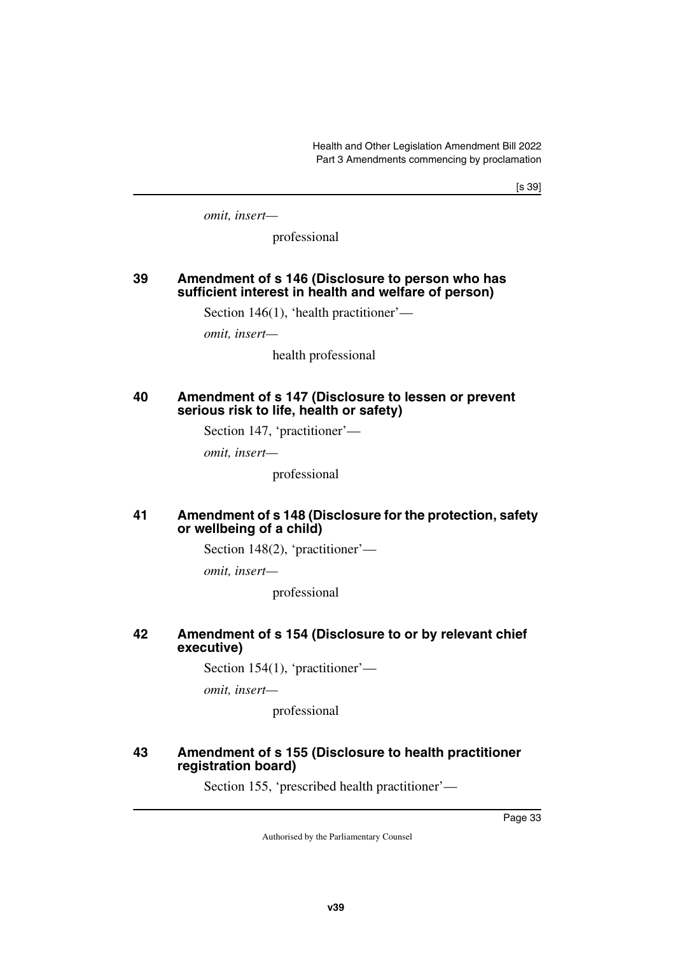[s 39]

*omit, insert—*

professional

#### <span id="page-34-1"></span><span id="page-34-0"></span>**39 Amendment of s 146 (Disclosure to person who has sufficient interest in health and welfare of person)**

Section 146(1), 'health practitioner'—

*omit, insert—*

health professional

#### <span id="page-34-3"></span><span id="page-34-2"></span>**40 Amendment of s 147 (Disclosure to lessen or prevent serious risk to life, health or safety)**

Section 147, 'practitioner'—

*omit, insert—*

professional

#### <span id="page-34-5"></span><span id="page-34-4"></span>**41 Amendment of s 148 (Disclosure for the protection, safety or wellbeing of a child)**

Section 148(2), 'practitioner'—

*omit, insert—*

professional

#### <span id="page-34-7"></span><span id="page-34-6"></span>**42 Amendment of s 154 (Disclosure to or by relevant chief executive)**

Section 154(1), 'practitioner'—

*omit, insert—*

professional

#### <span id="page-34-9"></span><span id="page-34-8"></span>**43 Amendment of s 155 (Disclosure to health practitioner registration board)**

Section 155, 'prescribed health practitioner'—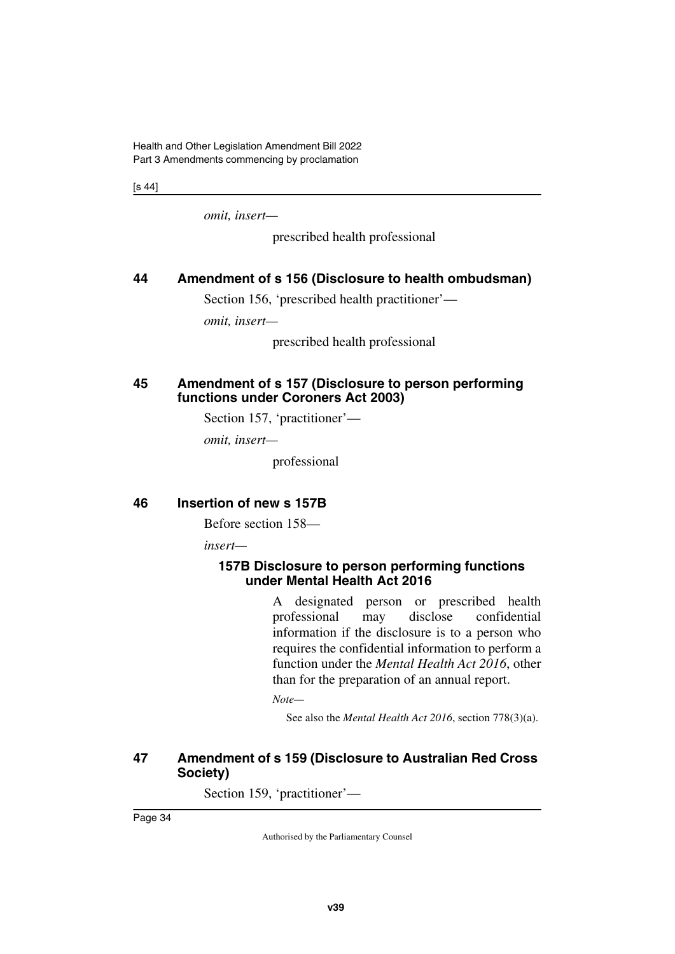[s 44]

*omit, insert—*

prescribed health professional

#### <span id="page-35-0"></span>**44 Amendment of s 156 (Disclosure to health ombudsman)**

<span id="page-35-1"></span>Section 156, 'prescribed health practitioner'—

*omit, insert—*

prescribed health professional

#### <span id="page-35-3"></span><span id="page-35-2"></span>**45 Amendment of s 157 (Disclosure to person performing functions under Coroners Act 2003)**

Section 157, 'practitioner'—

*omit, insert—*

professional

#### <span id="page-35-4"></span>**46 Insertion of new s 157B**

<span id="page-35-5"></span>Before section 158—

*insert—*

#### <span id="page-35-7"></span><span id="page-35-6"></span>**157B Disclosure to person performing functions under Mental Health Act 2016**

A designated person or prescribed health professional may disclose confidential information if the disclosure is to a person who requires the confidential information to perform a function under the *Mental Health Act 2016*, other than for the preparation of an annual report.

*Note—*

See also the *Mental Health Act 2016*, section 778(3)(a).

#### <span id="page-35-9"></span><span id="page-35-8"></span>**47 Amendment of s 159 (Disclosure to Australian Red Cross Society)**

Section 159, 'practitioner'—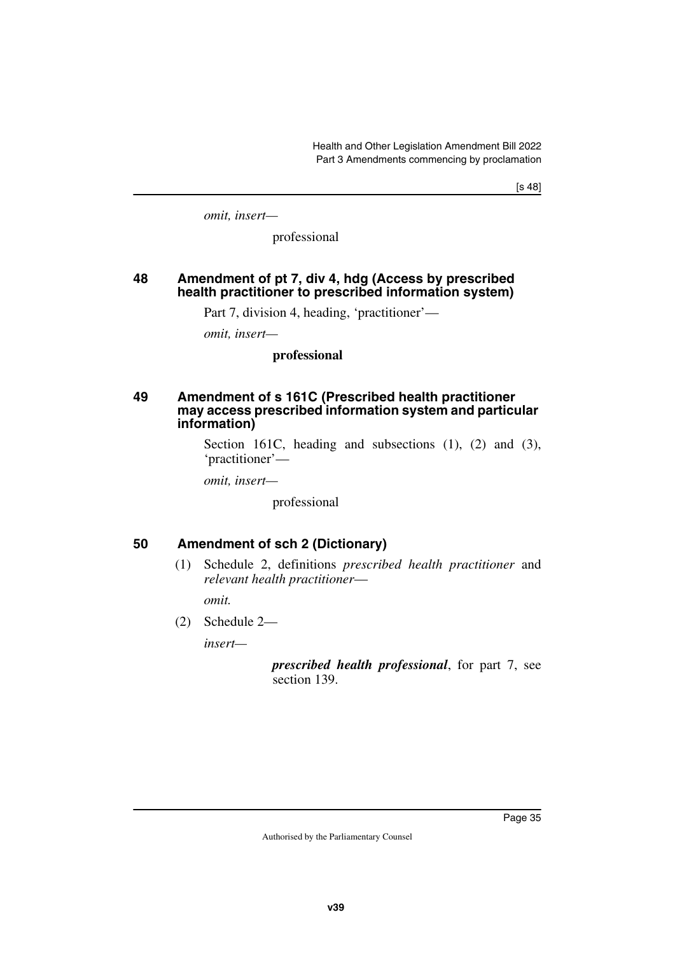[s 48]

*omit, insert—*

professional

#### **48 Amendment of pt 7, div 4, hdg (Access by prescribed health practitioner to prescribed information system)**

Part 7, division 4, heading, 'practitioner'—

*omit, insert—*

#### **professional**

#### **49 Amendment of s 161C (Prescribed health practitioner may access prescribed information system and particular information)**

Section 161C, heading and subsections (1), (2) and (3), 'practitioner'—

*omit, insert—*

professional

### **50 Amendment of sch 2 (Dictionary)**

(1) Schedule 2, definitions *prescribed health practitioner* and *relevant health practitioner*—

*omit.*

(2) Schedule 2—

*insert—*

*prescribed health professional*, for part 7, see section 139.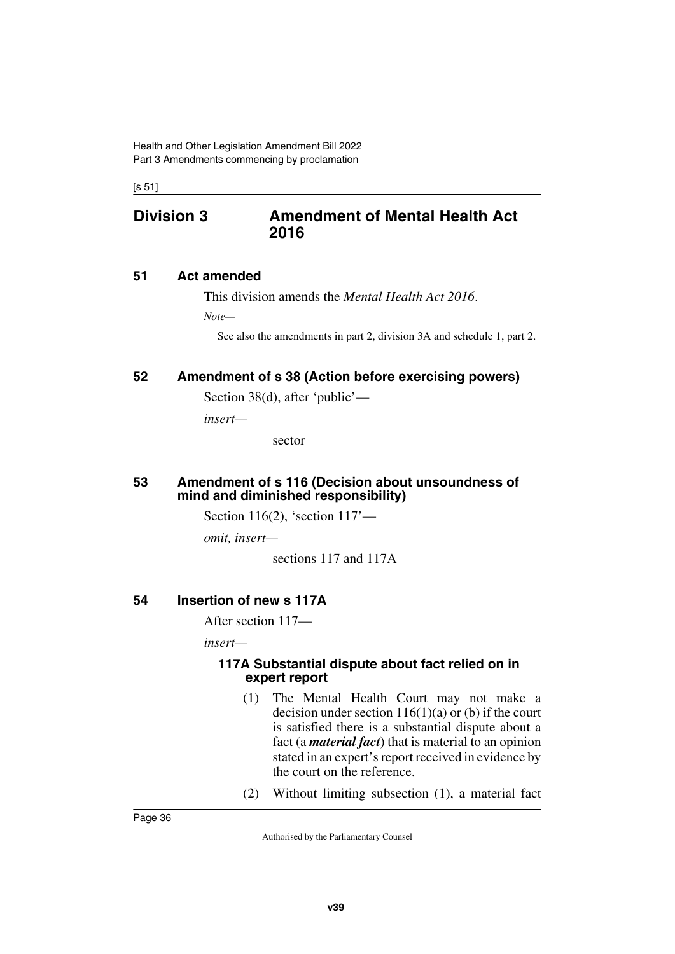[s 51]

# **Division 3 Amendment of Mental Health Act 2016**

### **51 Act amended**

This division amends the *Mental Health Act 2016*.

*Note—*

See also the amendments in part 2, division 3A and schedule 1, part 2.

### **52 Amendment of s 38 (Action before exercising powers)**

Section 38(d), after 'public'—

*insert—*

sector

#### **53 Amendment of s 116 (Decision about unsoundness of mind and diminished responsibility)**

Section 116(2), 'section 117'—

*omit, insert—*

sections 117 and 117A

### **54 Insertion of new s 117A**

After section 117—

*insert—*

#### **117A Substantial dispute about fact relied on in expert report**

- (1) The Mental Health Court may not make a decision under section  $116(1)(a)$  or (b) if the court is satisfied there is a substantial dispute about a fact (a *material fact*) that is material to an opinion stated in an expert's report received in evidence by the court on the reference.
- (2) Without limiting subsection (1), a material fact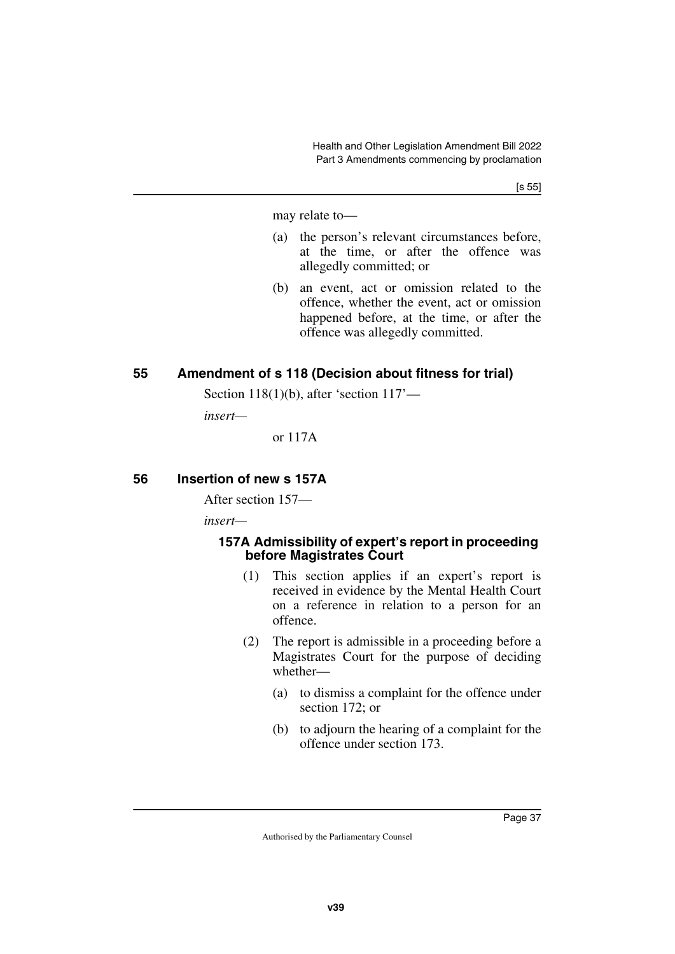may relate to—

- (a) the person's relevant circumstances before, at the time, or after the offence was allegedly committed; or
- (b) an event, act or omission related to the offence, whether the event, act or omission happened before, at the time, or after the offence was allegedly committed.

### **55 Amendment of s 118 (Decision about fitness for trial)**

Section 118(1)(b), after 'section 117'—

*insert—*

or 117A

### **56 Insertion of new s 157A**

After section 157—

*insert—*

#### **157A Admissibility of expert's report in proceeding before Magistrates Court**

- (1) This section applies if an expert's report is received in evidence by the Mental Health Court on a reference in relation to a person for an offence.
- (2) The report is admissible in a proceeding before a Magistrates Court for the purpose of deciding whether—
	- (a) to dismiss a complaint for the offence under section 172; or
	- (b) to adjourn the hearing of a complaint for the offence under section 173.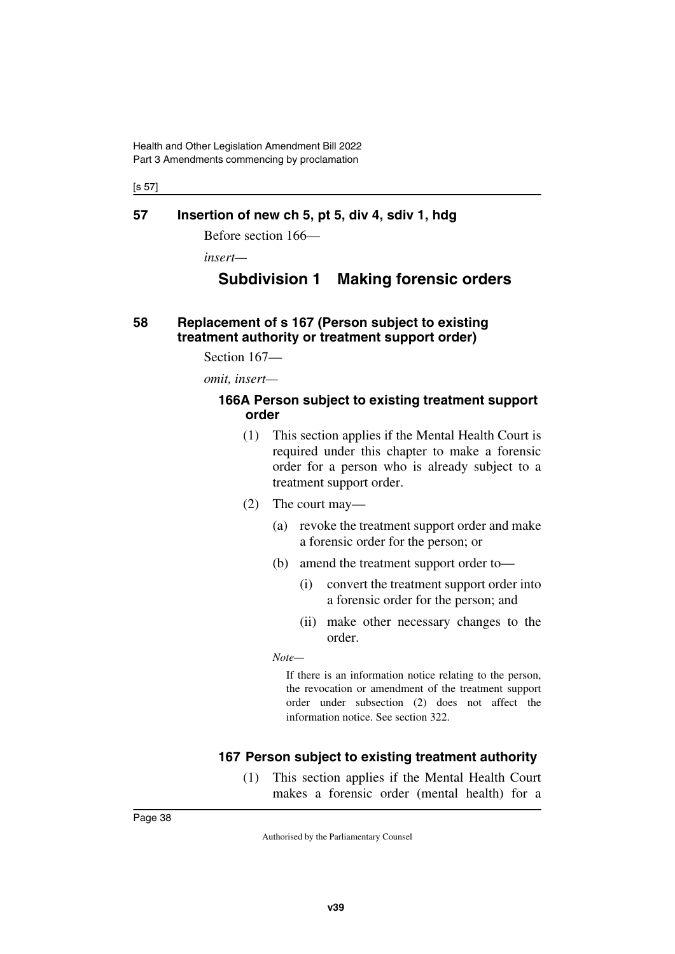[s 57]

#### **57 Insertion of new ch 5, pt 5, div 4, sdiv 1, hdg**

Before section 166—

*insert—*

# **Subdivision 1 Making forensic orders**

### **58 Replacement of s 167 (Person subject to existing treatment authority or treatment support order)**

Section 167—

*omit, insert—*

#### **166A Person subject to existing treatment support order**

- (1) This section applies if the Mental Health Court is required under this chapter to make a forensic order for a person who is already subject to a treatment support order.
- (2) The court may—
	- (a) revoke the treatment support order and make a forensic order for the person; or
	- (b) amend the treatment support order to—
		- (i) convert the treatment support order into a forensic order for the person; and
		- (ii) make other necessary changes to the order.

*Note—*

If there is an information notice relating to the person, the revocation or amendment of the treatment support order under subsection (2) does not affect the information notice. See section 322.

### **167 Person subject to existing treatment authority**

(1) This section applies if the Mental Health Court makes a forensic order (mental health) for a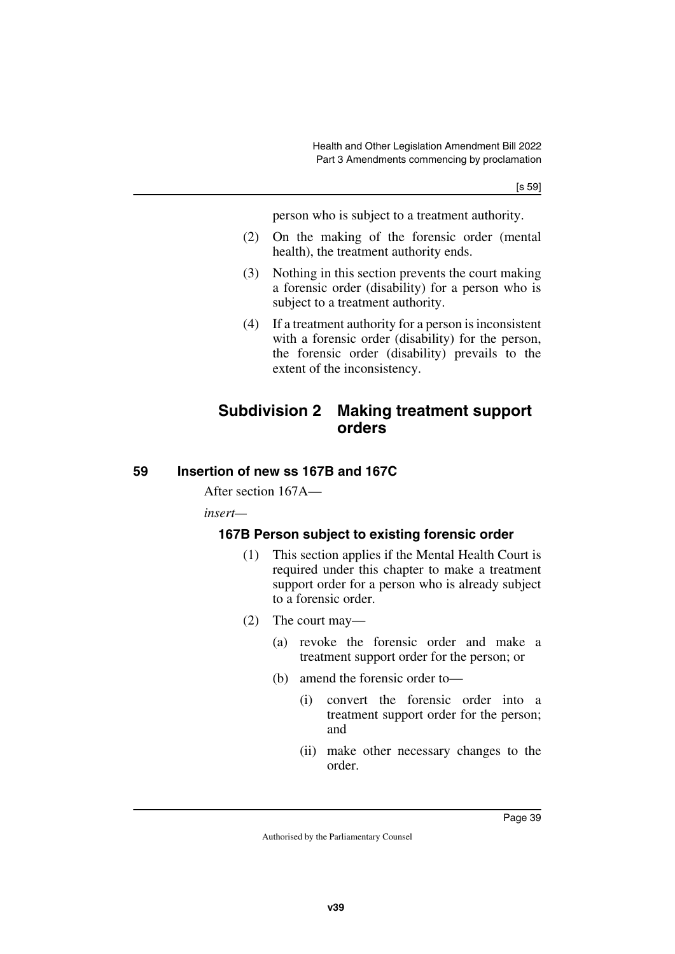person who is subject to a treatment authority.

- (2) On the making of the forensic order (mental health), the treatment authority ends.
- (3) Nothing in this section prevents the court making a forensic order (disability) for a person who is subject to a treatment authority.
- (4) If a treatment authority for a person is inconsistent with a forensic order (disability) for the person, the forensic order (disability) prevails to the extent of the inconsistency.

# **Subdivision 2 Making treatment support orders**

### **59 Insertion of new ss 167B and 167C**

After section 167A—

*insert—*

### **167B Person subject to existing forensic order**

- (1) This section applies if the Mental Health Court is required under this chapter to make a treatment support order for a person who is already subject to a forensic order.
- (2) The court may—
	- (a) revoke the forensic order and make a treatment support order for the person; or
	- (b) amend the forensic order to—
		- (i) convert the forensic order into a treatment support order for the person; and
		- (ii) make other necessary changes to the order.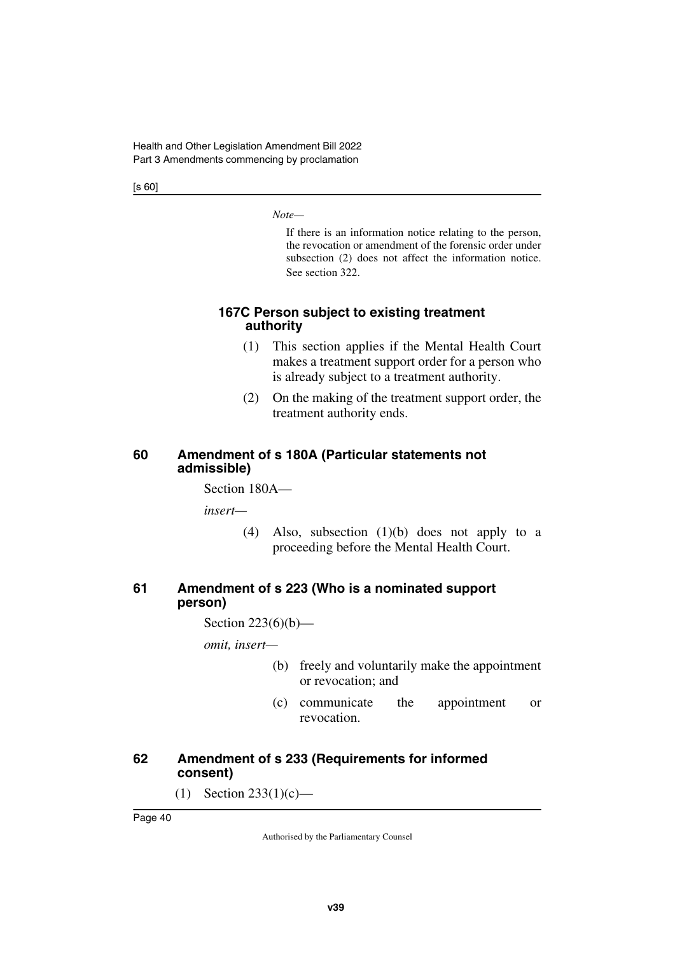[s 60]

*Note—*

If there is an information notice relating to the person, the revocation or amendment of the forensic order under subsection (2) does not affect the information notice. See section 322.

### **167C Person subject to existing treatment authority**

- (1) This section applies if the Mental Health Court makes a treatment support order for a person who is already subject to a treatment authority.
- (2) On the making of the treatment support order, the treatment authority ends.

### **60 Amendment of s 180A (Particular statements not admissible)**

Section 180A—

*insert—*

(4) Also, subsection (1)(b) does not apply to a proceeding before the Mental Health Court.

### **61 Amendment of s 223 (Who is a nominated support person)**

Section 223(6)(b)—

*omit, insert—*

- (b) freely and voluntarily make the appointment or revocation; and
- (c) communicate the appointment or revocation.

### **62 Amendment of s 233 (Requirements for informed consent)**

(1) Section 233(1)(c)—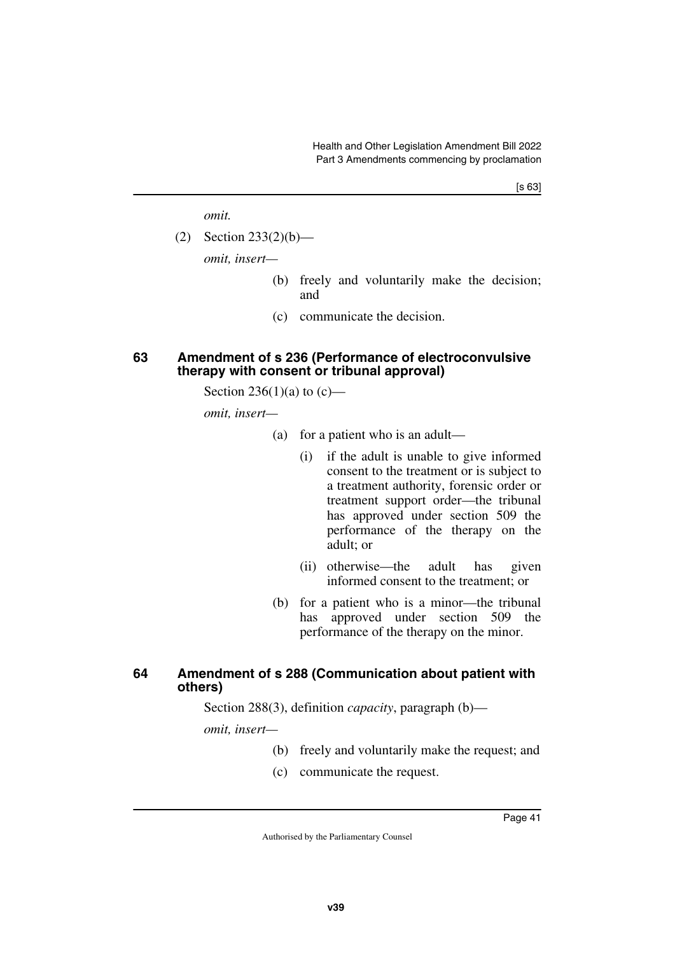*omit.*

(2) Section 233(2)(b)—

*omit, insert—*

- (b) freely and voluntarily make the decision; and
- (c) communicate the decision.

#### **63 Amendment of s 236 (Performance of electroconvulsive therapy with consent or tribunal approval)**

Section 236(1)(a) to  $(c)$ —

*omit, insert—*

- (a) for a patient who is an adult—
	- (i) if the adult is unable to give informed consent to the treatment or is subject to a treatment authority, forensic order or treatment support order—the tribunal has approved under section 509 the performance of the therapy on the adult; or
	- (ii) otherwise—the adult has given informed consent to the treatment; or
- (b) for a patient who is a minor—the tribunal has approved under section 509 the performance of the therapy on the minor.

#### **64 Amendment of s 288 (Communication about patient with others)**

Section 288(3), definition *capacity*, paragraph (b)—

*omit, insert—*

- (b) freely and voluntarily make the request; and
- (c) communicate the request.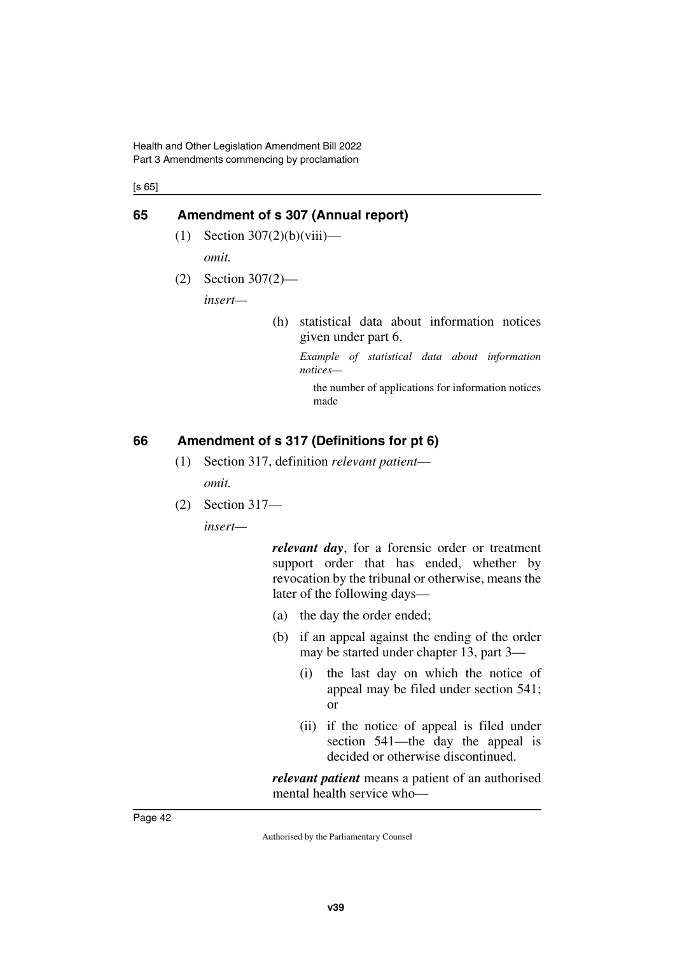Health and Other Legislation Amendment Bill 2022 Part 3 Amendments commencing by proclamation

[s 65]

#### **65 Amendment of s 307 (Annual report)**

- $(1)$  Section 307 $(2)(b)(viii)$  *omit.*
- (2) Section 307(2)—

*insert—*

(h) statistical data about information notices given under part 6.

> *Example of statistical data about information notices—*

the number of applications for information notices made

### **66 Amendment of s 317 (Definitions for pt 6)**

- (1) Section 317, definition *relevant patient omit.*
- (2) Section 317—

*insert—*

*relevant day*, for a forensic order or treatment support order that has ended, whether by revocation by the tribunal or otherwise, means the later of the following days—

- (a) the day the order ended;
- (b) if an appeal against the ending of the order may be started under chapter 13, part 3—
	- (i) the last day on which the notice of appeal may be filed under section 541; or
	- (ii) if the notice of appeal is filed under section 541—the day the appeal is decided or otherwise discontinued.

*relevant patient* means a patient of an authorised mental health service who—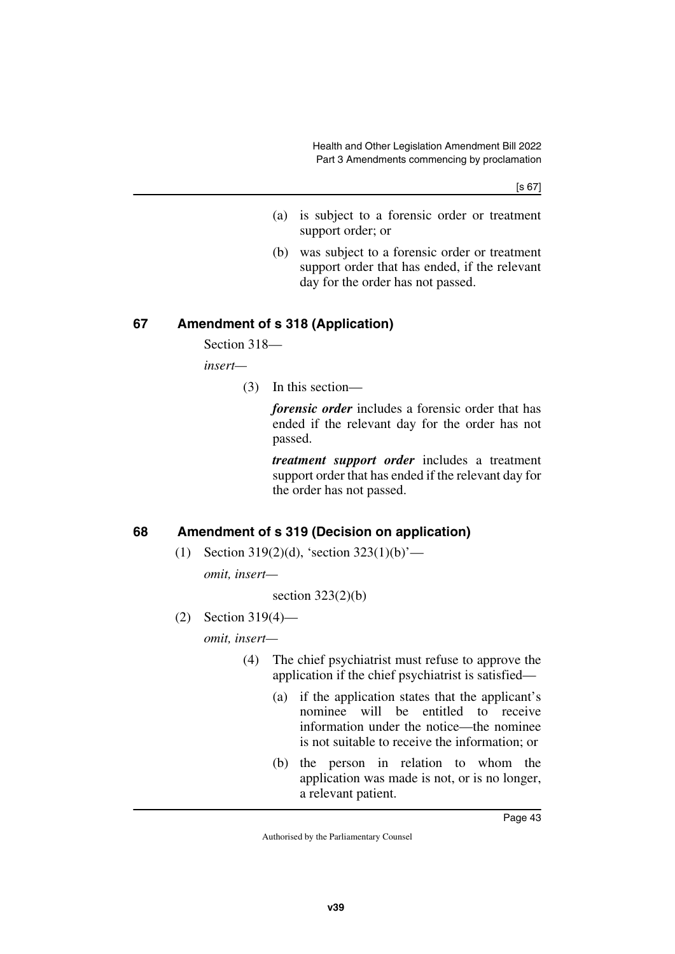[s 67]

- (a) is subject to a forensic order or treatment support order; or
- (b) was subject to a forensic order or treatment support order that has ended, if the relevant day for the order has not passed.

### **67 Amendment of s 318 (Application)**

Section 318—

*insert—*

(3) In this section—

*forensic order* includes a forensic order that has ended if the relevant day for the order has not passed.

*treatment support order* includes a treatment support order that has ended if the relevant day for the order has not passed.

### **68 Amendment of s 319 (Decision on application)**

(1) Section 319(2)(d), 'section  $323(1)(b)$ '—

*omit, insert—*

section  $323(2)(b)$ 

(2) Section 319(4)—

*omit, insert—*

- (4) The chief psychiatrist must refuse to approve the application if the chief psychiatrist is satisfied—
	- (a) if the application states that the applicant's nominee will be entitled to receive information under the notice—the nominee is not suitable to receive the information; or
	- (b) the person in relation to whom the application was made is not, or is no longer, a relevant patient.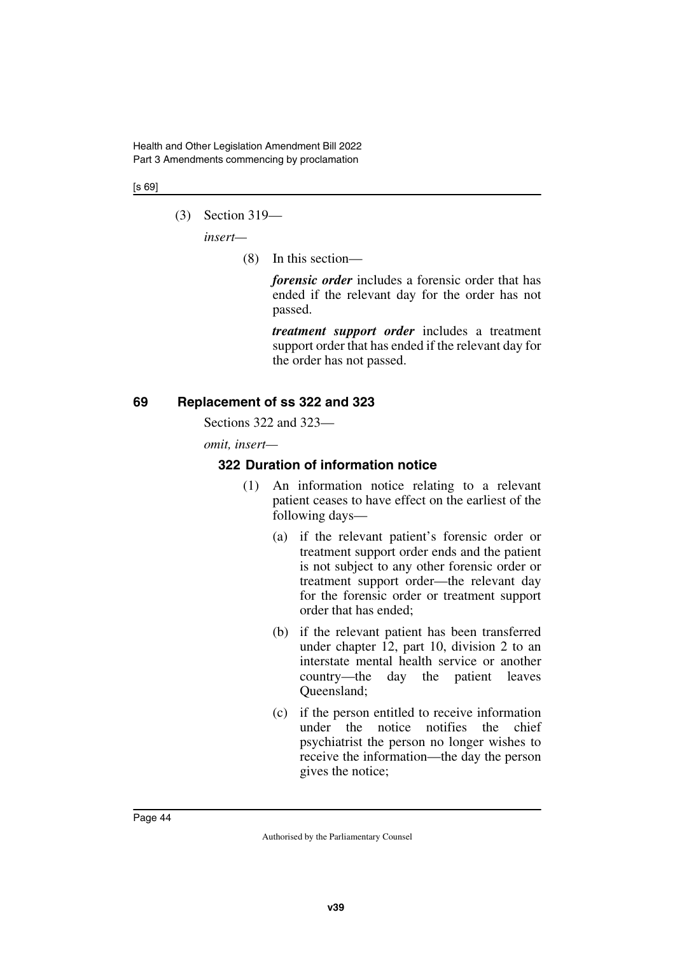#### [s 69]

(3) Section 319—

*insert—*

(8) In this section—

*forensic order* includes a forensic order that has ended if the relevant day for the order has not passed.

*treatment support order* includes a treatment support order that has ended if the relevant day for the order has not passed.

### **69 Replacement of ss 322 and 323**

Sections 322 and 323—

*omit, insert—*

### **322 Duration of information notice**

- (1) An information notice relating to a relevant patient ceases to have effect on the earliest of the following days—
	- (a) if the relevant patient's forensic order or treatment support order ends and the patient is not subject to any other forensic order or treatment support order—the relevant day for the forensic order or treatment support order that has ended;
	- (b) if the relevant patient has been transferred under chapter 12, part 10, division 2 to an interstate mental health service or another country—the day the patient leaves Queensland;
	- (c) if the person entitled to receive information under the notice notifies the chief psychiatrist the person no longer wishes to receive the information—the day the person gives the notice;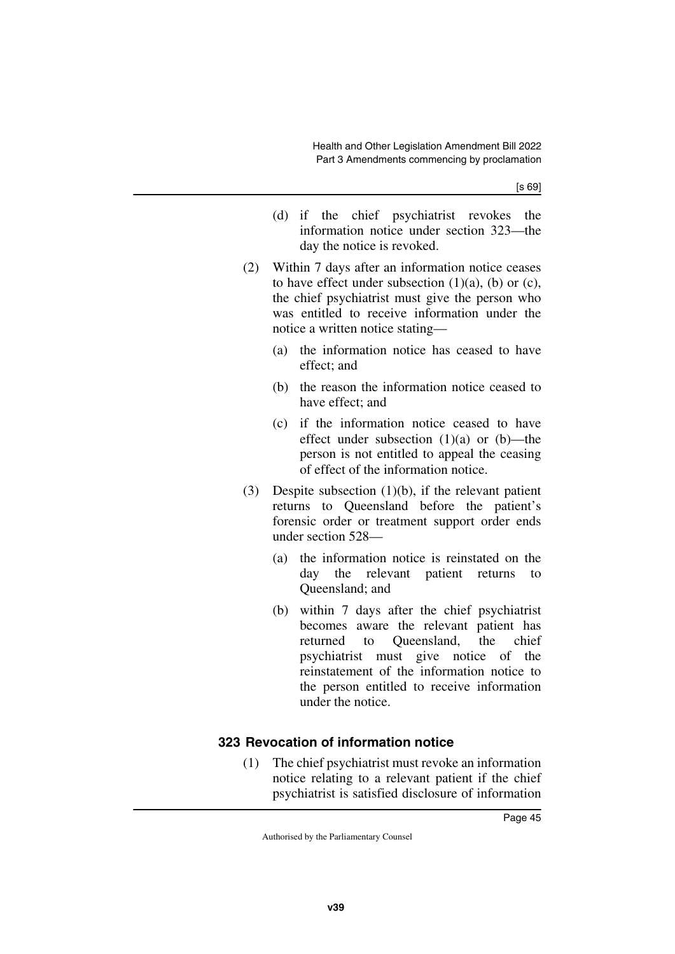- (d) if the chief psychiatrist revokes the information notice under section 323—the day the notice is revoked.
- (2) Within 7 days after an information notice ceases to have effect under subsection  $(1)(a)$ ,  $(b)$  or  $(c)$ , the chief psychiatrist must give the person who was entitled to receive information under the notice a written notice stating—
	- (a) the information notice has ceased to have effect; and
	- (b) the reason the information notice ceased to have effect; and
	- (c) if the information notice ceased to have effect under subsection  $(1)(a)$  or  $(b)$ —the person is not entitled to appeal the ceasing of effect of the information notice.
- (3) Despite subsection (1)(b), if the relevant patient returns to Queensland before the patient's forensic order or treatment support order ends under section 528—
	- (a) the information notice is reinstated on the day the relevant patient returns to Queensland; and
	- (b) within 7 days after the chief psychiatrist becomes aware the relevant patient has returned to Queensland, the chief psychiatrist must give notice of the reinstatement of the information notice to the person entitled to receive information under the notice.

## **323 Revocation of information notice**

(1) The chief psychiatrist must revoke an information notice relating to a relevant patient if the chief psychiatrist is satisfied disclosure of information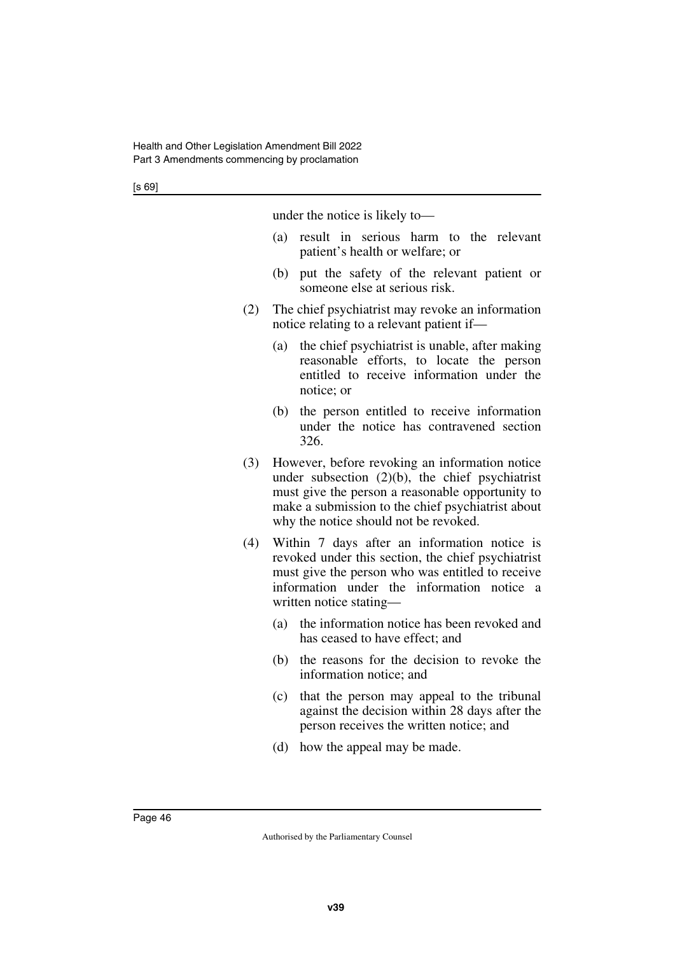| under the notice is likely to- |  |  |  |  |
|--------------------------------|--|--|--|--|
|--------------------------------|--|--|--|--|

- (a) result in serious harm to the relevant patient's health or welfare; or
- (b) put the safety of the relevant patient or someone else at serious risk.
- (2) The chief psychiatrist may revoke an information notice relating to a relevant patient if—
	- (a) the chief psychiatrist is unable, after making reasonable efforts, to locate the person entitled to receive information under the notice; or
	- (b) the person entitled to receive information under the notice has contravened section 326.
- (3) However, before revoking an information notice under subsection (2)(b), the chief psychiatrist must give the person a reasonable opportunity to make a submission to the chief psychiatrist about why the notice should not be revoked.
- (4) Within 7 days after an information notice is revoked under this section, the chief psychiatrist must give the person who was entitled to receive information under the information notice a written notice stating—
	- (a) the information notice has been revoked and has ceased to have effect; and
	- (b) the reasons for the decision to revoke the information notice; and
	- (c) that the person may appeal to the tribunal against the decision within 28 days after the person receives the written notice; and
	- (d) how the appeal may be made.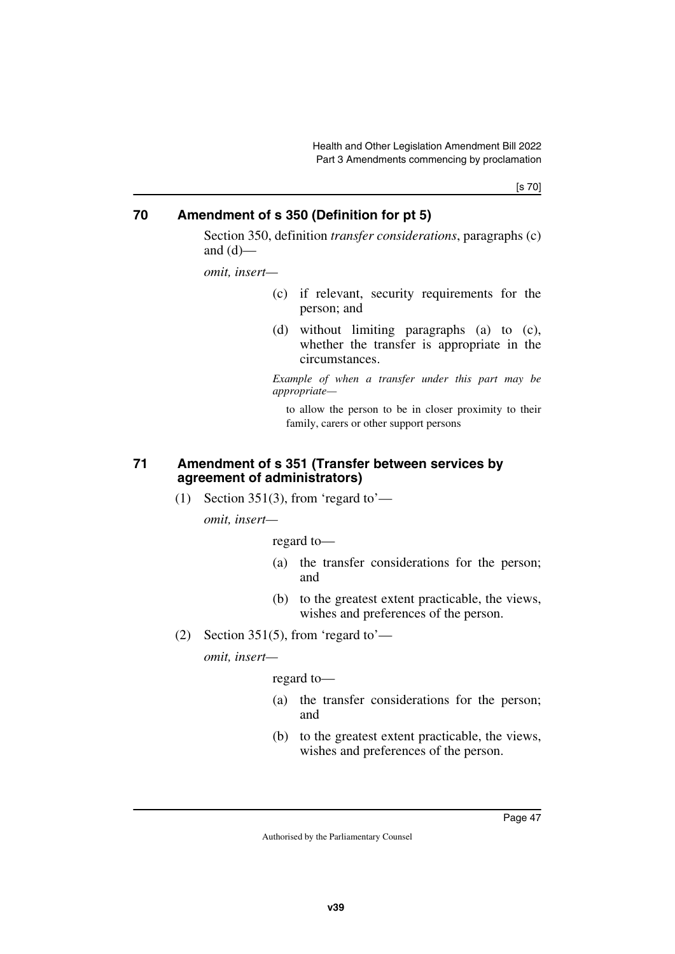[s 70]

### **70 Amendment of s 350 (Definition for pt 5)**

Section 350, definition *transfer considerations*, paragraphs (c) and  $(d)$ —

*omit, insert—*

- (c) if relevant, security requirements for the person; and
- (d) without limiting paragraphs (a) to (c), whether the transfer is appropriate in the circumstances.

*Example of when a transfer under this part may be appropriate—*

to allow the person to be in closer proximity to their family, carers or other support persons

#### **71 Amendment of s 351 (Transfer between services by agreement of administrators)**

(1) Section 351(3), from 'regard to'—

*omit, insert—*

regard to—

- (a) the transfer considerations for the person; and
- (b) to the greatest extent practicable, the views, wishes and preferences of the person.
- (2) Section 351(5), from 'regard to'—

*omit, insert—*

regard to—

- (a) the transfer considerations for the person; and
- (b) to the greatest extent practicable, the views, wishes and preferences of the person.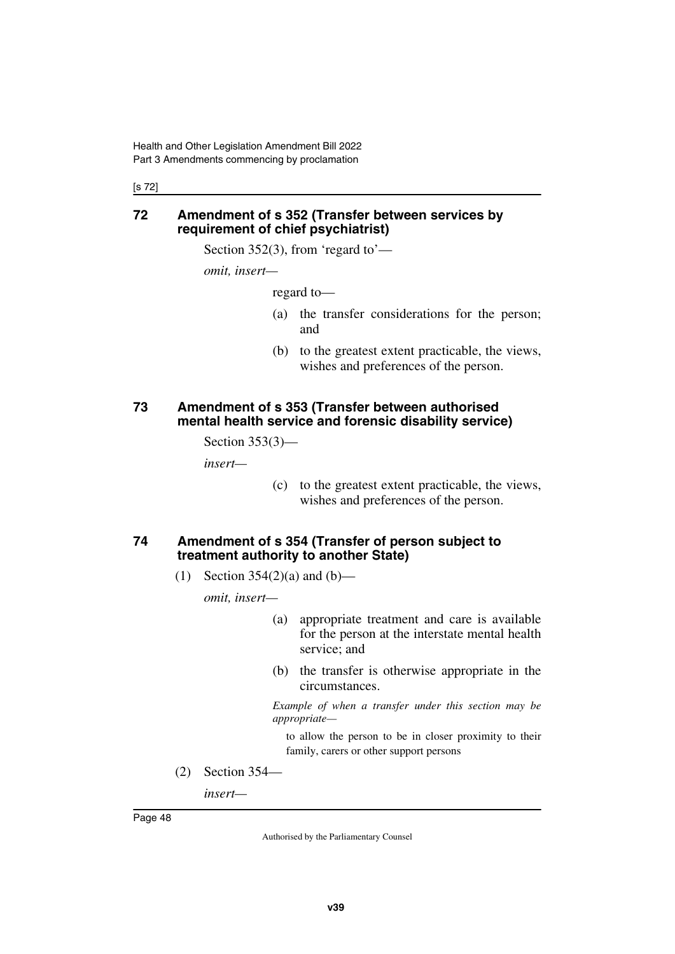[s 72]

#### **72 Amendment of s 352 (Transfer between services by requirement of chief psychiatrist)**

Section 352(3), from 'regard to'—

*omit, insert—*

regard to—

- (a) the transfer considerations for the person; and
- (b) to the greatest extent practicable, the views, wishes and preferences of the person.

#### **73 Amendment of s 353 (Transfer between authorised mental health service and forensic disability service)**

Section 353(3)—

*insert—*

(c) to the greatest extent practicable, the views, wishes and preferences of the person.

#### **74 Amendment of s 354 (Transfer of person subject to treatment authority to another State)**

(1) Section  $354(2)(a)$  and  $(b)$ —

*omit, insert—*

- (a) appropriate treatment and care is available for the person at the interstate mental health service; and
- (b) the transfer is otherwise appropriate in the circumstances.

*Example of when a transfer under this section may be appropriate—*

to allow the person to be in closer proximity to their family, carers or other support persons

(2) Section 354—

*insert—*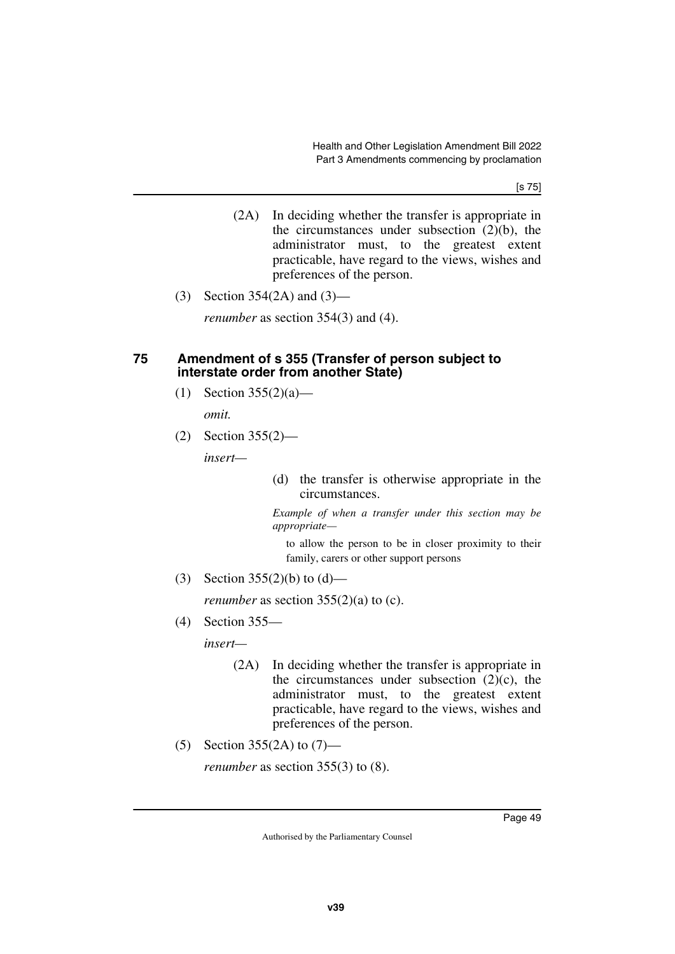[s 75]

- (2A) In deciding whether the transfer is appropriate in the circumstances under subsection  $(2)(b)$ , the administrator must, to the greatest extent practicable, have regard to the views, wishes and preferences of the person.
- (3) Section 354(2A) and (3)—

*renumber* as section 354(3) and (4).

#### **75 Amendment of s 355 (Transfer of person subject to interstate order from another State)**

(1) Section  $355(2)(a)$ —

*omit.*

(2) Section 355(2)—

*insert—*

(d) the transfer is otherwise appropriate in the circumstances.

*Example of when a transfer under this section may be appropriate—*

to allow the person to be in closer proximity to their family, carers or other support persons

(3) Section  $355(2)(b)$  to  $(d)$ —

*renumber* as section  $355(2)(a)$  to (c).

(4) Section 355—

*insert—*

- (2A) In deciding whether the transfer is appropriate in the circumstances under subsection  $(2)(c)$ , the administrator must, to the greatest extent practicable, have regard to the views, wishes and preferences of the person.
- (5) Section 355(2A) to (7)—

*renumber* as section 355(3) to (8).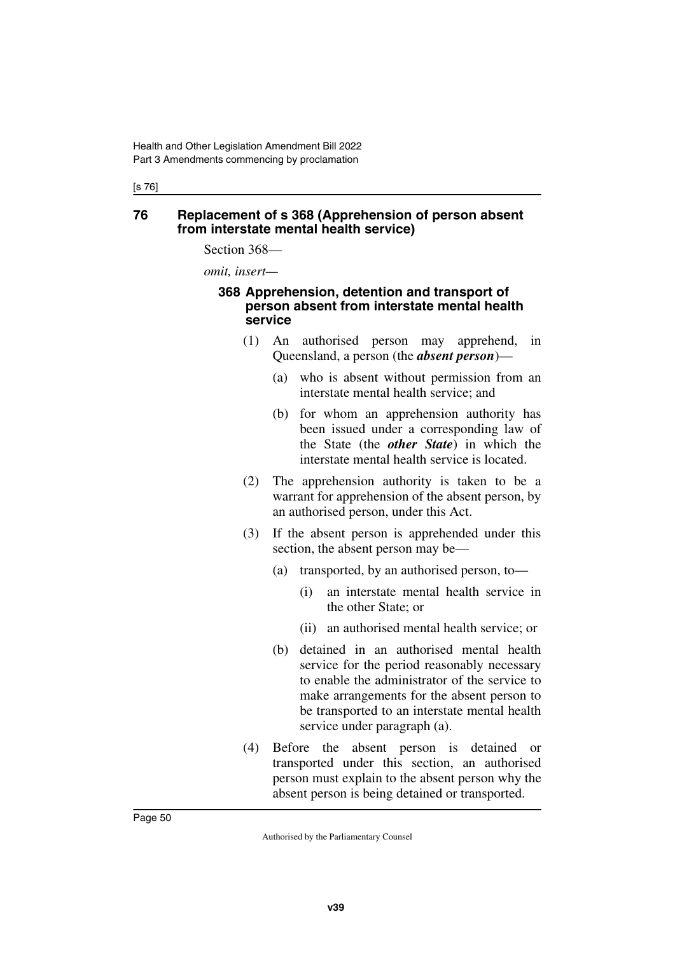[s 76]

#### **76 Replacement of s 368 (Apprehension of person absent from interstate mental health service)**

Section 368—

*omit, insert—*

#### **368 Apprehension, detention and transport of person absent from interstate mental health service**

- (1) An authorised person may apprehend, in Queensland, a person (the *absent person*)—
	- (a) who is absent without permission from an interstate mental health service; and
	- (b) for whom an apprehension authority has been issued under a corresponding law of the State (the *other State*) in which the interstate mental health service is located.
- (2) The apprehension authority is taken to be a warrant for apprehension of the absent person, by an authorised person, under this Act.
- (3) If the absent person is apprehended under this section, the absent person may be—
	- (a) transported, by an authorised person, to—
		- (i) an interstate mental health service in the other State; or
		- (ii) an authorised mental health service; or
	- (b) detained in an authorised mental health service for the period reasonably necessary to enable the administrator of the service to make arrangements for the absent person to be transported to an interstate mental health service under paragraph (a).
- (4) Before the absent person is detained or transported under this section, an authorised person must explain to the absent person why the absent person is being detained or transported.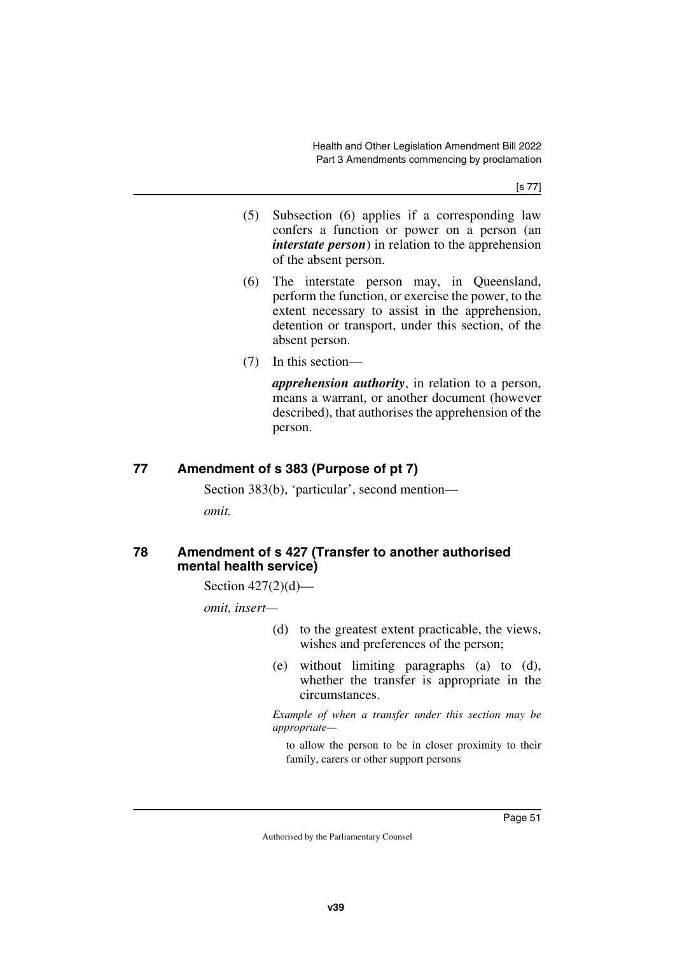[s 77]

- (5) Subsection (6) applies if a corresponding law confers a function or power on a person (an *interstate person*) in relation to the apprehension of the absent person.
- (6) The interstate person may, in Queensland, perform the function, or exercise the power, to the extent necessary to assist in the apprehension, detention or transport, under this section, of the absent person.
- (7) In this section—

*apprehension authority*, in relation to a person, means a warrant, or another document (however described), that authorises the apprehension of the person.

## **77 Amendment of s 383 (Purpose of pt 7)**

Section 383(b), 'particular', second mention—

*omit.*

#### **78 Amendment of s 427 (Transfer to another authorised mental health service)**

Section 427(2)(d)—

*omit, insert—*

- (d) to the greatest extent practicable, the views, wishes and preferences of the person;
- (e) without limiting paragraphs (a) to (d), whether the transfer is appropriate in the circumstances.

*Example of when a transfer under this section may be appropriate—*

to allow the person to be in closer proximity to their family, carers or other support persons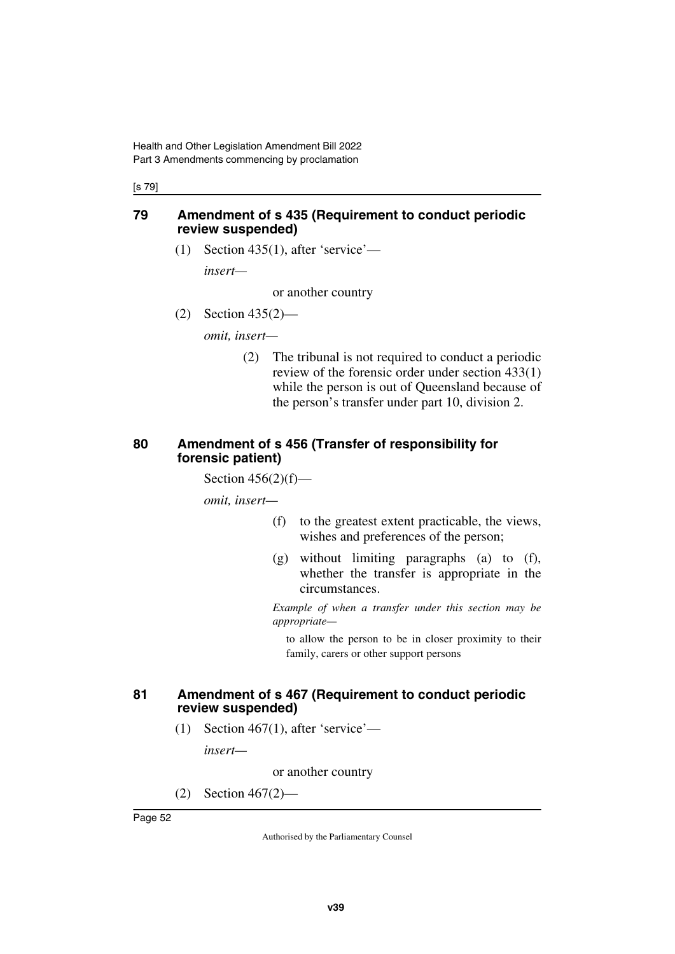#### [s 79]

#### **79 Amendment of s 435 (Requirement to conduct periodic review suspended)**

(1) Section 435(1), after 'service'—

*insert—*

or another country

(2) Section 435(2)—

*omit, insert—*

(2) The tribunal is not required to conduct a periodic review of the forensic order under section 433(1) while the person is out of Queensland because of the person's transfer under part 10, division 2.

#### **80 Amendment of s 456 (Transfer of responsibility for forensic patient)**

Section  $456(2)(f)$ —

*omit, insert—*

- (f) to the greatest extent practicable, the views, wishes and preferences of the person;
- (g) without limiting paragraphs (a) to (f), whether the transfer is appropriate in the circumstances.

*Example of when a transfer under this section may be appropriate—*

to allow the person to be in closer proximity to their family, carers or other support persons

#### **81 Amendment of s 467 (Requirement to conduct periodic review suspended)**

(1) Section 467(1), after 'service'—

*insert—*

or another country

(2) Section 467(2)—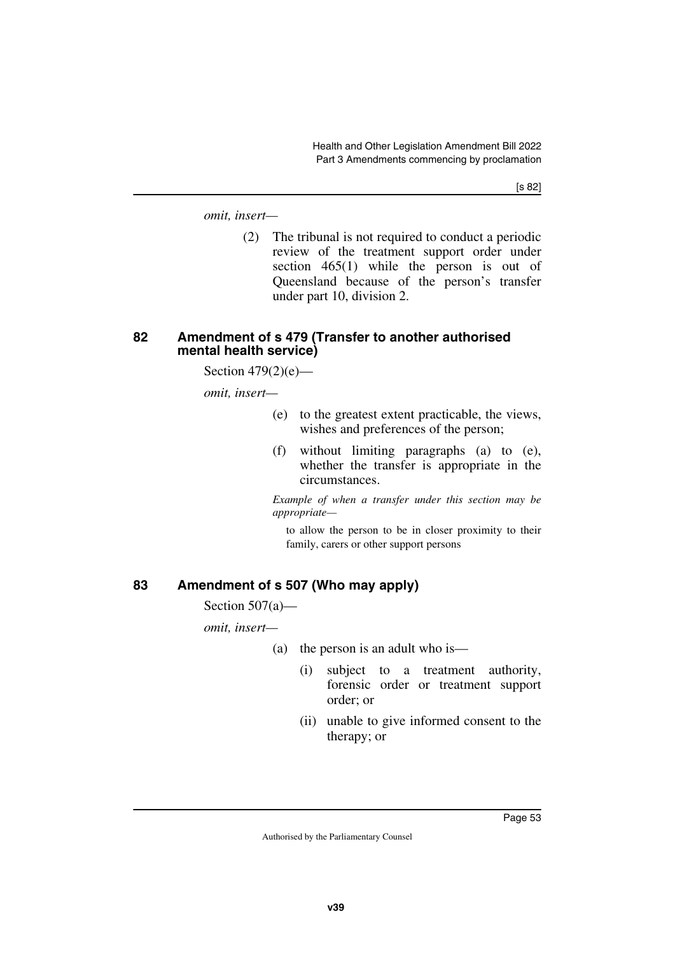[s 82]

*omit, insert—*

(2) The tribunal is not required to conduct a periodic review of the treatment support order under section 465(1) while the person is out of Queensland because of the person's transfer under part 10, division 2.

#### **82 Amendment of s 479 (Transfer to another authorised mental health service)**

Section  $479(2)(e)$ —

*omit, insert—*

- (e) to the greatest extent practicable, the views, wishes and preferences of the person;
- (f) without limiting paragraphs (a) to (e), whether the transfer is appropriate in the circumstances.

*Example of when a transfer under this section may be appropriate—*

to allow the person to be in closer proximity to their family, carers or other support persons

### **83 Amendment of s 507 (Who may apply)**

Section 507(a)—

*omit, insert—*

- (a) the person is an adult who is—
	- (i) subject to a treatment authority, forensic order or treatment support order; or
	- (ii) unable to give informed consent to the therapy; or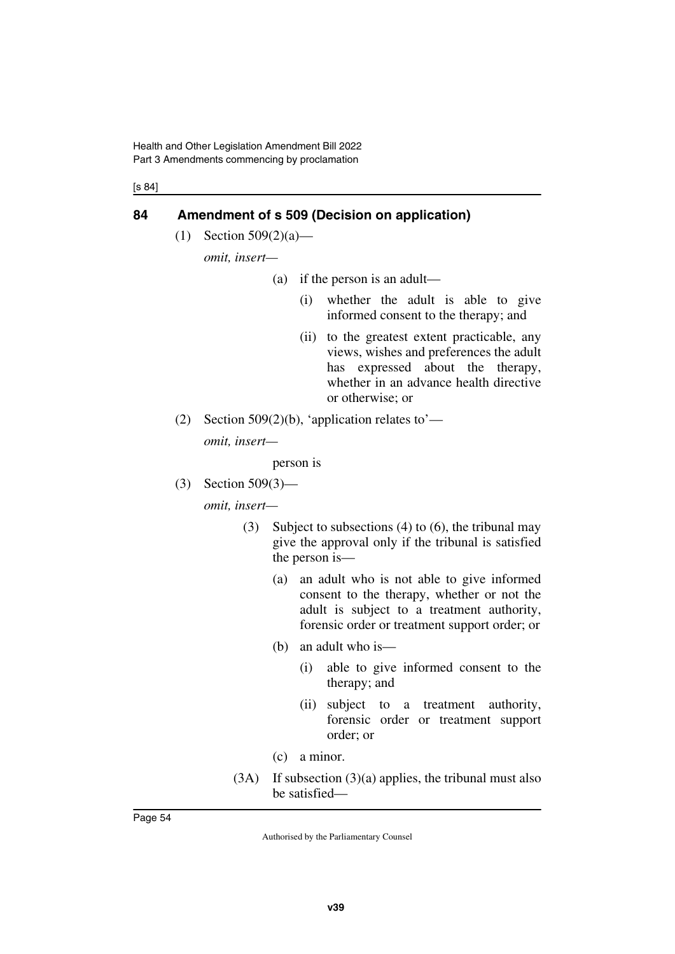[s 84]

### **84 Amendment of s 509 (Decision on application)**

(1) Section 509(2)(a)—

*omit, insert—*

- (a) if the person is an adult—
	- (i) whether the adult is able to give informed consent to the therapy; and
	- (ii) to the greatest extent practicable, any views, wishes and preferences the adult has expressed about the therapy, whether in an advance health directive or otherwise; or
- (2) Section 509(2)(b), 'application relates to'—

*omit, insert—*

person is

(3) Section 509(3)—

*omit, insert—*

- (3) Subject to subsections (4) to (6), the tribunal may give the approval only if the tribunal is satisfied the person is—
	- (a) an adult who is not able to give informed consent to the therapy, whether or not the adult is subject to a treatment authority, forensic order or treatment support order; or
	- (b) an adult who is—
		- (i) able to give informed consent to the therapy; and
		- (ii) subject to a treatment authority, forensic order or treatment support order; or
	- (c) a minor.
- (3A) If subsection (3)(a) applies, the tribunal must also be satisfied—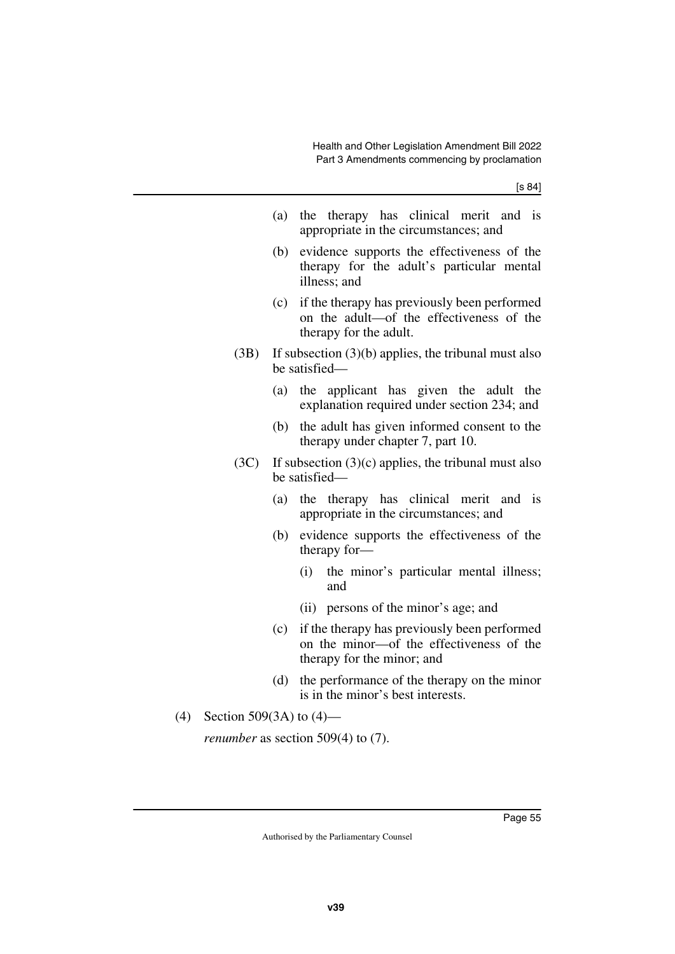- (a) the therapy has clinical merit and is appropriate in the circumstances; and
- (b) evidence supports the effectiveness of the therapy for the adult's particular mental illness; and
- (c) if the therapy has previously been performed on the adult—of the effectiveness of the therapy for the adult.
- (3B) If subsection (3)(b) applies, the tribunal must also be satisfied—
	- (a) the applicant has given the adult the explanation required under section 234; and
	- (b) the adult has given informed consent to the therapy under chapter 7, part 10.
- (3C) If subsection  $(3)(c)$  applies, the tribunal must also be satisfied—
	- (a) the therapy has clinical merit and is appropriate in the circumstances; and
	- (b) evidence supports the effectiveness of the therapy for—
		- (i) the minor's particular mental illness; and
		- (ii) persons of the minor's age; and
	- (c) if the therapy has previously been performed on the minor—of the effectiveness of the therapy for the minor; and
	- (d) the performance of the therapy on the minor is in the minor's best interests.
- (4) Section 509(3A) to (4)—

*renumber* as section 509(4) to (7).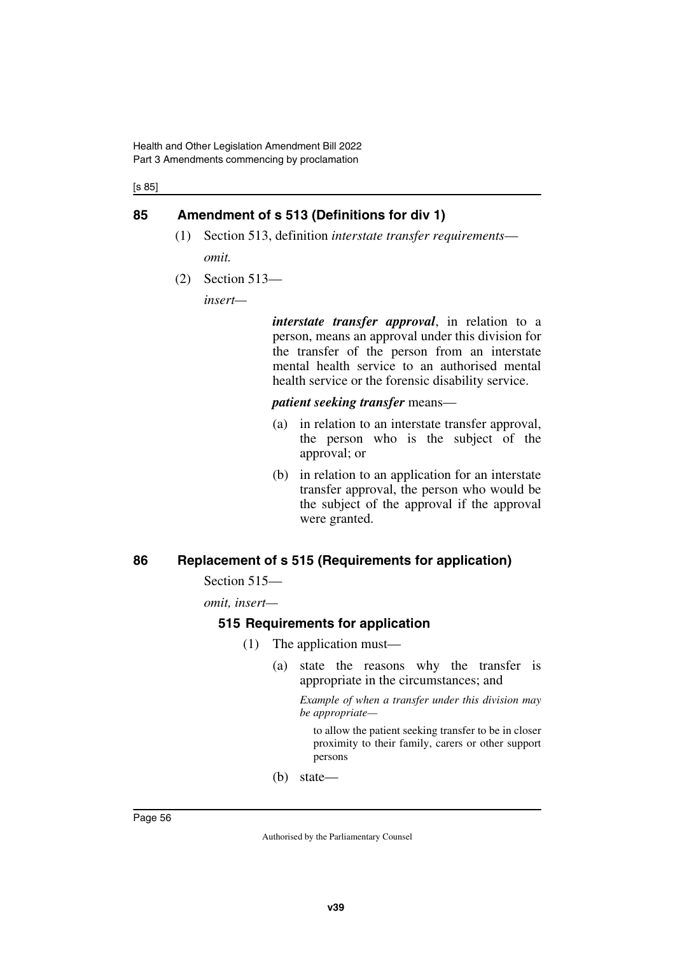[s 85]

### **85 Amendment of s 513 (Definitions for div 1)**

- (1) Section 513, definition *interstate transfer requirements omit.*
- (2) Section 513—

*insert—*

*interstate transfer approval*, in relation to a person, means an approval under this division for the transfer of the person from an interstate mental health service to an authorised mental health service or the forensic disability service.

*patient seeking transfer* means—

- (a) in relation to an interstate transfer approval, the person who is the subject of the approval; or
- (b) in relation to an application for an interstate transfer approval, the person who would be the subject of the approval if the approval were granted.

### **86 Replacement of s 515 (Requirements for application)**

Section 515—

*omit, insert—*

#### **515 Requirements for application**

- (1) The application must—
	- (a) state the reasons why the transfer is appropriate in the circumstances; and

*Example of when a transfer under this division may be appropriate—*

to allow the patient seeking transfer to be in closer proximity to their family, carers or other support persons

(b) state—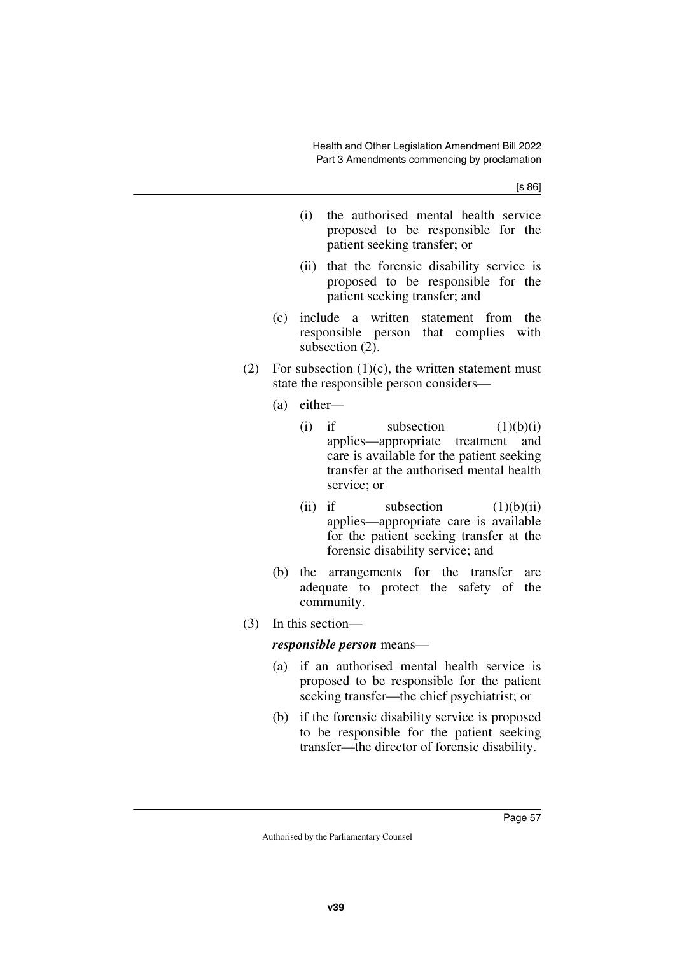[s 86]

- (i) the authorised mental health service proposed to be responsible for the patient seeking transfer; or
- (ii) that the forensic disability service is proposed to be responsible for the patient seeking transfer; and
- (c) include a written statement from the responsible person that complies with subsection (2).
- (2) For subsection  $(1)(c)$ , the written statement must state the responsible person considers—
	- (a) either—
		- (i) if subsection  $(1)(b)(i)$ applies—appropriate treatment and care is available for the patient seeking transfer at the authorised mental health service; or
		- (ii) if subsection  $(1)(b)(ii)$ applies—appropriate care is available for the patient seeking transfer at the forensic disability service; and
	- (b) the arrangements for the transfer are adequate to protect the safety of the community.
- (3) In this section—

#### *responsible person* means—

- (a) if an authorised mental health service is proposed to be responsible for the patient seeking transfer—the chief psychiatrist; or
- (b) if the forensic disability service is proposed to be responsible for the patient seeking transfer—the director of forensic disability.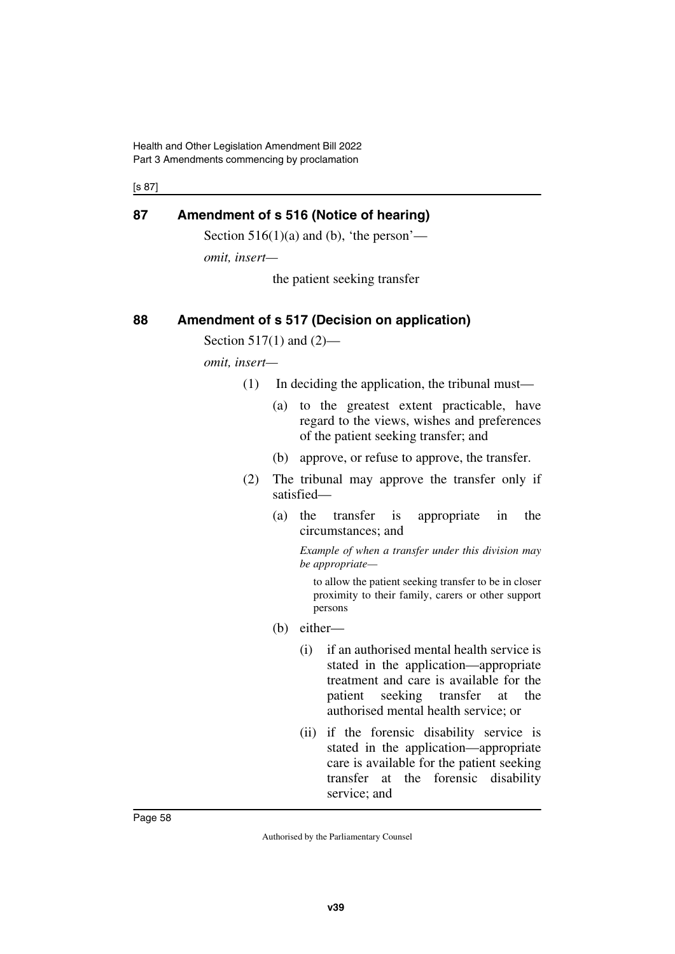Health and Other Legislation Amendment Bill 2022 Part 3 Amendments commencing by proclamation

[s 87]

### **87 Amendment of s 516 (Notice of hearing)**

Section  $516(1)(a)$  and (b), 'the person'—

*omit, insert—*

the patient seeking transfer

### **88 Amendment of s 517 (Decision on application)**

Section 517(1) and  $(2)$ —

*omit, insert—*

- (1) In deciding the application, the tribunal must—
	- (a) to the greatest extent practicable, have regard to the views, wishes and preferences of the patient seeking transfer; and
	- (b) approve, or refuse to approve, the transfer.
- (2) The tribunal may approve the transfer only if satisfied—
	- (a) the transfer is appropriate in the circumstances; and

*Example of when a transfer under this division may be appropriate—*

to allow the patient seeking transfer to be in closer proximity to their family, carers or other support persons

- (b) either—
	- (i) if an authorised mental health service is stated in the application—appropriate treatment and care is available for the patient seeking transfer at the authorised mental health service; or
	- (ii) if the forensic disability service is stated in the application—appropriate care is available for the patient seeking transfer at the forensic disability service; and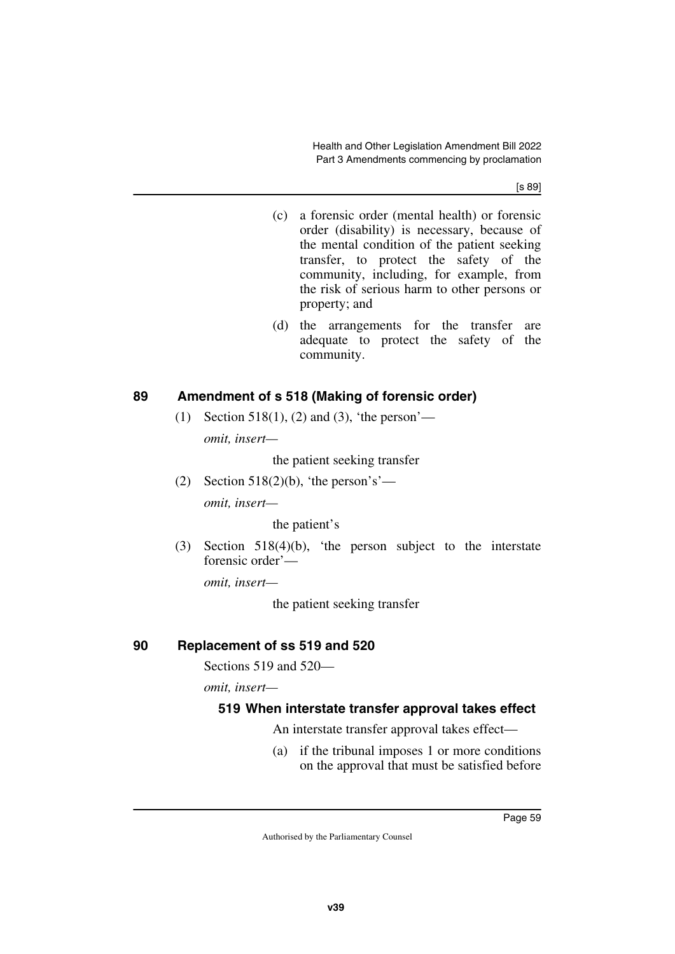[s 89]

- (c) a forensic order (mental health) or forensic order (disability) is necessary, because of the mental condition of the patient seeking transfer, to protect the safety of the community, including, for example, from the risk of serious harm to other persons or property; and
- (d) the arrangements for the transfer are adequate to protect the safety of the community.

### **89 Amendment of s 518 (Making of forensic order)**

(1) Section 518(1), (2) and (3), 'the person' *omit, insert—*

the patient seeking transfer

(2) Section 518(2)(b), 'the person's' *omit, insert—*

the patient's

(3) Section 518(4)(b), 'the person subject to the interstate forensic order'—

*omit, insert—*

the patient seeking transfer

## **90 Replacement of ss 519 and 520**

Sections 519 and 520—

*omit, insert—*

## **519 When interstate transfer approval takes effect**

An interstate transfer approval takes effect—

(a) if the tribunal imposes 1 or more conditions on the approval that must be satisfied before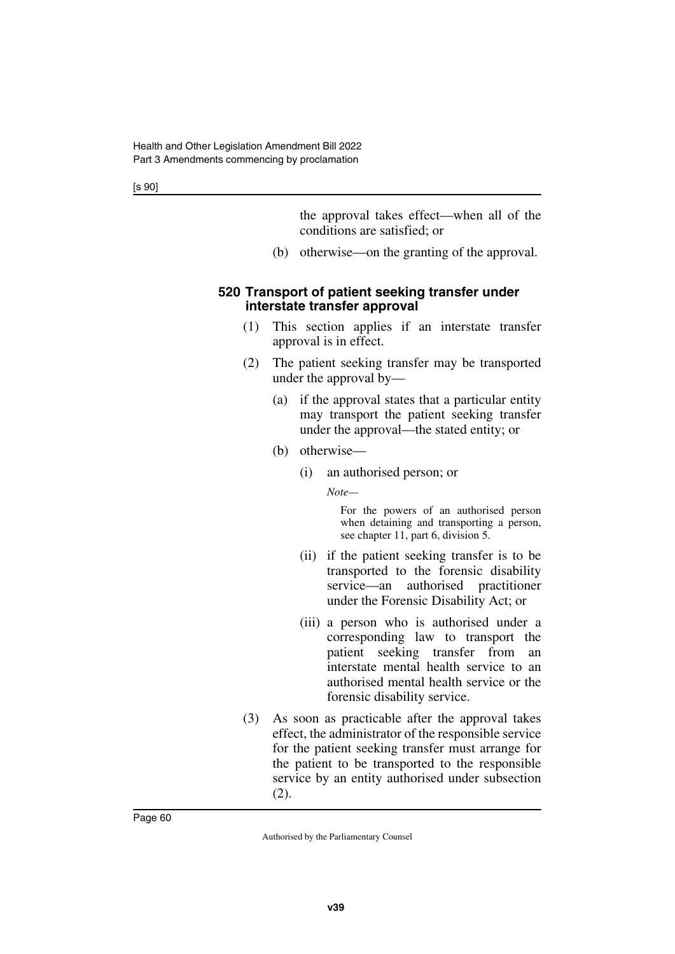[s 90]

the approval takes effect—when all of the conditions are satisfied; or

(b) otherwise—on the granting of the approval.

#### **520 Transport of patient seeking transfer under interstate transfer approval**

- (1) This section applies if an interstate transfer approval is in effect.
- (2) The patient seeking transfer may be transported under the approval by—
	- (a) if the approval states that a particular entity may transport the patient seeking transfer under the approval—the stated entity; or
	- (b) otherwise—
		- (i) an authorised person; or

*Note—*

For the powers of an authorised person when detaining and transporting a person, see chapter 11, part 6, division 5.

- (ii) if the patient seeking transfer is to be transported to the forensic disability service—an authorised practitioner under the Forensic Disability Act; or
- (iii) a person who is authorised under a corresponding law to transport the patient seeking transfer from an interstate mental health service to an authorised mental health service or the forensic disability service.
- (3) As soon as practicable after the approval takes effect, the administrator of the responsible service for the patient seeking transfer must arrange for the patient to be transported to the responsible service by an entity authorised under subsection (2).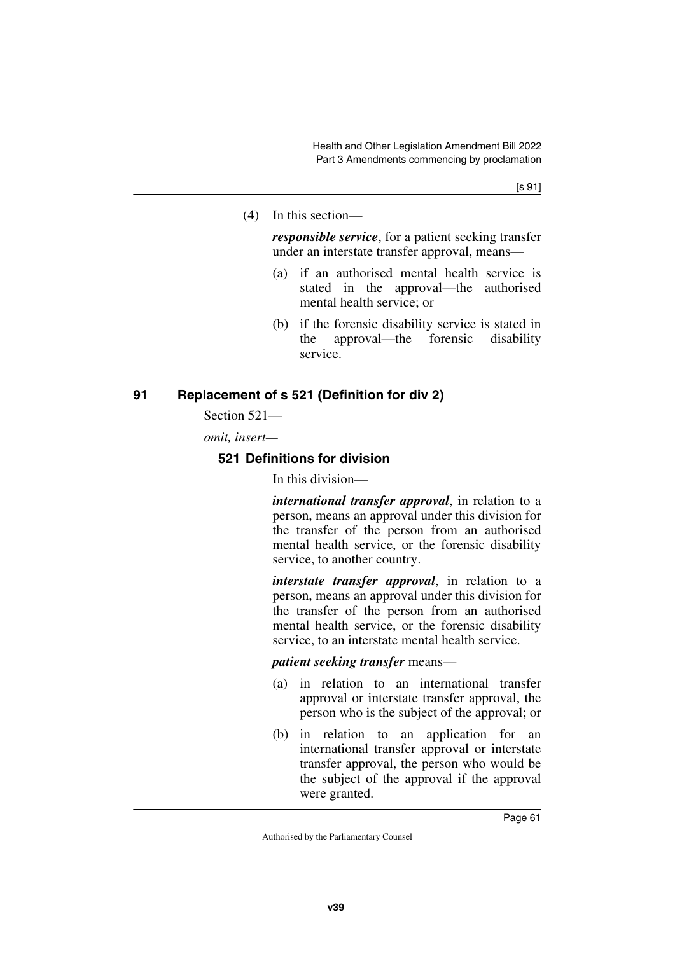(4) In this section—

*responsible service*, for a patient seeking transfer under an interstate transfer approval, means—

- (a) if an authorised mental health service is stated in the approval—the authorised mental health service; or
- (b) if the forensic disability service is stated in the approval—the forensic disability service.

### **91 Replacement of s 521 (Definition for div 2)**

Section 521—

*omit, insert—*

### **521 Definitions for division**

In this division—

*international transfer approval*, in relation to a person, means an approval under this division for the transfer of the person from an authorised mental health service, or the forensic disability service, to another country.

*interstate transfer approval*, in relation to a person, means an approval under this division for the transfer of the person from an authorised mental health service, or the forensic disability service, to an interstate mental health service.

*patient seeking transfer* means—

- (a) in relation to an international transfer approval or interstate transfer approval, the person who is the subject of the approval; or
- (b) in relation to an application for an international transfer approval or interstate transfer approval, the person who would be the subject of the approval if the approval were granted.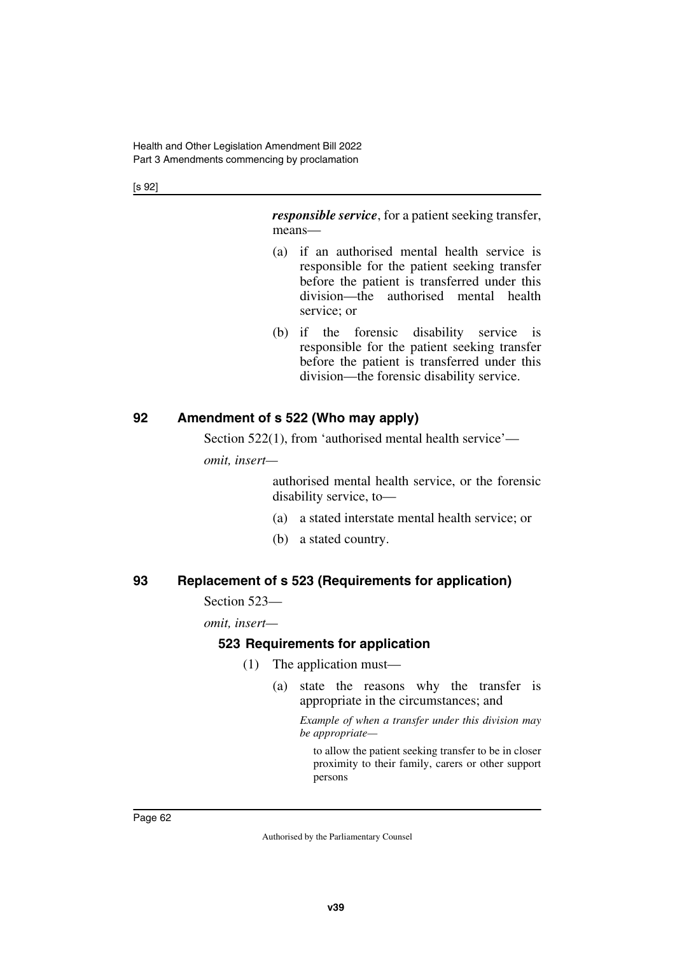[s 92]

*responsible service*, for a patient seeking transfer, means—

- (a) if an authorised mental health service is responsible for the patient seeking transfer before the patient is transferred under this division—the authorised mental health service; or
- (b) if the forensic disability service is responsible for the patient seeking transfer before the patient is transferred under this division—the forensic disability service.

### **92 Amendment of s 522 (Who may apply)**

Section 522(1), from 'authorised mental health service'—

*omit, insert—*

authorised mental health service, or the forensic disability service, to—

- (a) a stated interstate mental health service; or
- (b) a stated country.

### **93 Replacement of s 523 (Requirements for application)**

#### Section 523—

*omit, insert—*

#### **523 Requirements for application**

- (1) The application must—
	- (a) state the reasons why the transfer is appropriate in the circumstances; and

*Example of when a transfer under this division may be appropriate—*

to allow the patient seeking transfer to be in closer proximity to their family, carers or other support persons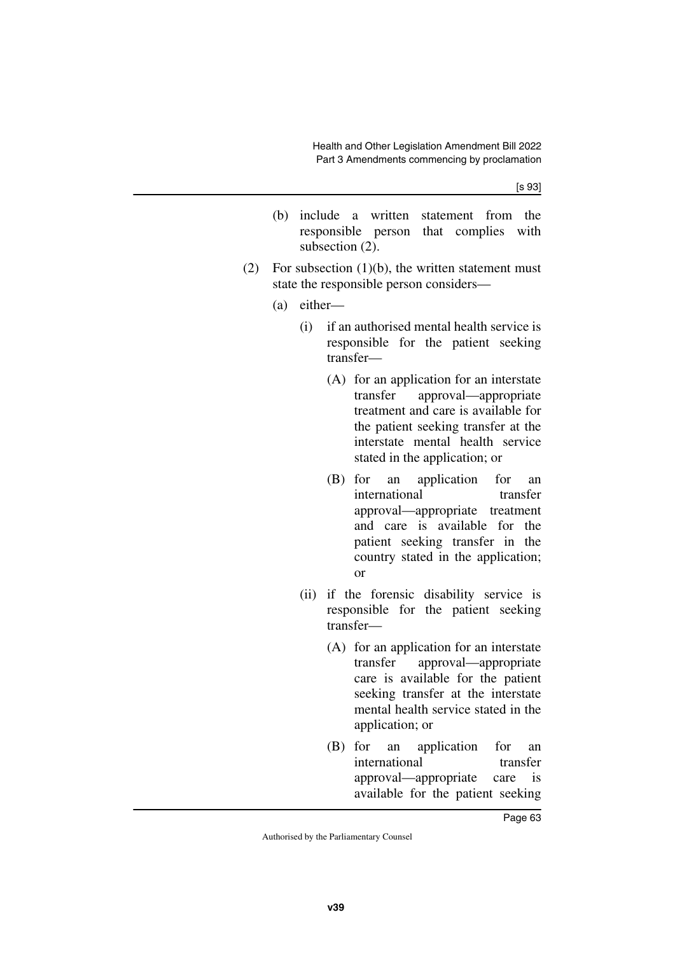[s 93]

- (b) include a written statement from the responsible person that complies with subsection  $(2)$ .
- (2) For subsection  $(1)(b)$ , the written statement must state the responsible person considers—
	- (a) either—
		- (i) if an authorised mental health service is responsible for the patient seeking transfer—
			- (A) for an application for an interstate transfer approval—appropriate treatment and care is available for the patient seeking transfer at the interstate mental health service stated in the application; or
			- (B) for an application for an international transfer approval—appropriate treatment and care is available for the patient seeking transfer in the country stated in the application; or
		- (ii) if the forensic disability service is responsible for the patient seeking transfer—
			- (A) for an application for an interstate transfer approval—appropriate care is available for the patient seeking transfer at the interstate mental health service stated in the application; or
			- (B) for an application for an international transfer approval—appropriate care is available for the patient seeking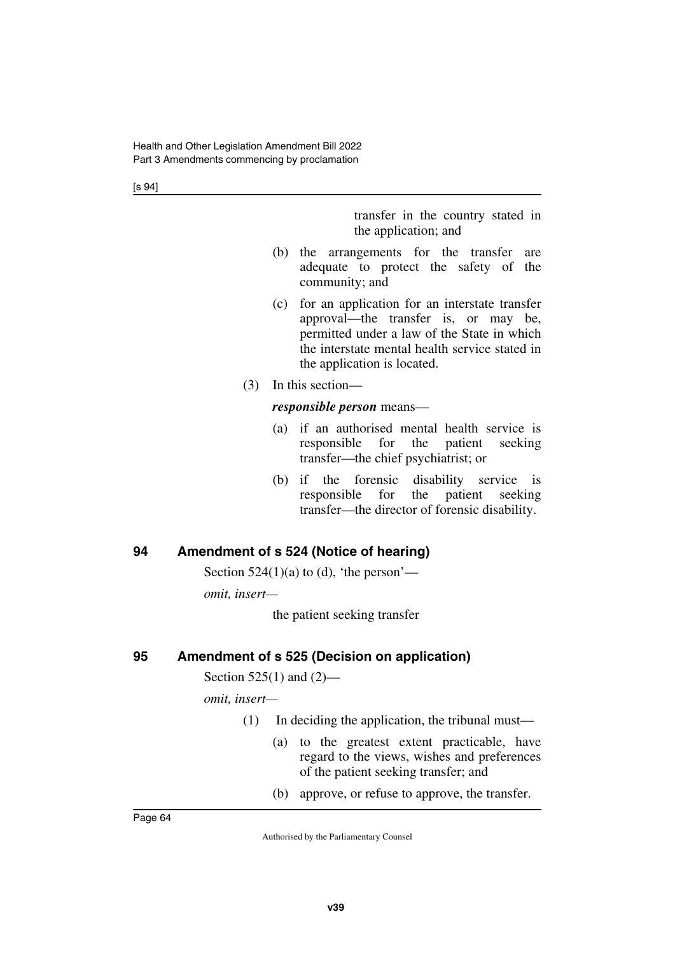[s 94]

transfer in the country stated in the application; and

- (b) the arrangements for the transfer are adequate to protect the safety of the community; and
- (c) for an application for an interstate transfer approval—the transfer is, or may be, permitted under a law of the State in which the interstate mental health service stated in the application is located.
- (3) In this section—

#### *responsible person* means—

- (a) if an authorised mental health service is responsible for the patient seeking transfer—the chief psychiatrist; or
- (b) if the forensic disability service is responsible for the patient seeking transfer—the director of forensic disability.

## **94 Amendment of s 524 (Notice of hearing)**

Section  $524(1)(a)$  to (d), 'the person'—

*omit, insert—*

the patient seeking transfer

### **95 Amendment of s 525 (Decision on application)**

Section 525(1) and (2)—

*omit, insert—*

- (1) In deciding the application, the tribunal must—
	- (a) to the greatest extent practicable, have regard to the views, wishes and preferences of the patient seeking transfer; and
	- (b) approve, or refuse to approve, the transfer.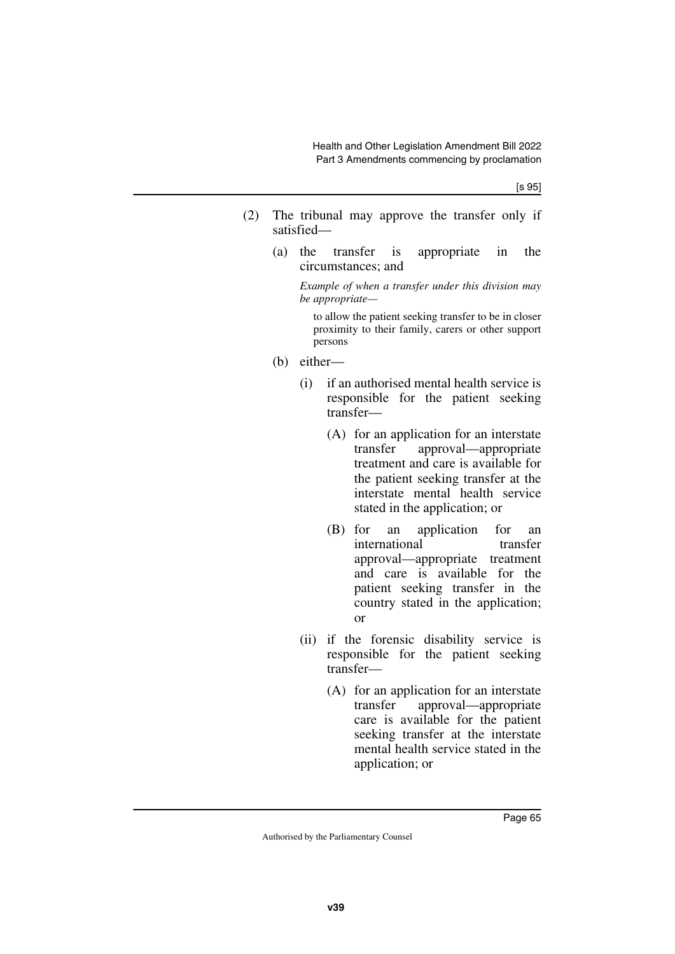- (2) The tribunal may approve the transfer only if satisfied—
	- (a) the transfer is appropriate in the circumstances; and

*Example of when a transfer under this division may be appropriate—*

to allow the patient seeking transfer to be in closer proximity to their family, carers or other support persons

- (b) either—
	- (i) if an authorised mental health service is responsible for the patient seeking transfer—
		- (A) for an application for an interstate transfer approval—appropriate treatment and care is available for the patient seeking transfer at the interstate mental health service stated in the application; or
		- (B) for an application for an international transfer approval—appropriate treatment and care is available for the patient seeking transfer in the country stated in the application; or
	- (ii) if the forensic disability service is responsible for the patient seeking transfer—
		- (A) for an application for an interstate transfer approval—appropriate care is available for the patient seeking transfer at the interstate mental health service stated in the application; or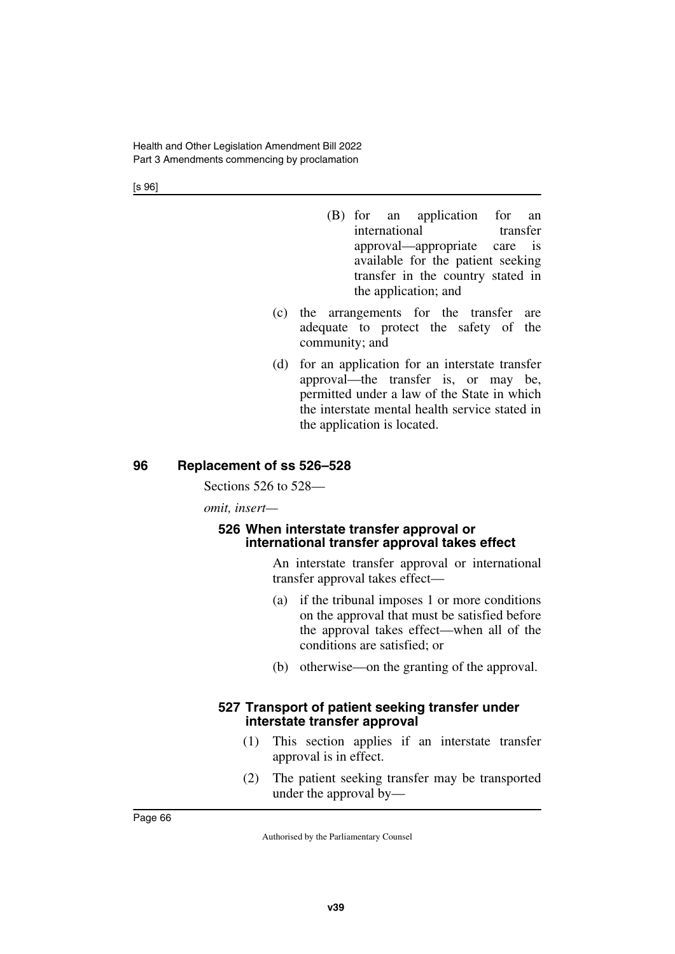[s 96]

- (B) for an application for an international transfer approval—appropriate care is available for the patient seeking transfer in the country stated in the application; and
- (c) the arrangements for the transfer are adequate to protect the safety of the community; and
- (d) for an application for an interstate transfer approval—the transfer is, or may be, permitted under a law of the State in which the interstate mental health service stated in the application is located.

### **96 Replacement of ss 526–528**

Sections 526 to 528—

*omit, insert—*

#### **526 When interstate transfer approval or international transfer approval takes effect**

An interstate transfer approval or international transfer approval takes effect—

- (a) if the tribunal imposes 1 or more conditions on the approval that must be satisfied before the approval takes effect—when all of the conditions are satisfied; or
- (b) otherwise—on the granting of the approval.

#### **527 Transport of patient seeking transfer under interstate transfer approval**

- (1) This section applies if an interstate transfer approval is in effect.
- (2) The patient seeking transfer may be transported under the approval by—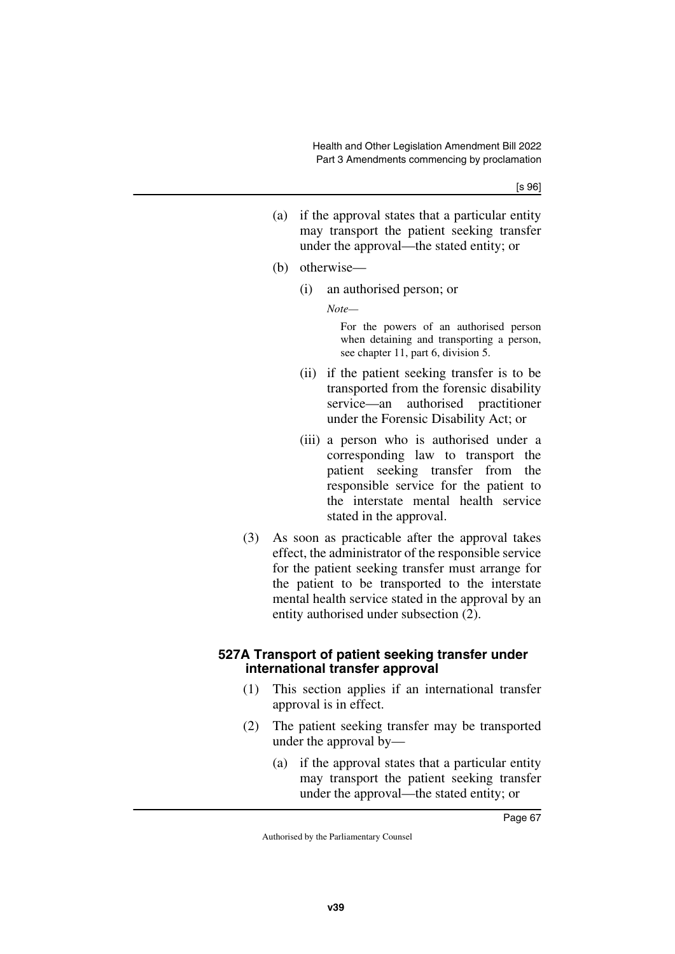- (a) if the approval states that a particular entity may transport the patient seeking transfer under the approval—the stated entity; or
- (b) otherwise—
	- (i) an authorised person; or

*Note—*

For the powers of an authorised person when detaining and transporting a person, see chapter 11, part 6, division 5.

- (ii) if the patient seeking transfer is to be transported from the forensic disability service—an authorised practitioner under the Forensic Disability Act; or
- (iii) a person who is authorised under a corresponding law to transport the patient seeking transfer from the responsible service for the patient to the interstate mental health service stated in the approval.
- (3) As soon as practicable after the approval takes effect, the administrator of the responsible service for the patient seeking transfer must arrange for the patient to be transported to the interstate mental health service stated in the approval by an entity authorised under subsection (2).

### **527A Transport of patient seeking transfer under international transfer approval**

- (1) This section applies if an international transfer approval is in effect.
- (2) The patient seeking transfer may be transported under the approval by—
	- (a) if the approval states that a particular entity may transport the patient seeking transfer under the approval—the stated entity; or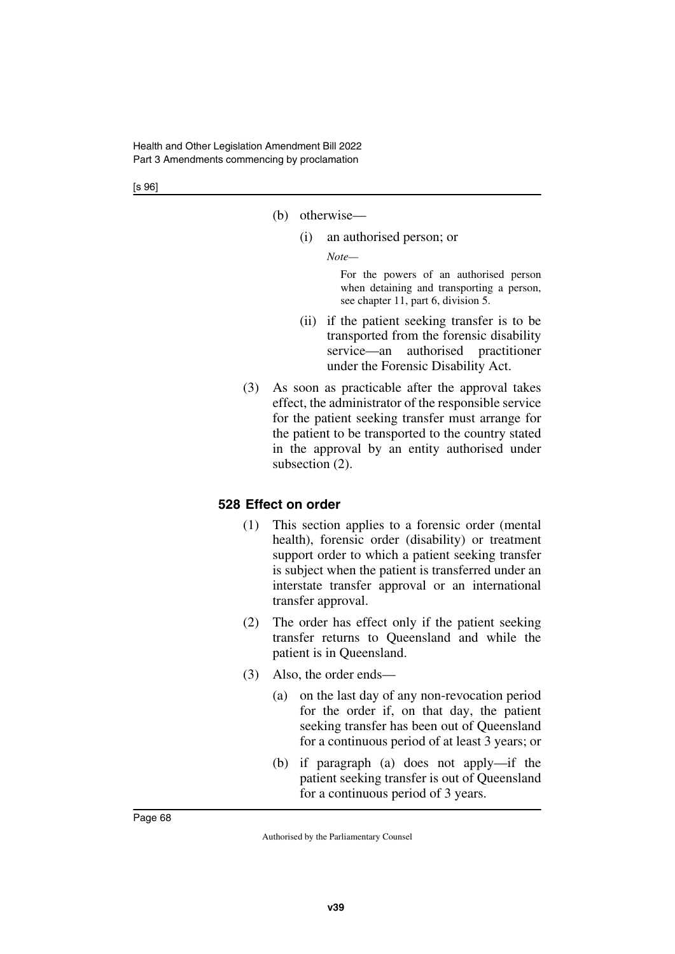- (b) otherwise—
	- (i) an authorised person; or

*Note—*

For the powers of an authorised person when detaining and transporting a person, see chapter 11, part 6, division 5.

- (ii) if the patient seeking transfer is to be transported from the forensic disability service—an authorised practitioner under the Forensic Disability Act.
- (3) As soon as practicable after the approval takes effect, the administrator of the responsible service for the patient seeking transfer must arrange for the patient to be transported to the country stated in the approval by an entity authorised under subsection (2).

#### **528 Effect on order**

- (1) This section applies to a forensic order (mental health), forensic order (disability) or treatment support order to which a patient seeking transfer is subject when the patient is transferred under an interstate transfer approval or an international transfer approval.
- (2) The order has effect only if the patient seeking transfer returns to Queensland and while the patient is in Queensland.
- (3) Also, the order ends—
	- (a) on the last day of any non-revocation period for the order if, on that day, the patient seeking transfer has been out of Queensland for a continuous period of at least 3 years; or
	- (b) if paragraph (a) does not apply—if the patient seeking transfer is out of Queensland for a continuous period of 3 years.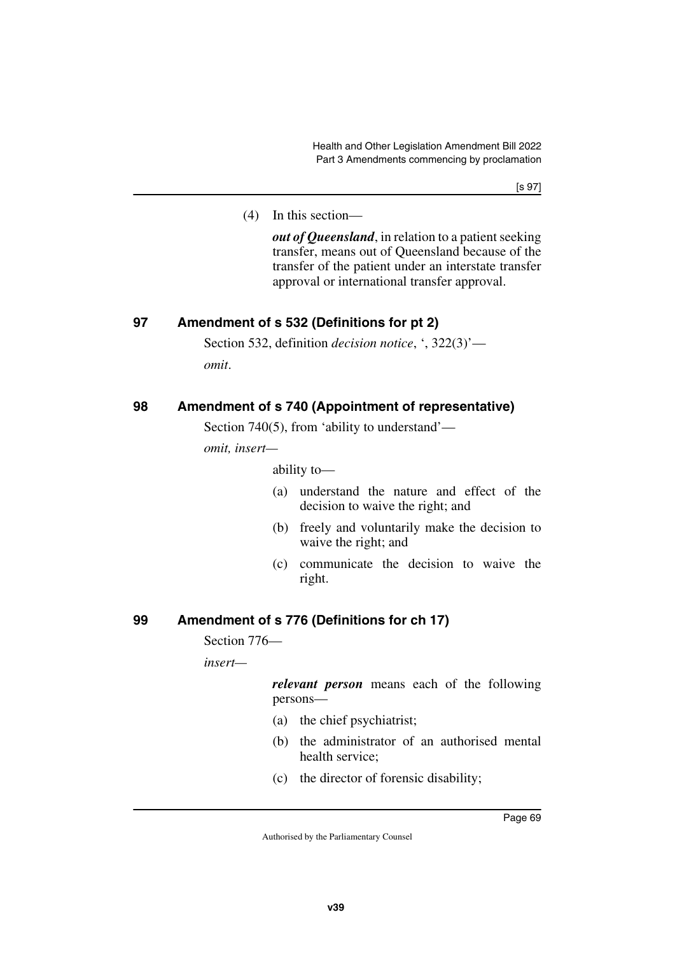(4) In this section—

*out of Queensland*, in relation to a patient seeking transfer, means out of Queensland because of the transfer of the patient under an interstate transfer approval or international transfer approval.

### **97 Amendment of s 532 (Definitions for pt 2)**

Section 532, definition *decision notice*, ', 322(3)' *omit*.

### **98 Amendment of s 740 (Appointment of representative)**

Section 740(5), from 'ability to understand'—

*omit, insert—*

ability to—

- (a) understand the nature and effect of the decision to waive the right; and
- (b) freely and voluntarily make the decision to waive the right; and
- (c) communicate the decision to waive the right.

### **99 Amendment of s 776 (Definitions for ch 17)**

Section 776—

*insert—*

*relevant person* means each of the following persons—

- (a) the chief psychiatrist;
- (b) the administrator of an authorised mental health service;
- (c) the director of forensic disability;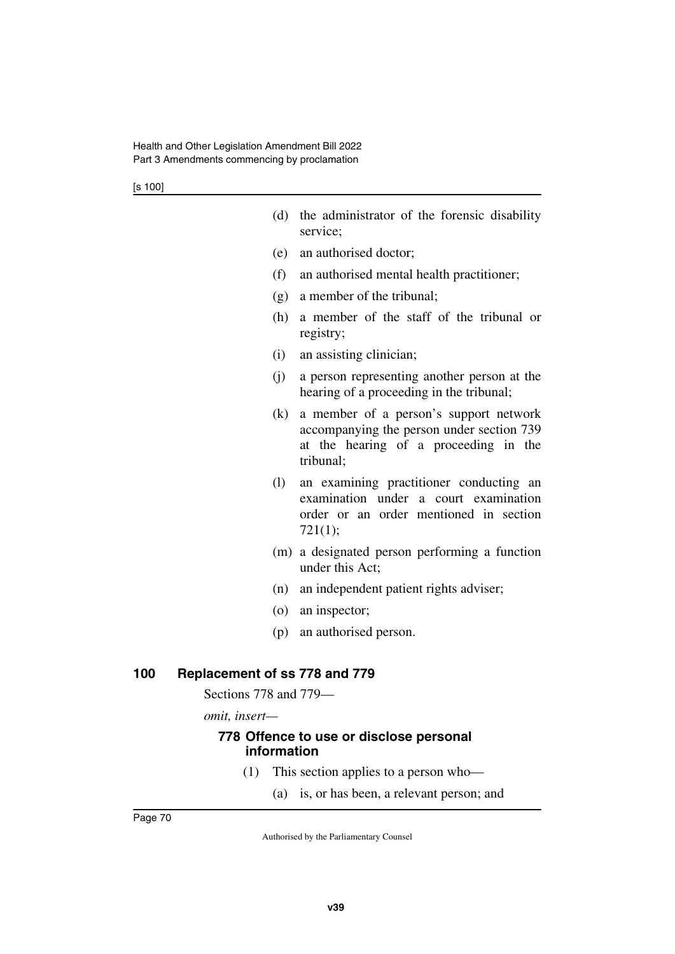- (d) the administrator of the forensic disability service;
- (e) an authorised doctor;
- (f) an authorised mental health practitioner;
- (g) a member of the tribunal;
- (h) a member of the staff of the tribunal or registry;
- (i) an assisting clinician;
- (j) a person representing another person at the hearing of a proceeding in the tribunal;
- (k) a member of a person's support network accompanying the person under section 739 at the hearing of a proceeding in the tribunal;
- (l) an examining practitioner conducting an examination under a court examination order or an order mentioned in section 721(1);
- (m) a designated person performing a function under this Act;
- (n) an independent patient rights adviser;
- (o) an inspector;
- (p) an authorised person.

#### **100 Replacement of ss 778 and 779**

Sections 778 and 779—

*omit, insert—*

#### **778 Offence to use or disclose personal information**

- (1) This section applies to a person who—
	- (a) is, or has been, a relevant person; and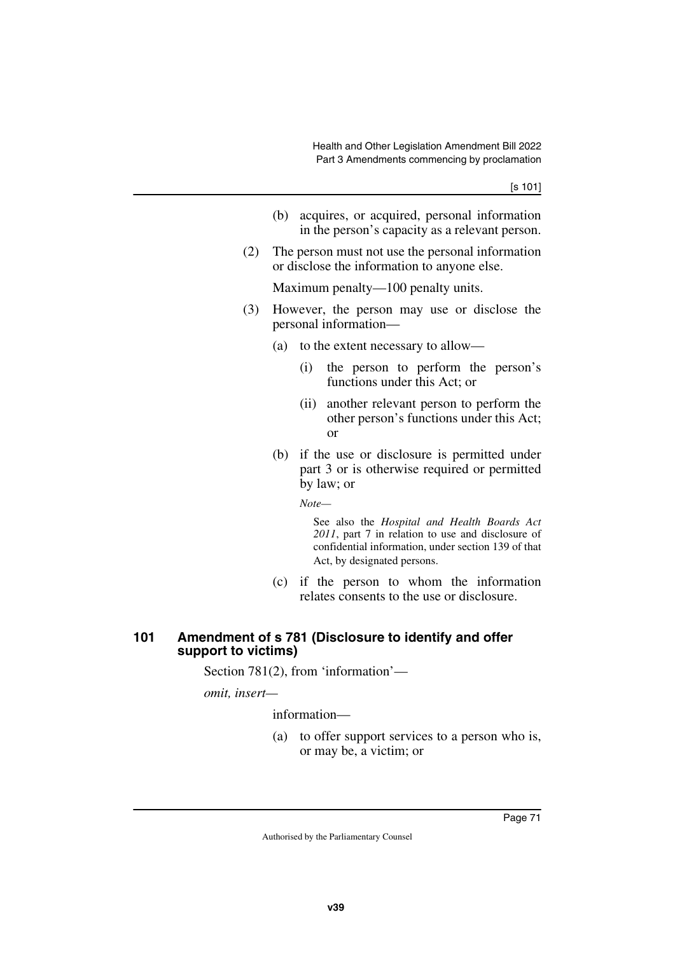- (b) acquires, or acquired, personal information in the person's capacity as a relevant person.
- (2) The person must not use the personal information or disclose the information to anyone else.

Maximum penalty—100 penalty units.

- (3) However, the person may use or disclose the personal information—
	- (a) to the extent necessary to allow—
		- (i) the person to perform the person's functions under this Act; or
		- (ii) another relevant person to perform the other person's functions under this Act; or
	- (b) if the use or disclosure is permitted under part 3 or is otherwise required or permitted by law; or

*Note—*

See also the *Hospital and Health Boards Act 2011*, part 7 in relation to use and disclosure of confidential information, under section 139 of that Act, by designated persons.

(c) if the person to whom the information relates consents to the use or disclosure.

### **101 Amendment of s 781 (Disclosure to identify and offer support to victims)**

Section 781(2), from 'information'—

*omit, insert—*

information—

(a) to offer support services to a person who is, or may be, a victim; or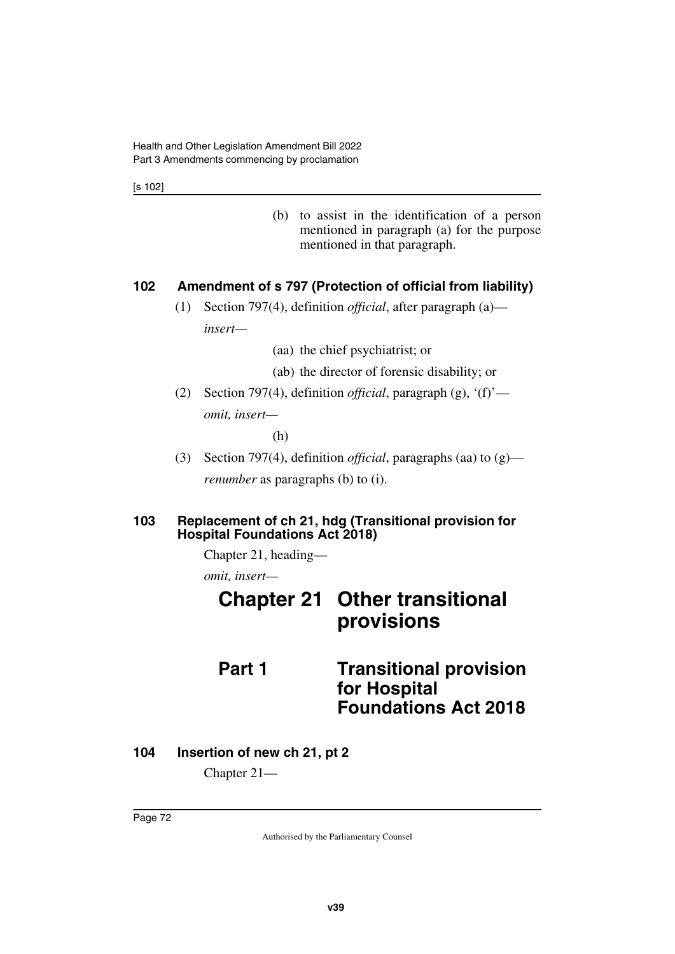[s 102]

(b) to assist in the identification of a person mentioned in paragraph (a) for the purpose mentioned in that paragraph.

### **102 Amendment of s 797 (Protection of official from liability)**

(1) Section 797(4), definition *official*, after paragraph (a) *insert—*

(aa) the chief psychiatrist; or

- (ab) the director of forensic disability; or
- (2) Section 797(4), definition *official*, paragraph (g), '(f)' *omit, insert—*

(h)

(3) Section 797(4), definition *official*, paragraphs (aa) to (g) *renumber* as paragraphs (b) to (i).

### **103 Replacement of ch 21, hdg (Transitional provision for Hospital Foundations Act 2018)**

Chapter 21, heading—

*omit, insert—*

|        | <b>Chapter 21 Other transitional</b><br>provisions |
|--------|----------------------------------------------------|
| Part 1 | <b>Transitional provision</b><br>for Hospital      |
|        | <b>Foundations Act 2018</b>                        |

### **104 Insertion of new ch 21, pt 2**

Chapter 21—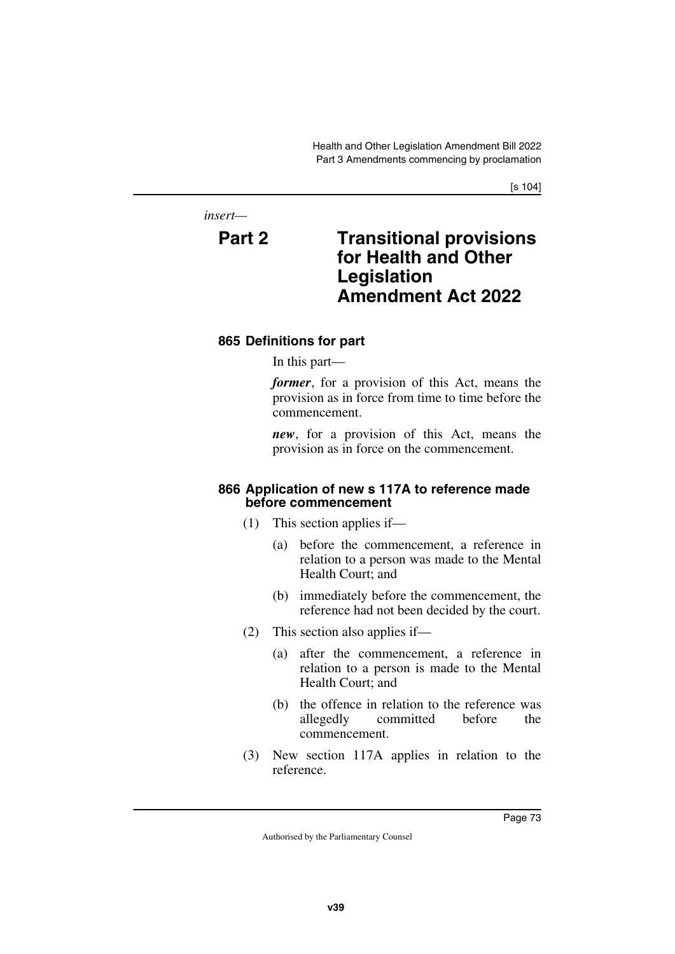*insert—*

# **Part 2 Transitional provisions for Health and Other Legislation Amendment Act 2022**

### **865 Definitions for part**

In this part—

*former*, for a provision of this Act, means the provision as in force from time to time before the commencement.

*new*, for a provision of this Act, means the provision as in force on the commencement.

#### **866 Application of new s 117A to reference made before commencement**

- (1) This section applies if—
	- (a) before the commencement, a reference in relation to a person was made to the Mental Health Court; and
	- (b) immediately before the commencement, the reference had not been decided by the court.
- (2) This section also applies if—
	- (a) after the commencement, a reference in relation to a person is made to the Mental Health Court; and
	- (b) the offence in relation to the reference was allegedly committed before the commencement.
- (3) New section 117A applies in relation to the reference.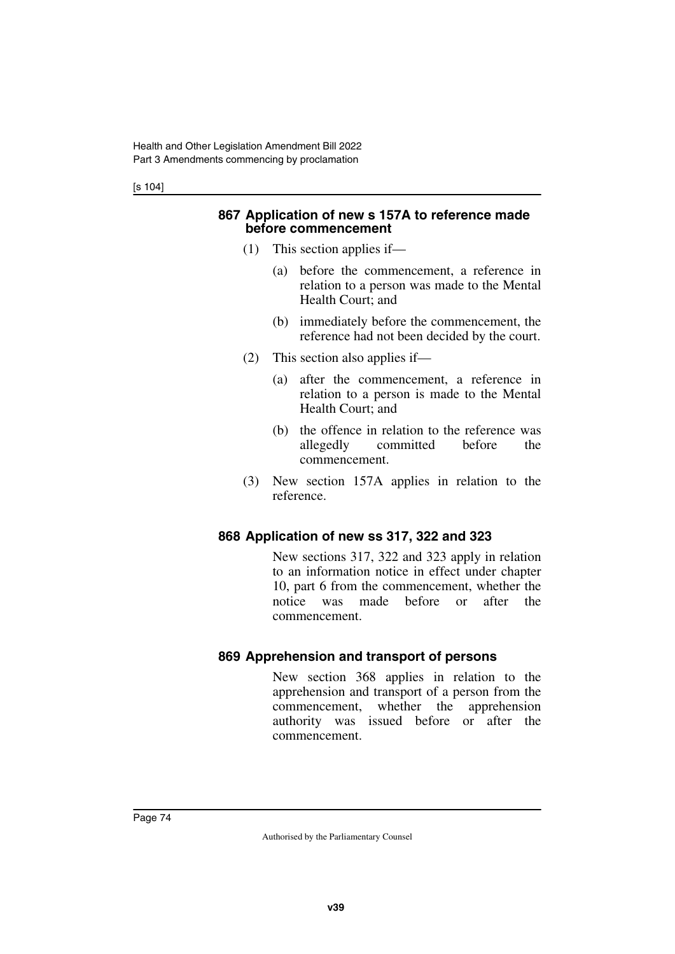[s 104]

#### **867 Application of new s 157A to reference made before commencement**

- (1) This section applies if—
	- (a) before the commencement, a reference in relation to a person was made to the Mental Health Court; and
	- (b) immediately before the commencement, the reference had not been decided by the court.
- (2) This section also applies if—
	- (a) after the commencement, a reference in relation to a person is made to the Mental Health Court; and
	- (b) the offence in relation to the reference was allegedly committed before the commencement.
- (3) New section 157A applies in relation to the reference.

### **868 Application of new ss 317, 322 and 323**

New sections 317, 322 and 323 apply in relation to an information notice in effect under chapter 10, part 6 from the commencement, whether the notice was made before or after the commencement.

### **869 Apprehension and transport of persons**

New section 368 applies in relation to the apprehension and transport of a person from the commencement, whether the apprehension authority was issued before or after the commencement.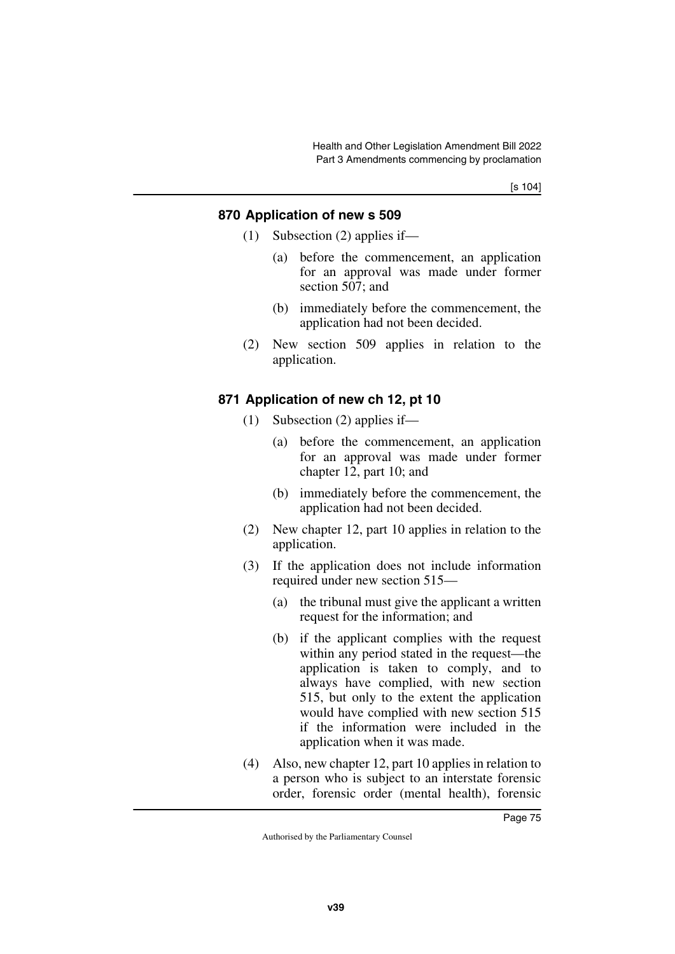[s 104]

### **870 Application of new s 509**

- (1) Subsection (2) applies if—
	- (a) before the commencement, an application for an approval was made under former section 507; and
	- (b) immediately before the commencement, the application had not been decided.
- (2) New section 509 applies in relation to the application.

### **871 Application of new ch 12, pt 10**

- (1) Subsection (2) applies if—
	- (a) before the commencement, an application for an approval was made under former chapter 12, part 10; and
	- (b) immediately before the commencement, the application had not been decided.
- (2) New chapter 12, part 10 applies in relation to the application.
- (3) If the application does not include information required under new section 515—
	- (a) the tribunal must give the applicant a written request for the information; and
	- (b) if the applicant complies with the request within any period stated in the request—the application is taken to comply, and to always have complied, with new section 515, but only to the extent the application would have complied with new section 515 if the information were included in the application when it was made.
- (4) Also, new chapter 12, part 10 applies in relation to a person who is subject to an interstate forensic order, forensic order (mental health), forensic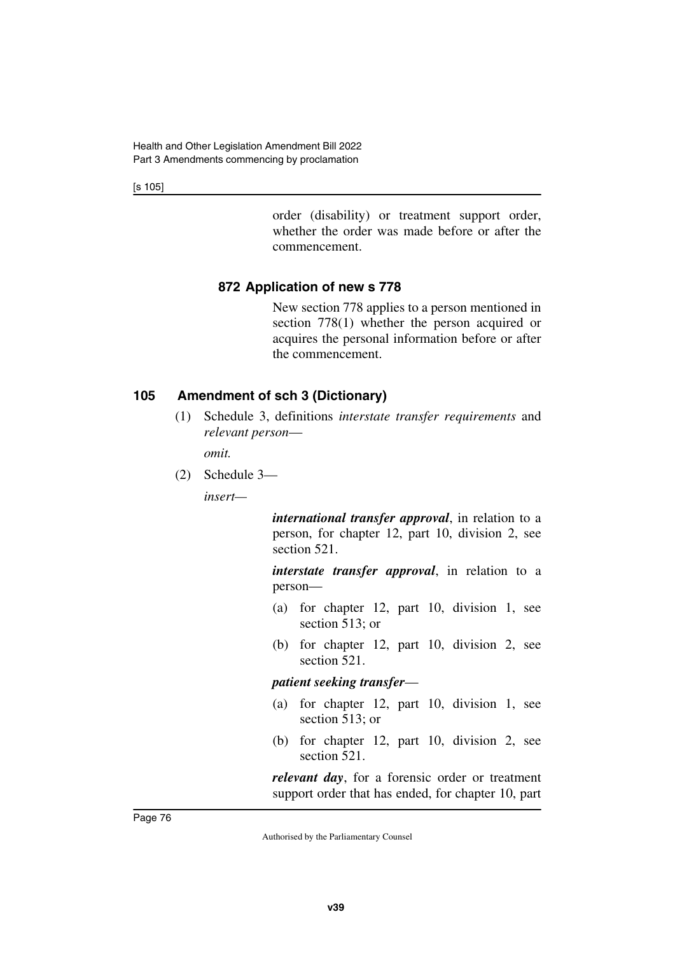[s 105]

order (disability) or treatment support order, whether the order was made before or after the commencement.

### **872 Application of new s 778**

New section 778 applies to a person mentioned in section 778(1) whether the person acquired or acquires the personal information before or after the commencement.

### **105 Amendment of sch 3 (Dictionary)**

(1) Schedule 3, definitions *interstate transfer requirements* and *relevant person*—

*omit.*

(2) Schedule 3—

*insert—*

*international transfer approval*, in relation to a person, for chapter 12, part 10, division 2, see section 521.

*interstate transfer approval*, in relation to a person—

- (a) for chapter 12, part 10, division 1, see section 513; or
- (b) for chapter 12, part 10, division 2, see section 521.

*patient seeking transfer*—

- (a) for chapter 12, part 10, division 1, see section 513; or
- (b) for chapter 12, part 10, division 2, see section 521.

*relevant day*, for a forensic order or treatment support order that has ended, for chapter 10, part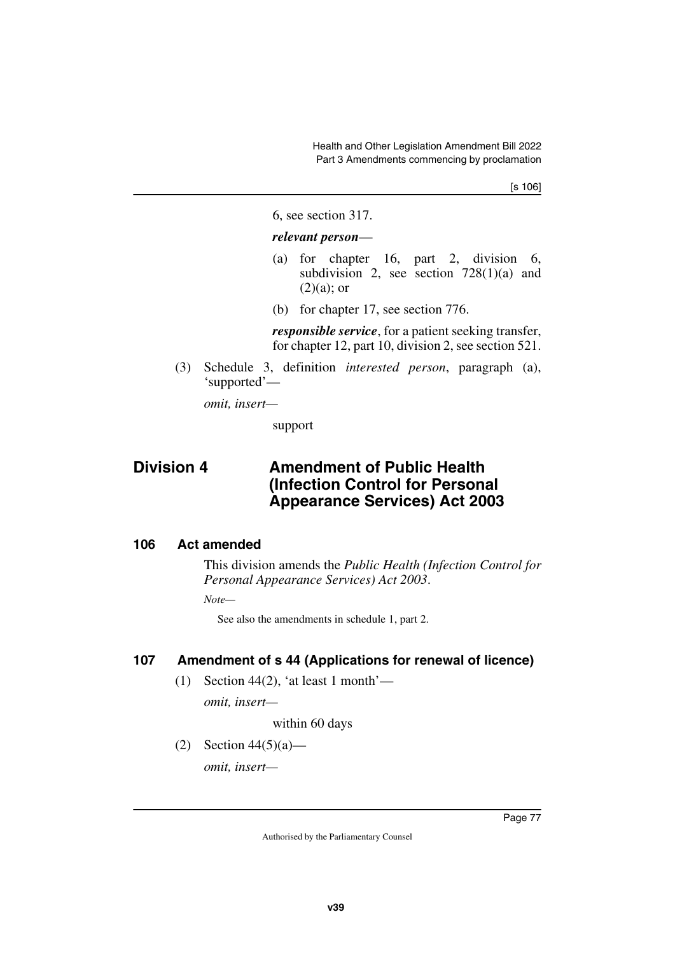[s 106]

6, see section 317.

#### *relevant person*—

- (a) for chapter 16, part 2, division 6, subdivision 2, see section  $728(1)(a)$  and  $(2)(a)$ ; or
- (b) for chapter 17, see section 776.

*responsible service*, for a patient seeking transfer, for chapter 12, part 10, division 2, see section 521.

(3) Schedule 3, definition *interested person*, paragraph (a), 'supported'—

*omit, insert—*

support

## **Division 4 Amendment of Public Health (Infection Control for Personal Appearance Services) Act 2003**

### **106 Act amended**

This division amends the *Public Health (Infection Control for Personal Appearance Services) Act 2003*.

*Note—*

See also the amendments in schedule 1, part 2.

### **107 Amendment of s 44 (Applications for renewal of licence)**

(1) Section 44(2), 'at least 1 month'—

*omit, insert—*

within 60 days

(2) Section  $44(5)(a)$ —

*omit, insert—*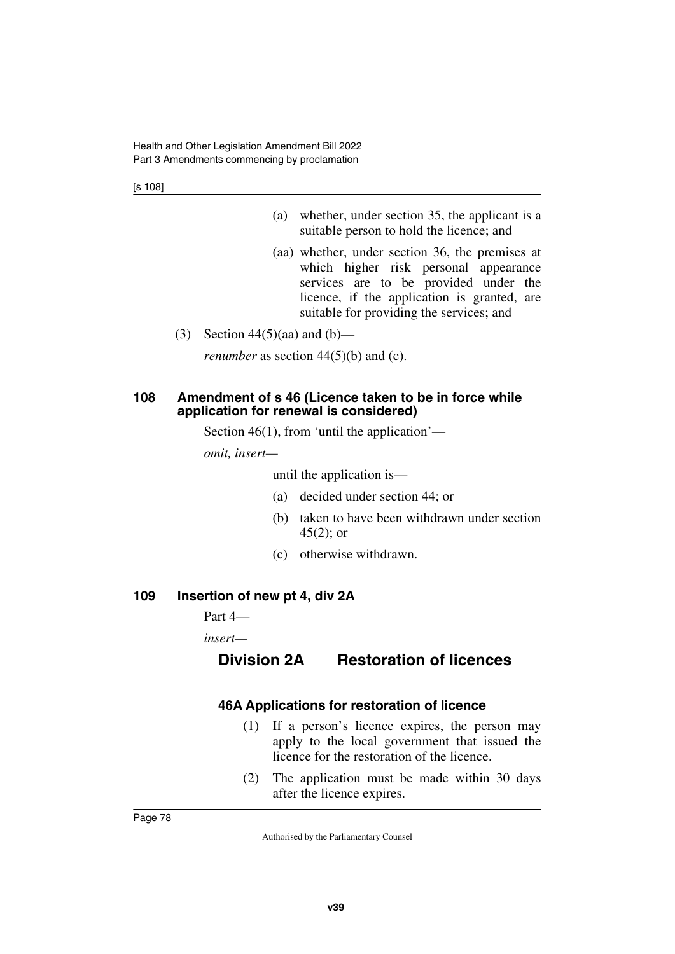[s 108]

- (a) whether, under section 35, the applicant is a suitable person to hold the licence; and
- (aa) whether, under section 36, the premises at which higher risk personal appearance services are to be provided under the licence, if the application is granted, are suitable for providing the services; and
- (3) Section  $44(5)(aa)$  and  $(b)$ —

*renumber* as section 44(5)(b) and (c).

### **108 Amendment of s 46 (Licence taken to be in force while application for renewal is considered)**

Section 46(1), from 'until the application'—

*omit, insert—*

until the application is—

- (a) decided under section 44; or
- (b) taken to have been withdrawn under section  $45(2)$ ; or
- (c) otherwise withdrawn.

### **109 Insertion of new pt 4, div 2A**

Part 4—

*insert—*

### **Division 2A Restoration of licences**

### **46A Applications for restoration of licence**

- (1) If a person's licence expires, the person may apply to the local government that issued the licence for the restoration of the licence.
- (2) The application must be made within 30 days after the licence expires.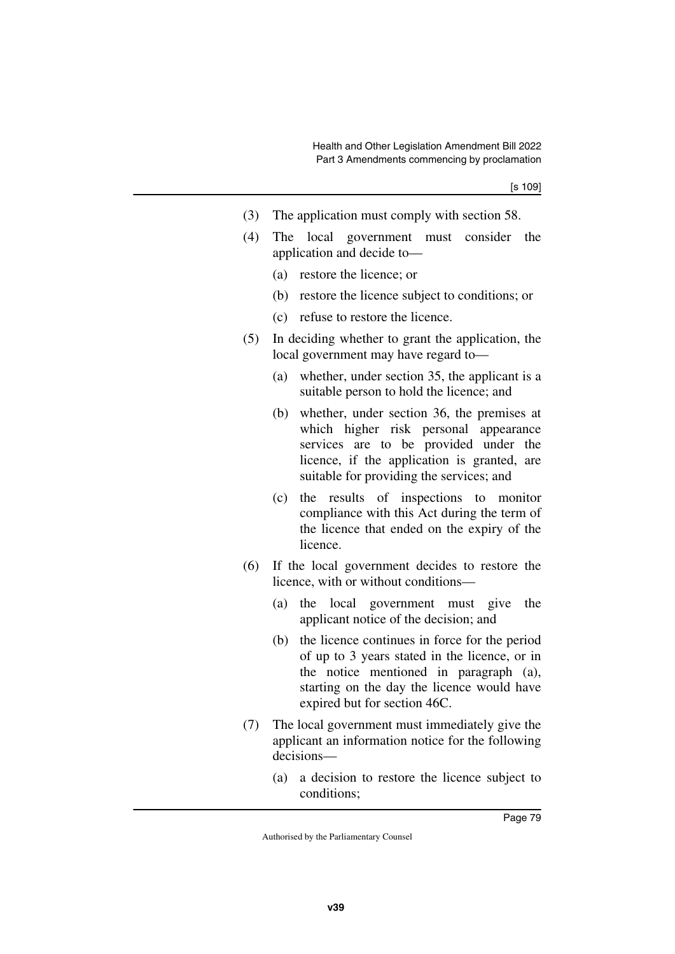- (3) The application must comply with section 58.
- (4) The local government must consider the application and decide to—
	- (a) restore the licence; or
	- (b) restore the licence subject to conditions; or
	- (c) refuse to restore the licence.
- (5) In deciding whether to grant the application, the local government may have regard to—
	- (a) whether, under section 35, the applicant is a suitable person to hold the licence; and
	- (b) whether, under section 36, the premises at which higher risk personal appearance services are to be provided under the licence, if the application is granted, are suitable for providing the services; and
	- (c) the results of inspections to monitor compliance with this Act during the term of the licence that ended on the expiry of the licence.
- (6) If the local government decides to restore the licence, with or without conditions—
	- (a) the local government must give the applicant notice of the decision; and
	- (b) the licence continues in force for the period of up to 3 years stated in the licence, or in the notice mentioned in paragraph (a), starting on the day the licence would have expired but for section 46C.
- (7) The local government must immediately give the applicant an information notice for the following decisions—
	- (a) a decision to restore the licence subject to conditions;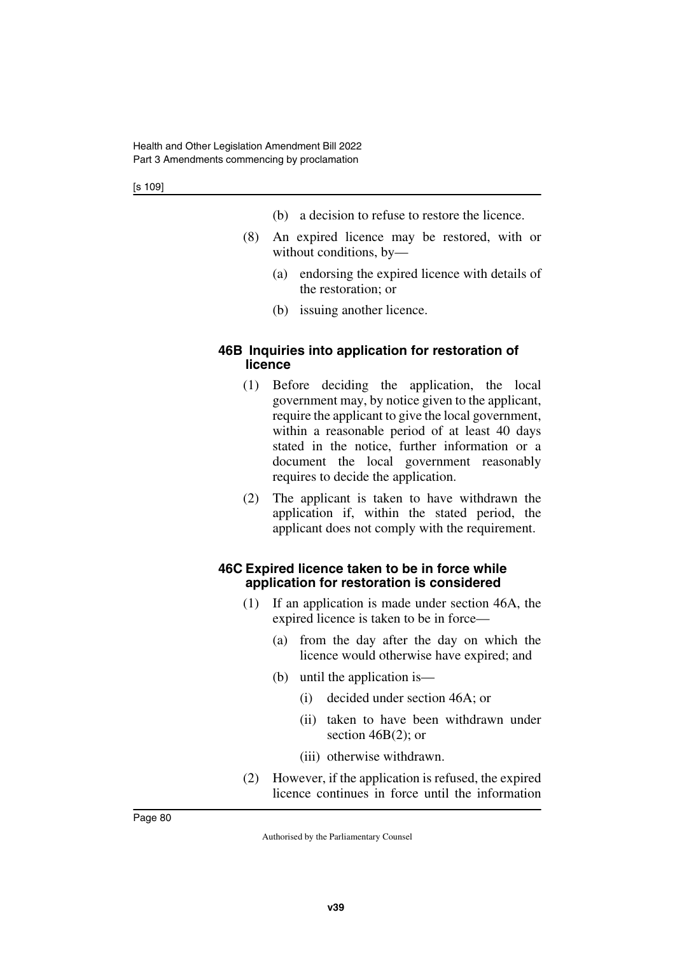- (b) a decision to refuse to restore the licence.
- (8) An expired licence may be restored, with or without conditions, by—
	- (a) endorsing the expired licence with details of the restoration; or
	- (b) issuing another licence.

### **46B Inquiries into application for restoration of licence**

- (1) Before deciding the application, the local government may, by notice given to the applicant, require the applicant to give the local government, within a reasonable period of at least 40 days stated in the notice, further information or a document the local government reasonably requires to decide the application.
- (2) The applicant is taken to have withdrawn the application if, within the stated period, the applicant does not comply with the requirement.

### **46C Expired licence taken to be in force while application for restoration is considered**

- (1) If an application is made under section 46A, the expired licence is taken to be in force—
	- (a) from the day after the day on which the licence would otherwise have expired; and
	- (b) until the application is—
		- (i) decided under section 46A; or
		- (ii) taken to have been withdrawn under section 46B(2); or
		- (iii) otherwise withdrawn.
- (2) However, if the application is refused, the expired licence continues in force until the information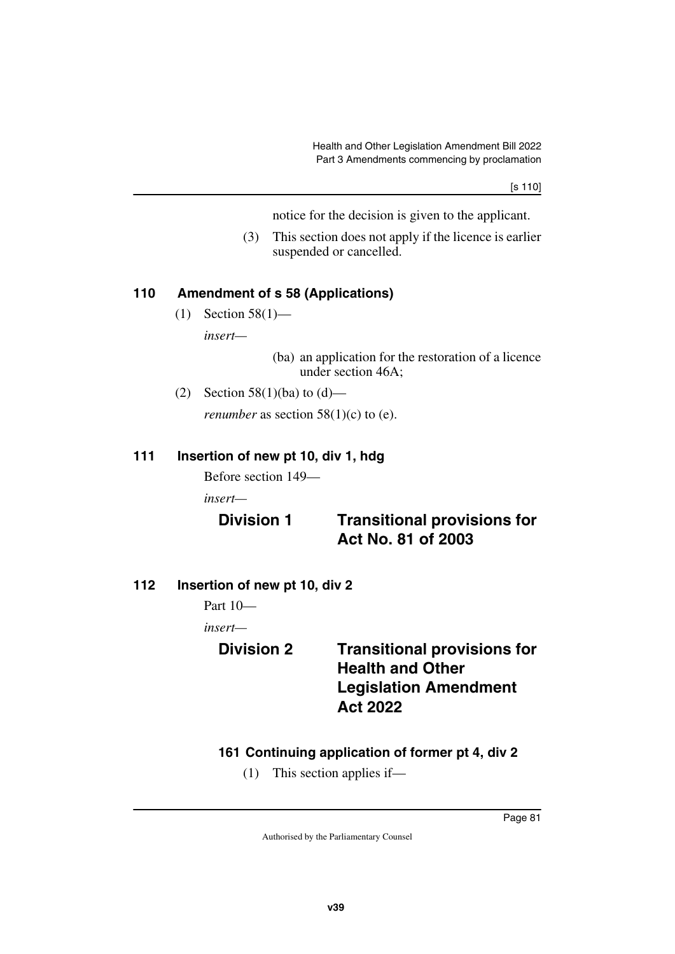notice for the decision is given to the applicant.

(3) This section does not apply if the licence is earlier suspended or cancelled.

### **110 Amendment of s 58 (Applications)**

(1) Section 58(1) *insert—*

> (ba) an application for the restoration of a licence under section 46A;

(2) Section 58(1)(ba) to  $(d)$ —

*renumber* as section  $58(1)(c)$  to (e).

### **111 Insertion of new pt 10, div 1, hdg**

Before section 149—

*insert—*

## **Division 1 Transitional provisions for Act No. 81 of 2003**

**112 Insertion of new pt 10, div 2**

Part 10—

*insert—*

## **Division 2 Transitional provisions for Health and Other Legislation Amendment Act 2022**

### **161 Continuing application of former pt 4, div 2**

(1) This section applies if—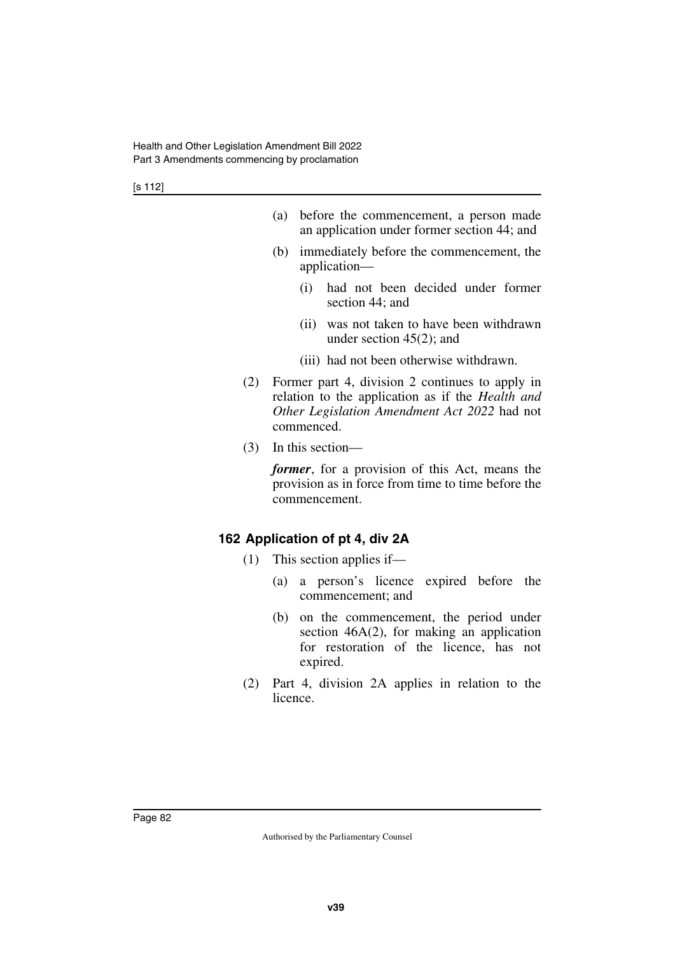- (a) before the commencement, a person made an application under former section 44; and
- (b) immediately before the commencement, the application—
	- (i) had not been decided under former section 44; and
	- (ii) was not taken to have been withdrawn under section 45(2); and
	- (iii) had not been otherwise withdrawn.
- (2) Former part 4, division 2 continues to apply in relation to the application as if the *Health and Other Legislation Amendment Act 2022* had not commenced.
- (3) In this section—

*former*, for a provision of this Act, means the provision as in force from time to time before the commencement.

### **162 Application of pt 4, div 2A**

- (1) This section applies if—
	- (a) a person's licence expired before the commencement; and
	- (b) on the commencement, the period under section  $46A(2)$ , for making an application for restoration of the licence, has not expired.
- (2) Part 4, division 2A applies in relation to the licence.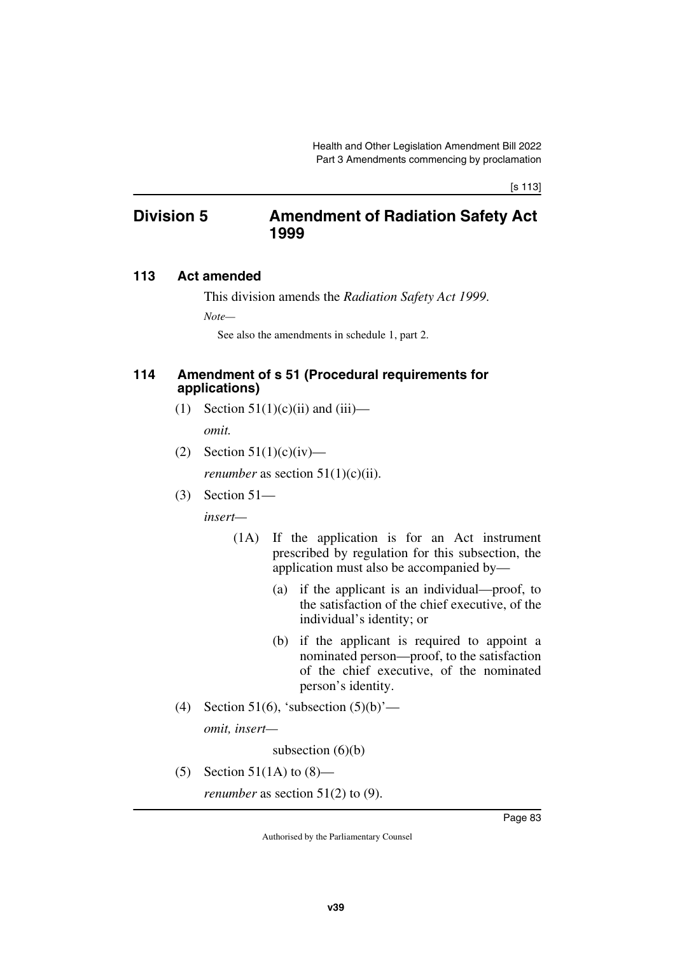### **Division 5 Amendment of Radiation Safety Act 1999**

### **113 Act amended**

This division amends the *Radiation Safety Act 1999*.

*Note—*

See also the amendments in schedule 1, part 2.

#### **114 Amendment of s 51 (Procedural requirements for applications)**

- (1) Section  $51(1)(c)(ii)$  and  $(iii)$  *omit.*
- (2) Section  $51(1)(c)(iv)$ —

*renumber* as section  $51(1)(c)(ii)$ .

(3) Section 51—

*insert—*

- (1A) If the application is for an Act instrument prescribed by regulation for this subsection, the application must also be accompanied by—
	- (a) if the applicant is an individual—proof, to the satisfaction of the chief executive, of the individual's identity; or
	- (b) if the applicant is required to appoint a nominated person—proof, to the satisfaction of the chief executive, of the nominated person's identity.
- (4) Section 51(6), 'subsection  $(5)(b)$ ' *omit, insert—*

subsection  $(6)(b)$ 

(5) Section 51(1A) to  $(8)$ —

*renumber* as section 51(2) to (9).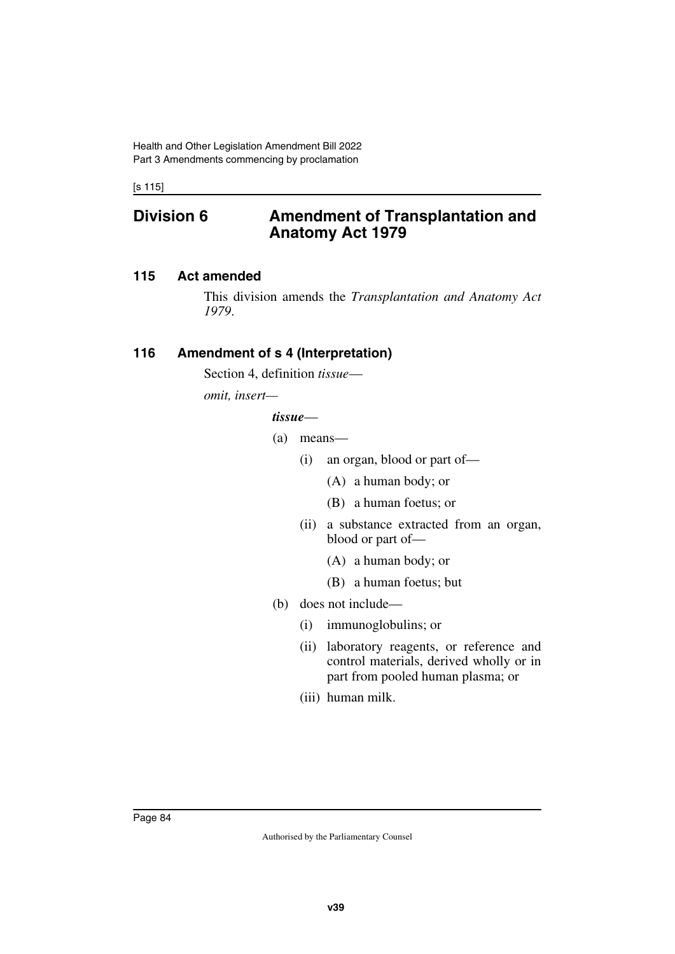[s 115]

### **Division 6 Amendment of Transplantation and Anatomy Act 1979**

### **115 Act amended**

This division amends the *Transplantation and Anatomy Act 1979*.

### **116 Amendment of s 4 (Interpretation)**

Section 4, definition *tissue*—

*omit, insert—*

#### *tissue*—

- (a) means—
	- (i) an organ, blood or part of—
		- (A) a human body; or
		- (B) a human foetus; or
	- (ii) a substance extracted from an organ, blood or part of—
		- (A) a human body; or
		- (B) a human foetus; but
- (b) does not include—
	- (i) immunoglobulins; or
	- (ii) laboratory reagents, or reference and control materials, derived wholly or in part from pooled human plasma; or
	- (iii) human milk.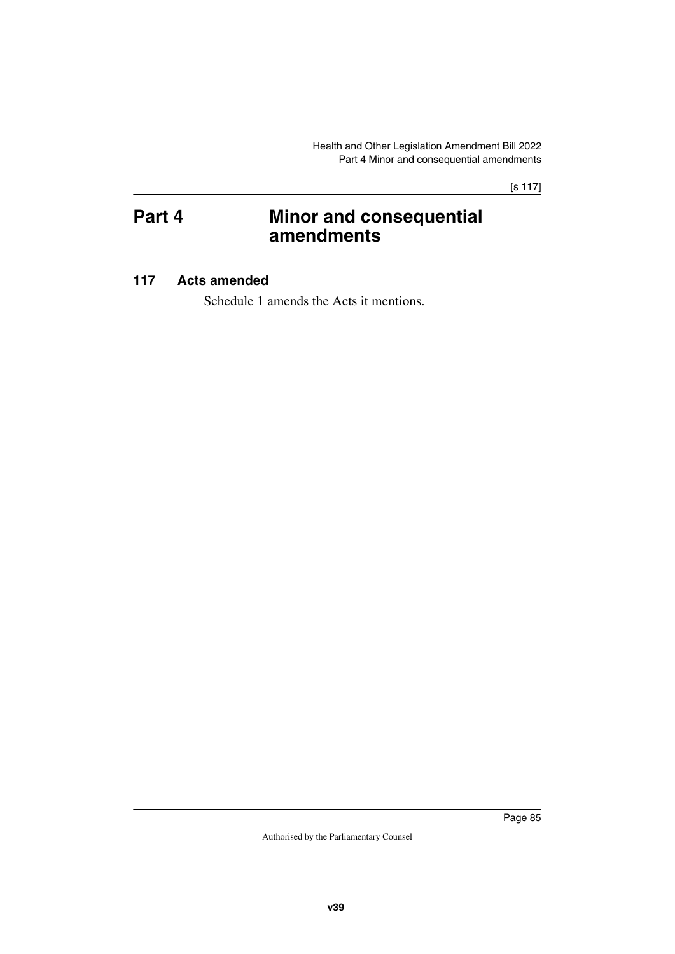[s 117]

# **Part 4 Minor and consequential amendments**

### **117 Acts amended**

Schedule 1 amends the Acts it mentions.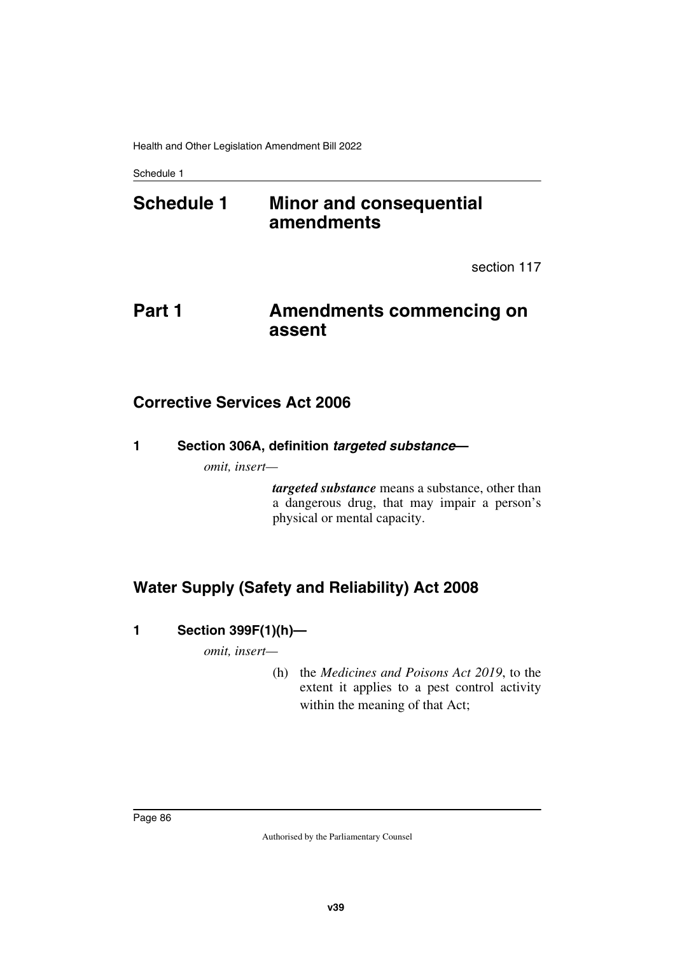# **Schedule 1 Minor and consequential amendments**

section 117

# **Part 1** Amendments commencing on **assent**

## **Corrective Services Act 2006**

**1 Section 306A, definition** *targeted substance***—**

*omit, insert—*

*targeted substance* means a substance, other than a dangerous drug, that may impair a person's physical or mental capacity.

# **Water Supply (Safety and Reliability) Act 2008**

### **1 Section 399F(1)(h)—**

*omit, insert—*

(h) the *Medicines and Poisons Act 2019*, to the extent it applies to a pest control activity within the meaning of that Act;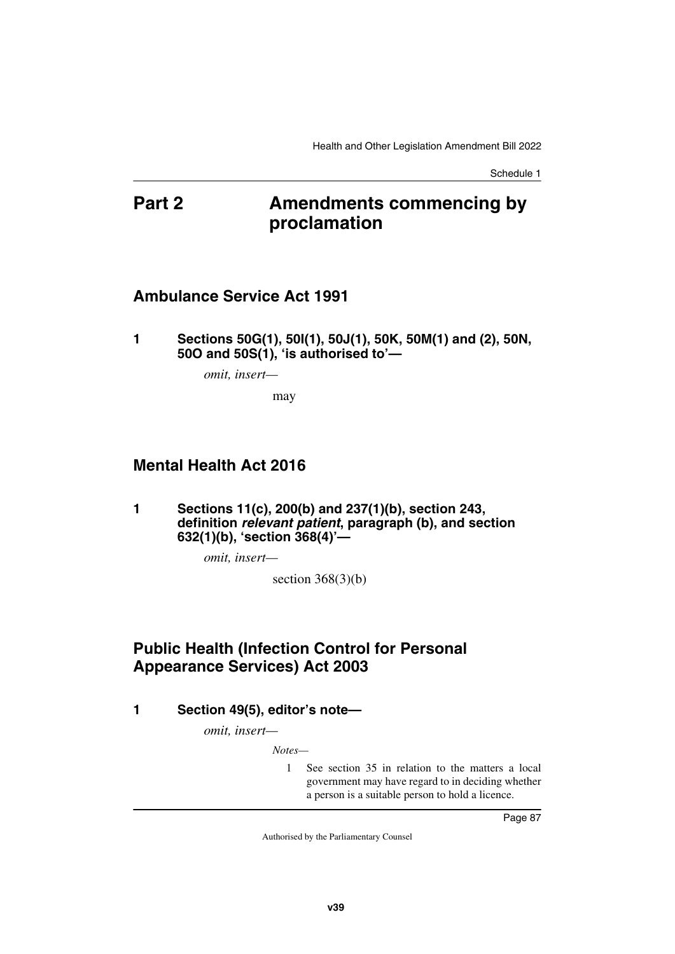# **Part 2 Amendments commencing by proclamation**

### **Ambulance Service Act 1991**

**1 Sections 50G(1), 50I(1), 50J(1), 50K, 50M(1) and (2), 50N, 50O and 50S(1), 'is authorised to'—**

*omit, insert—*

may

## **Mental Health Act 2016**

**1 Sections 11(c), 200(b) and 237(1)(b), section 243, definition** *relevant patient***, paragraph (b), and section 632(1)(b), 'section 368(4)'—**

*omit, insert—*

section  $368(3)(b)$ 

# **Public Health (Infection Control for Personal Appearance Services) Act 2003**

**1 Section 49(5), editor's note—**

*omit, insert—*

*Notes—*

1 See section 35 in relation to the matters a local government may have regard to in deciding whether a person is a suitable person to hold a licence.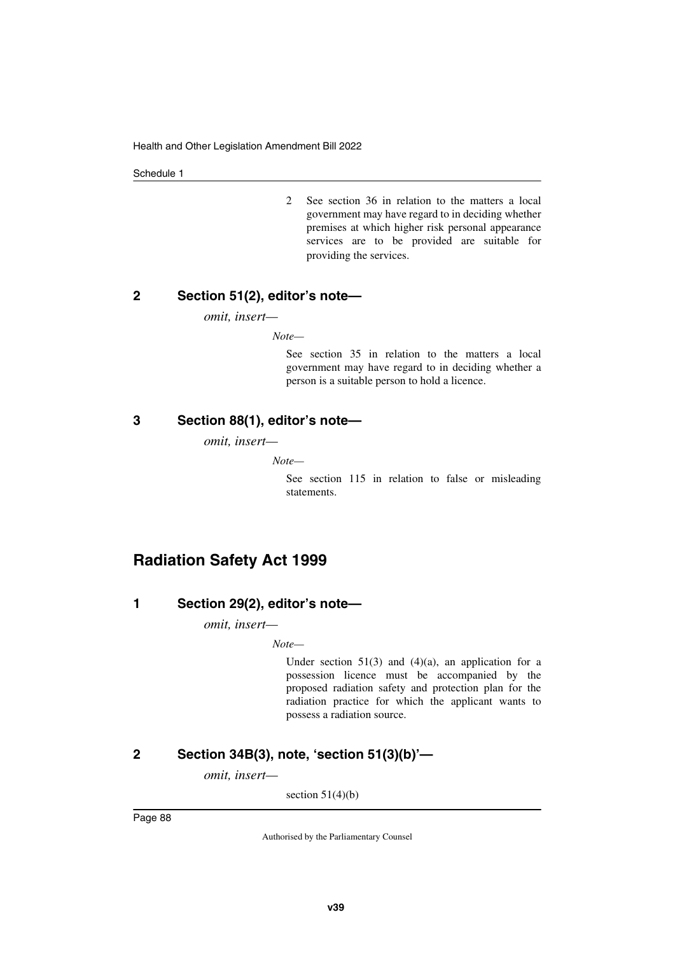2 See section 36 in relation to the matters a local government may have regard to in deciding whether premises at which higher risk personal appearance services are to be provided are suitable for providing the services.

#### **2 Section 51(2), editor's note—**

*omit, insert—*

*Note—*

See section 35 in relation to the matters a local government may have regard to in deciding whether a person is a suitable person to hold a licence.

#### **3 Section 88(1), editor's note—**

*omit, insert—*

*Note—*

See section 115 in relation to false or misleading statements.

## **Radiation Safety Act 1999**

### **1 Section 29(2), editor's note—**

*omit, insert—*

*Note—*

Under section  $51(3)$  and  $(4)(a)$ , an application for a possession licence must be accompanied by the proposed radiation safety and protection plan for the radiation practice for which the applicant wants to possess a radiation source.

### **2 Section 34B(3), note, 'section 51(3)(b)'—**

*omit, insert—*

section  $51(4)(b)$